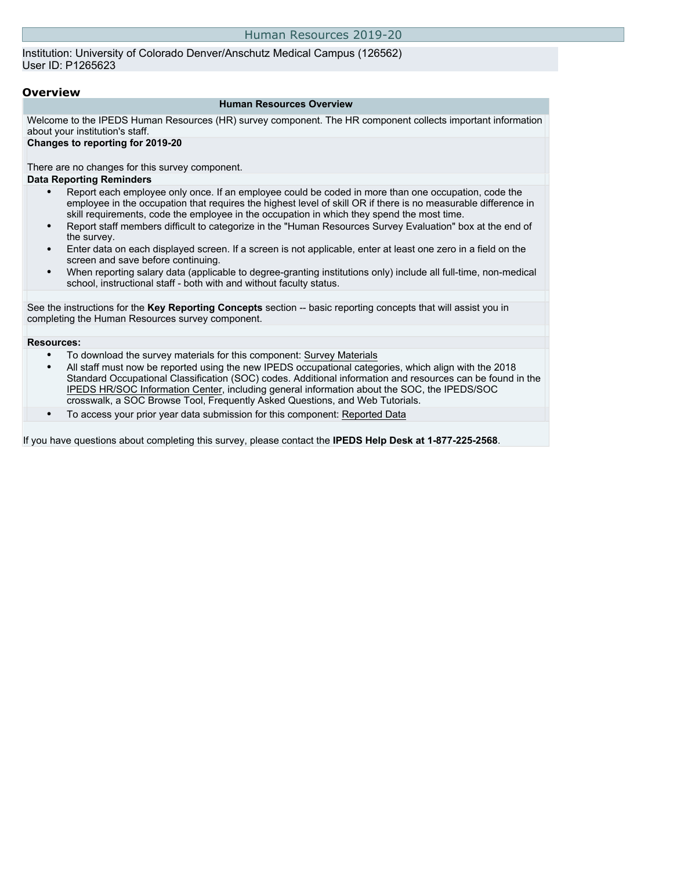Institution: University of Colorado Denver/Anschutz Medical Campus (126562) User ID: P1265623

#### **Overview**

#### **Human Resources Overview**

Welcome to the IPEDS Human Resources (HR) survey component. The HR component collects important information about your institution's staff.

#### **Changes to reporting for 2019-20**

There are no changes for this survey component. **Data Reporting Reminders**

- Report each employee only once. If an employee could be coded in more than one occupation, code the employee in the occupation that requires the highest level of skill OR if there is no measurable difference in skill requirements, code the employee in the occupation in which they spend the most time.
- Report staff members difficult to categorize in the "Human Resources Survey Evaluation" box at the end of the survey.
- Enter data on each displayed screen. If a screen is not applicable, enter at least one zero in a field on the screen and save before continuing.
- When reporting salary data (applicable to degree-granting institutions only) include all full-time, non-medical school, instructional staff - both with and without faculty status.

See the instructions for the **Key Reporting Concepts** section -- basic reporting concepts that will assist you in completing the Human Resources survey component.

#### **Resources:**

- To download the survey materials for this component: Survey Materials
- All staff must now be reported using the new IPEDS occupational categories, which align with the 2018 Standard Occupational Classification (SOC) codes. Additional information and resources can be found in the IPEDS HR/SOC Information Center, including general information about the SOC, the IPEDS/SOC crosswalk, a SOC Browse Tool, Frequently Asked Questions, and Web Tutorials.
- To access your prior year data submission for this component: Reported Data

If you have questions about completing this survey, please contact the **IPEDS Help Desk at 1-877-225-2568**.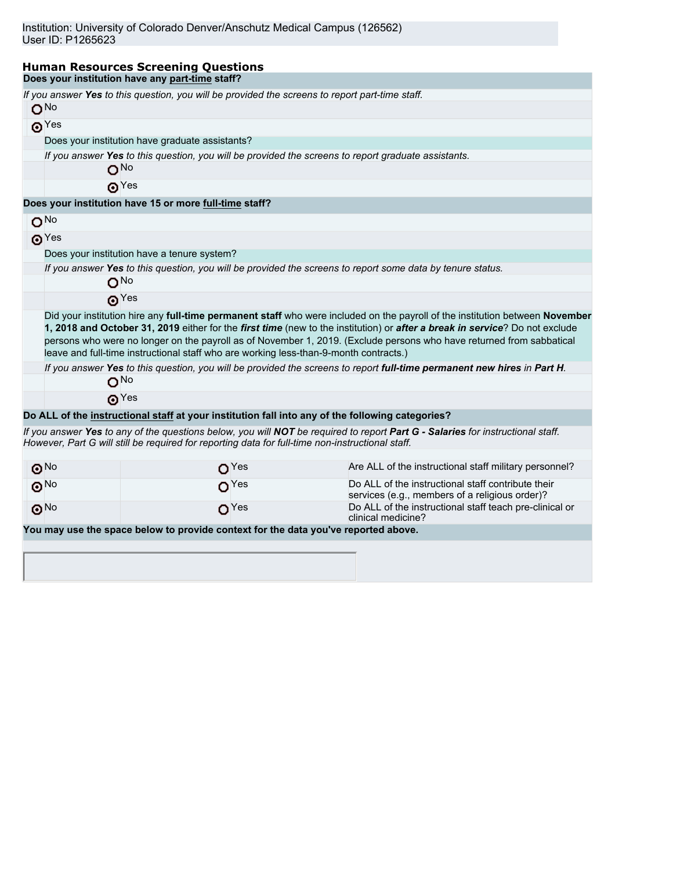| <b>Human Resources Screening Questions</b>                                                                         |                                                                                                     |                                                                                                                                                                                                                                                                                                                                                                                     |  |  |  |  |  |  |  |
|--------------------------------------------------------------------------------------------------------------------|-----------------------------------------------------------------------------------------------------|-------------------------------------------------------------------------------------------------------------------------------------------------------------------------------------------------------------------------------------------------------------------------------------------------------------------------------------------------------------------------------------|--|--|--|--|--|--|--|
| Does your institution have any part-time staff?                                                                    |                                                                                                     |                                                                                                                                                                                                                                                                                                                                                                                     |  |  |  |  |  |  |  |
| If you answer Yes to this question, you will be provided the screens to report part-time staff.<br>O <sub>No</sub> |                                                                                                     |                                                                                                                                                                                                                                                                                                                                                                                     |  |  |  |  |  |  |  |
| $\odot$ Yes                                                                                                        |                                                                                                     |                                                                                                                                                                                                                                                                                                                                                                                     |  |  |  |  |  |  |  |
| Does your institution have graduate assistants?                                                                    |                                                                                                     |                                                                                                                                                                                                                                                                                                                                                                                     |  |  |  |  |  |  |  |
| O <sub>No</sub>                                                                                                    | If you answer Yes to this question, you will be provided the screens to report graduate assistants. |                                                                                                                                                                                                                                                                                                                                                                                     |  |  |  |  |  |  |  |
| $\odot$ Yes                                                                                                        |                                                                                                     |                                                                                                                                                                                                                                                                                                                                                                                     |  |  |  |  |  |  |  |
| Does your institution have 15 or more full-time staff?                                                             |                                                                                                     |                                                                                                                                                                                                                                                                                                                                                                                     |  |  |  |  |  |  |  |
| O <sub>No</sub>                                                                                                    |                                                                                                     |                                                                                                                                                                                                                                                                                                                                                                                     |  |  |  |  |  |  |  |
| $\odot$ Yes                                                                                                        |                                                                                                     |                                                                                                                                                                                                                                                                                                                                                                                     |  |  |  |  |  |  |  |
| Does your institution have a tenure system?                                                                        |                                                                                                     |                                                                                                                                                                                                                                                                                                                                                                                     |  |  |  |  |  |  |  |
| O <sub>No</sub>                                                                                                    |                                                                                                     | If you answer Yes to this question, you will be provided the screens to report some data by tenure status.                                                                                                                                                                                                                                                                          |  |  |  |  |  |  |  |
| $\boldsymbol{\Theta}^{\text{Yes}}$                                                                                 |                                                                                                     |                                                                                                                                                                                                                                                                                                                                                                                     |  |  |  |  |  |  |  |
|                                                                                                                    | leave and full-time instructional staff who are working less-than-9-month contracts.)               | Did your institution hire any full-time permanent staff who were included on the payroll of the institution between November<br>1, 2018 and October 31, 2019 either for the first time (new to the institution) or after a break in service? Do not exclude<br>persons who were no longer on the payroll as of November 1, 2019. (Exclude persons who have returned from sabbatical |  |  |  |  |  |  |  |
| O <sub>No</sub>                                                                                                    |                                                                                                     | If you answer Yes to this question, you will be provided the screens to report full-time permanent new hires in Part H.                                                                                                                                                                                                                                                             |  |  |  |  |  |  |  |
| $\boldsymbol{\Theta}^{\text{Yes}}$                                                                                 |                                                                                                     |                                                                                                                                                                                                                                                                                                                                                                                     |  |  |  |  |  |  |  |
|                                                                                                                    |                                                                                                     | Do ALL of the instructional staff at your institution fall into any of the following categories?                                                                                                                                                                                                                                                                                    |  |  |  |  |  |  |  |
| However, Part G will still be required for reporting data for full-time non-instructional staff.                   |                                                                                                     | If you answer Yes to any of the questions below, you will NOT be required to report Part G - Salaries for instructional staff.                                                                                                                                                                                                                                                      |  |  |  |  |  |  |  |
| $\odot$ No                                                                                                         | O <sup>Yes</sup>                                                                                    | Are ALL of the instructional staff military personnel?                                                                                                                                                                                                                                                                                                                              |  |  |  |  |  |  |  |
| $\odot$ <sup>No</sup>                                                                                              | O <sup>Yes</sup>                                                                                    | Do ALL of the instructional staff contribute their<br>services (e.g., members of a religious order)?                                                                                                                                                                                                                                                                                |  |  |  |  |  |  |  |
| $\odot$ <sup>No</sup>                                                                                              | O <sup>Yes</sup>                                                                                    | Do ALL of the instructional staff teach pre-clinical or<br>clinical medicine?                                                                                                                                                                                                                                                                                                       |  |  |  |  |  |  |  |
| You may use the space below to provide context for the data you've reported above.                                 |                                                                                                     |                                                                                                                                                                                                                                                                                                                                                                                     |  |  |  |  |  |  |  |
|                                                                                                                    |                                                                                                     |                                                                                                                                                                                                                                                                                                                                                                                     |  |  |  |  |  |  |  |
|                                                                                                                    |                                                                                                     |                                                                                                                                                                                                                                                                                                                                                                                     |  |  |  |  |  |  |  |
|                                                                                                                    |                                                                                                     |                                                                                                                                                                                                                                                                                                                                                                                     |  |  |  |  |  |  |  |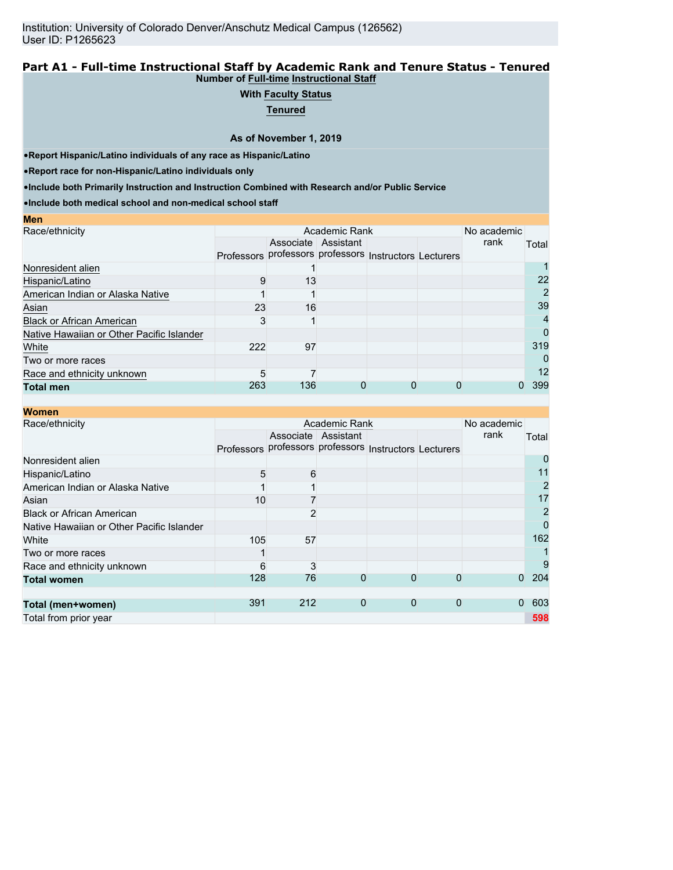#### **Part A1 - Full-time Instructional Staff by Academic Rank and Tenure Status - Tenured Number of Full-time Instructional Staff**

## **With Faculty Status**

**Tenured**

**As of November 1, 2019**

•**Report Hispanic/Latino individuals of any race as Hispanic/Latino**

•**Report race for non-Hispanic/Latino individuals only**

**Men**

•**Include both Primarily Instruction and Instruction Combined with Research and/or Public Service**

•**Include both medical school and non-medical school staff**

|    |                                                     |                                  |               | rank | Total                                                      |
|----|-----------------------------------------------------|----------------------------------|---------------|------|------------------------------------------------------------|
|    |                                                     |                                  |               |      |                                                            |
|    |                                                     |                                  |               |      |                                                            |
|    |                                                     |                                  |               |      | 22                                                         |
|    |                                                     |                                  |               |      | 2                                                          |
|    |                                                     |                                  |               |      | 39                                                         |
|    |                                                     |                                  |               |      | 4                                                          |
|    |                                                     |                                  |               |      | 0                                                          |
| 97 |                                                     |                                  |               |      | 319                                                        |
|    |                                                     |                                  |               |      | 0                                                          |
|    |                                                     |                                  |               |      | 12                                                         |
|    |                                                     |                                  |               |      | 399                                                        |
|    | Professors<br>13<br>9<br>23<br>3<br>222<br>5<br>263 | Associate Assistant<br>16<br>136 | Academic Rank |      | No academic<br>professors professors Instructors Lecturers |

| <b>Women</b>                              |                   |     |                     |                                             |             |             |                |
|-------------------------------------------|-------------------|-----|---------------------|---------------------------------------------|-------------|-------------|----------------|
| Race/ethnicity                            |                   |     | Academic Rank       |                                             |             | No academic |                |
|                                           |                   |     | Associate Assistant |                                             |             | rank        | Total          |
|                                           | <b>Professors</b> |     |                     | professors professors Instructors Lecturers |             |             |                |
| Nonresident alien                         |                   |     |                     |                                             |             |             |                |
| Hispanic/Latino                           | 5                 | 6   |                     |                                             |             |             | 11             |
| American Indian or Alaska Native          |                   |     |                     |                                             |             |             | 2              |
| Asian                                     | 10                |     |                     |                                             |             |             | 17             |
| <b>Black or African American</b>          |                   |     |                     |                                             |             |             | $\overline{2}$ |
| Native Hawaiian or Other Pacific Islander |                   |     |                     |                                             |             |             | 0              |
| White                                     | 105               | 57  |                     |                                             |             |             | 162            |
| Two or more races                         |                   |     |                     |                                             |             |             |                |
| Race and ethnicity unknown                | 6                 | 3   |                     |                                             |             |             | 9              |
| <b>Total women</b>                        | 128               | 76  | 0                   | 0                                           | 0           | $\Omega$    | 204            |
|                                           |                   |     |                     |                                             |             |             |                |
| Total (men+women)                         | 391               | 212 | 0                   | $\mathbf 0$                                 | $\mathbf 0$ | $\Omega$    | 603            |
| Total from prior year                     |                   |     |                     |                                             |             |             | 598            |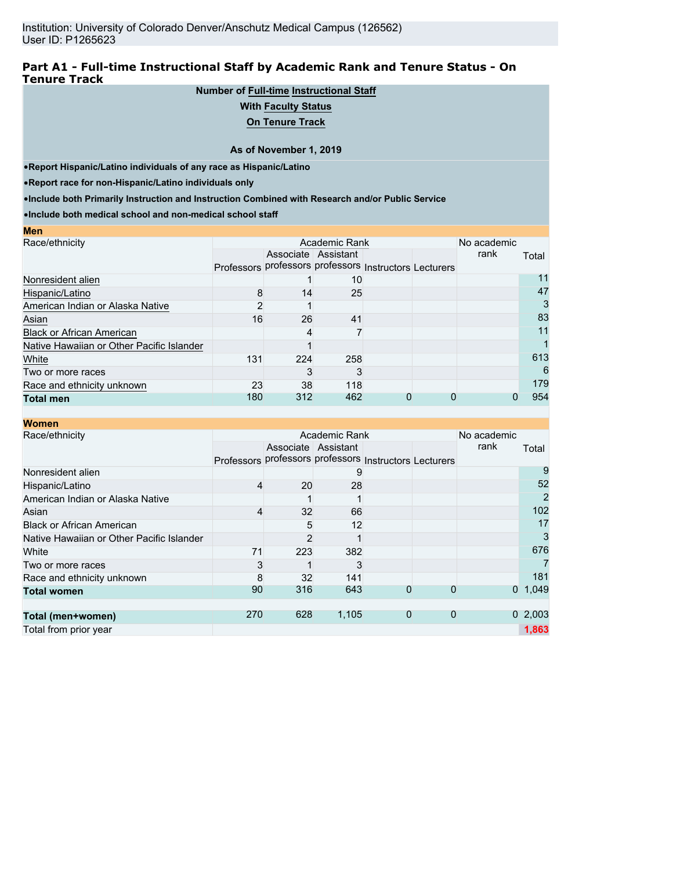## **Part A1 - Full-time Instructional Staff by Academic Rank and Tenure Status - On Tenure Track**

## **Number of Full-time Instructional Staff**

#### **With Faculty Status**

**On Tenure Track**

#### **As of November 1, 2019**

•**Report Hispanic/Latino individuals of any race as Hispanic/Latino**

•**Report race for non-Hispanic/Latino individuals only**

**Men**

•**Include both Primarily Instruction and Instruction Combined with Research and/or Public Service**

•**Include both medical school and non-medical school staff**

| шы                                        |     |                                                        |                 |  |             |       |
|-------------------------------------------|-----|--------------------------------------------------------|-----------------|--|-------------|-------|
| Race/ethnicity                            |     |                                                        | Academic Rank   |  | No academic |       |
|                                           |     | Associate Assistant                                    |                 |  | rank        | Total |
|                                           |     | Professors professors professors Instructors Lecturers |                 |  |             |       |
| Nonresident alien                         |     |                                                        | 10 <sup>°</sup> |  |             | 11    |
| Hispanic/Latino                           | 8   | 14                                                     | 25              |  |             | 47    |
| American Indian or Alaska Native          |     |                                                        |                 |  |             | 3     |
| Asian                                     | 16  | 26                                                     | 41              |  |             | 83    |
| <b>Black or African American</b>          |     | 4                                                      |                 |  |             | 11    |
| Native Hawaiian or Other Pacific Islander |     |                                                        |                 |  |             |       |
| White                                     | 131 | 224                                                    | 258             |  |             | 613   |
| Two or more races                         |     |                                                        |                 |  |             | 6     |
| Race and ethnicity unknown                | 23  | 38                                                     | 118             |  |             | 179   |
| <b>Total men</b>                          | 180 | 312                                                    | 462             |  |             | 954   |
|                                           |     |                                                        |                 |  |             |       |

#### **Women** Race/ethnicity **Academic Rank Academic Rank** Professors professors professors Instructors Lecturers Associate | Assistant No academic<br>rank **Total** Nonresident alien 9 9 Hispanic/Latino 28 52 American Indian or Alaska Native 1 1 2 Asian 4 32 66 102 Black or African American 6 12 17 Native Hawaiian or Other Pacific Islander 2 1 3 White 223 382 **71** 223 382 676 Two or more races 3 1 3 7 Race and ethnicity unknown **8** 32 141<br> **Total women 8** 32 141 **1**  181 **Total women** 90 316 643 0 0 0 1,049 **Total (men+women)** 270 628 1,105 0 0 0 2,003 Total from prior year **1,863**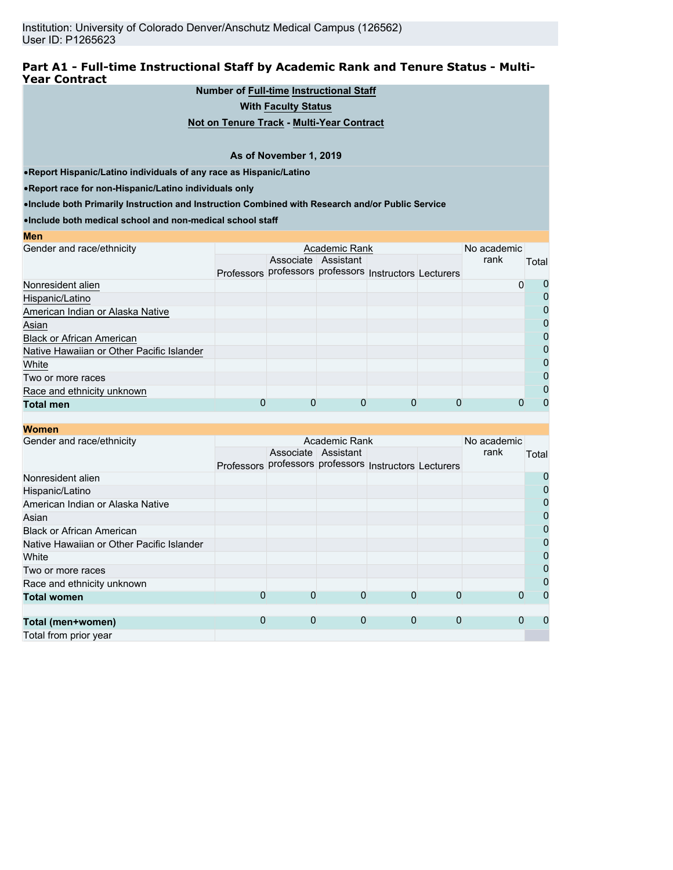## **Part A1 - Full-time Instructional Staff by Academic Rank and Tenure Status - Multi-Year Contract**

## **Number of Full-time Instructional Staff**

**With Faculty Status**

#### **Not on Tenure Track - Multi-Year Contract**

#### **As of November 1, 2019**

•**Report Hispanic/Latino individuals of any race as Hispanic/Latino**

•**Report race for non-Hispanic/Latino individuals only**

•**Include both Primarily Instruction and Instruction Combined with Research and/or Public Service**

•**Include both medical school and non-medical school staff**

| No academic<br>Gender and race/ethnicity<br>Academic Rank<br>rank<br>Associate Assistant<br>Professors professors professors Instructors Lecturers | Total<br>O<br>0 |
|----------------------------------------------------------------------------------------------------------------------------------------------------|-----------------|
|                                                                                                                                                    |                 |
|                                                                                                                                                    |                 |
|                                                                                                                                                    |                 |
| Nonresident alien                                                                                                                                  |                 |
| Hispanic/Latino                                                                                                                                    | $\mathbf{0}$    |
| American Indian or Alaska Native                                                                                                                   | 0               |
| Asian                                                                                                                                              | 0               |
| <b>Black or African American</b>                                                                                                                   | 0               |
| Native Hawaiian or Other Pacific Islander                                                                                                          | 0               |
| White                                                                                                                                              | 0               |
| Two or more races                                                                                                                                  | 0               |
| Race and ethnicity unknown                                                                                                                         |                 |
| 0<br>0<br>O<br><b>Total men</b>                                                                                                                    | $\mathbf{I}$    |

## **Women**

**Men**

| wullell                                   |             |                                                        |                     |          |             |             |       |                |
|-------------------------------------------|-------------|--------------------------------------------------------|---------------------|----------|-------------|-------------|-------|----------------|
| Gender and race/ethnicity                 |             |                                                        | Academic Rank       |          |             | No academic |       |                |
|                                           |             |                                                        | Associate Assistant |          |             | rank        | Total |                |
|                                           |             | Professors professors professors Instructors Lecturers |                     |          |             |             |       |                |
| Nonresident alien                         |             |                                                        |                     |          |             |             |       | 0              |
| Hispanic/Latino                           |             |                                                        |                     |          |             |             |       | 0              |
| American Indian or Alaska Native          |             |                                                        |                     |          |             |             |       | 0              |
| Asian                                     |             |                                                        |                     |          |             |             |       | $\mathbf 0$    |
| <b>Black or African American</b>          |             |                                                        |                     |          |             |             |       | 0              |
| Native Hawaiian or Other Pacific Islander |             |                                                        |                     |          |             |             |       | 0              |
| White                                     |             |                                                        |                     |          |             |             |       | 0              |
| Two or more races                         |             |                                                        |                     |          |             |             |       | $\overline{0}$ |
| Race and ethnicity unknown                |             |                                                        |                     |          |             |             |       | 0              |
| <b>Total women</b>                        | $\mathbf 0$ | $\Omega$                                               | 0                   | $\Omega$ | $\mathbf 0$ |             |       | $\Omega$       |
|                                           |             |                                                        |                     |          |             |             |       |                |
| Total (men+women)                         | 0           | $\mathbf 0$                                            | 0                   | 0        | $\mathbf 0$ |             |       | $\Omega$       |
| Total from prior year                     |             |                                                        |                     |          |             |             |       |                |
|                                           |             |                                                        |                     |          |             |             |       |                |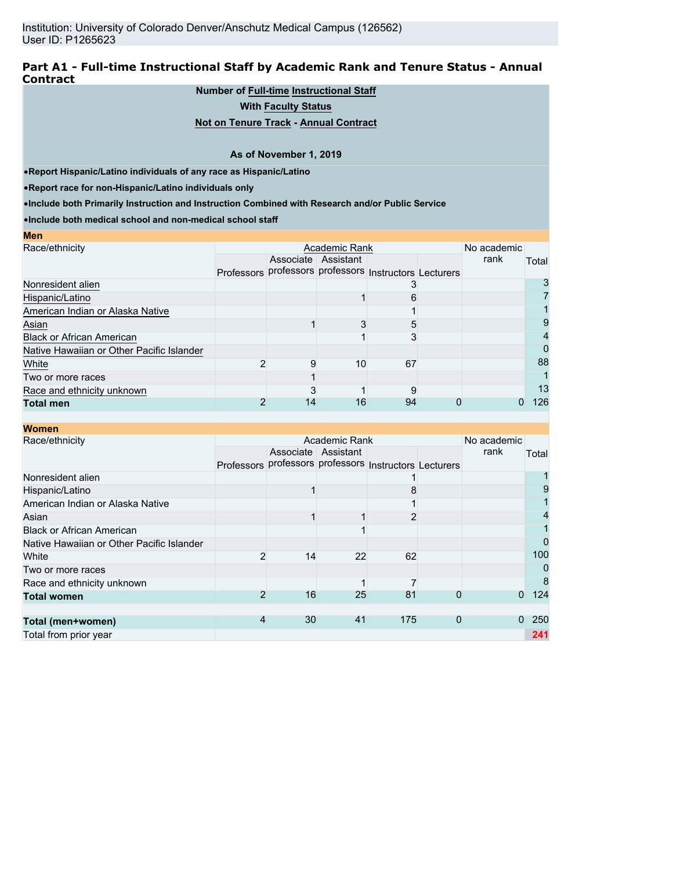## **Part A1 - Full-time Instructional Staff by Academic Rank and Tenure Status - Annual Contract**

## **Number of Full-time Instructional Staff**

**With Faculty Status**

## **Not on Tenure Track - Annual Contract**

#### **As of November 1, 2019**

•**Report Hispanic/Latino individuals of any race as Hispanic/Latino**

•**Report race for non-Hispanic/Latino individuals only**

**Men**

•**Include both Primarily Instruction and Instruction Combined with Research and/or Public Service**

•**Include both medical school and non-medical school staff**

| <b>IVIC II</b>                            |    |                     |                                                        |             |       |
|-------------------------------------------|----|---------------------|--------------------------------------------------------|-------------|-------|
| Race/ethnicity                            |    | Academic Rank       |                                                        | No academic |       |
|                                           |    | Associate Assistant |                                                        | rank        | Total |
|                                           |    |                     | Professors professors professors Instructors Lecturers |             |       |
| Nonresident alien                         |    |                     |                                                        |             |       |
| Hispanic/Latino                           |    |                     |                                                        |             |       |
| American Indian or Alaska Native          |    |                     |                                                        |             |       |
| Asian                                     |    |                     | 5                                                      |             |       |
| <b>Black or African American</b>          |    |                     |                                                        |             |       |
| Native Hawaiian or Other Pacific Islander |    |                     |                                                        |             | 0     |
| White                                     |    | 10                  | 67                                                     |             | 88    |
| Two or more races                         |    |                     |                                                        |             |       |
| Race and ethnicity unknown                |    |                     |                                                        |             | 13    |
| <b>Total men</b>                          | 14 | 16                  | 94                                                     |             | 126   |

| <b>Women</b>                              |                                                        |    |                     |     |   |             |          |
|-------------------------------------------|--------------------------------------------------------|----|---------------------|-----|---|-------------|----------|
| Race/ethnicity                            |                                                        |    | Academic Rank       |     |   | No academic |          |
|                                           |                                                        |    | Associate Assistant |     |   | rank        | Total    |
|                                           | Professors professors professors Instructors Lecturers |    |                     |     |   |             |          |
| Nonresident alien                         |                                                        |    |                     |     |   |             |          |
| Hispanic/Latino                           |                                                        |    |                     |     |   |             | 9        |
| American Indian or Alaska Native          |                                                        |    |                     |     |   |             |          |
| Asian                                     |                                                        |    |                     |     |   |             | 4        |
| <b>Black or African American</b>          |                                                        |    |                     |     |   |             |          |
| Native Hawaiian or Other Pacific Islander |                                                        |    |                     |     |   |             | $\Omega$ |
| White                                     | 2                                                      | 14 | 22                  | 62  |   |             | 100      |
| Two or more races                         |                                                        |    |                     |     |   |             | 0        |
| Race and ethnicity unknown                |                                                        |    |                     |     |   |             | 8        |
| <b>Total women</b>                        | 2                                                      | 16 | 25                  | 81  | 0 | $\Omega$    | 124      |
|                                           |                                                        |    |                     |     |   |             |          |
| Total (men+women)                         | 4                                                      | 30 | 41                  | 175 | 0 | $\Omega$    | 250      |
| Total from prior year                     |                                                        |    |                     |     |   |             | 241      |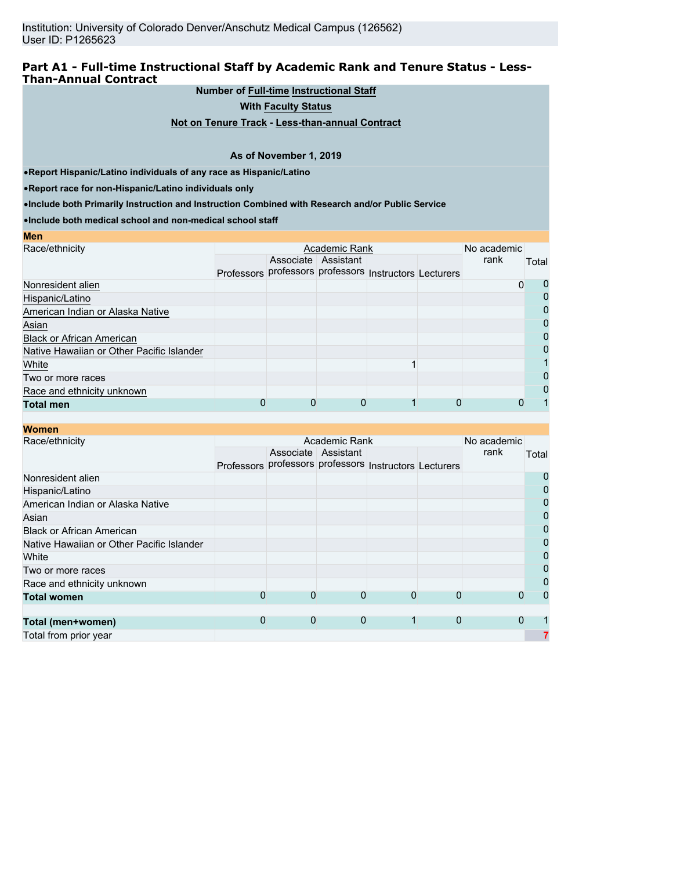## **Part A1 - Full-time Instructional Staff by Academic Rank and Tenure Status - Less-Than-Annual Contract**

#### **Number of Full-time Instructional Staff**

**With Faculty Status**

**Not on Tenure Track - Less-than-annual Contract**

#### **As of November 1, 2019**

•**Report Hispanic/Latino individuals of any race as Hispanic/Latino**

•**Report race for non-Hispanic/Latino individuals only**

**Men**

•**Include both Primarily Instruction and Instruction Combined with Research and/or Public Service**

•**Include both medical school and non-medical school staff**

| <b>IVIC II</b>                            |                                                        |                     |  |             |              |
|-------------------------------------------|--------------------------------------------------------|---------------------|--|-------------|--------------|
| Race/ethnicity                            |                                                        | Academic Rank       |  | No academic |              |
|                                           |                                                        | Associate Assistant |  | rank        | Total        |
|                                           | Professors professors professors Instructors Lecturers |                     |  |             |              |
| Nonresident alien                         |                                                        |                     |  | 0           | O            |
| Hispanic/Latino                           |                                                        |                     |  |             | 0            |
| American Indian or Alaska Native          |                                                        |                     |  |             | 0            |
| Asian                                     |                                                        |                     |  |             |              |
| <b>Black or African American</b>          |                                                        |                     |  |             | 0            |
| Native Hawaiian or Other Pacific Islander |                                                        |                     |  |             | 0            |
| White                                     |                                                        |                     |  |             |              |
| Two or more races                         |                                                        |                     |  |             | $\mathbf{I}$ |
| Race and ethnicity unknown                |                                                        |                     |  |             |              |
| <b>Total men</b>                          |                                                        |                     |  |             |              |
|                                           |                                                        |                     |  |             |              |

| <b>Women</b>                              |                   |   |                                             |   |             |             |       |
|-------------------------------------------|-------------------|---|---------------------------------------------|---|-------------|-------------|-------|
| Race/ethnicity                            |                   |   | Academic Rank                               |   |             | No academic |       |
|                                           |                   |   | Associate Assistant                         |   |             | rank        | Total |
|                                           | <b>Professors</b> |   | professors professors Instructors Lecturers |   |             |             |       |
| Nonresident alien                         |                   |   |                                             |   |             |             | 0     |
| Hispanic/Latino                           |                   |   |                                             |   |             |             | 0     |
| American Indian or Alaska Native          |                   |   |                                             |   |             |             | 0     |
| Asian                                     |                   |   |                                             |   |             |             | 0     |
| <b>Black or African American</b>          |                   |   |                                             |   |             |             | 0     |
| Native Hawaiian or Other Pacific Islander |                   |   |                                             |   |             |             | 0     |
| White                                     |                   |   |                                             |   |             |             | 0     |
| Two or more races                         |                   |   |                                             |   |             |             | 0     |
| Race and ethnicity unknown                |                   |   |                                             |   |             |             | 0     |
| <b>Total women</b>                        | 0                 | 0 | 0                                           | 0 | $\Omega$    | 0           | 0     |
|                                           |                   |   |                                             |   |             |             |       |
| Total (men+women)                         | 0                 | 0 | 0                                           | 1 | $\mathbf 0$ | $\Omega$    |       |
| Total from prior year                     |                   |   |                                             |   |             |             |       |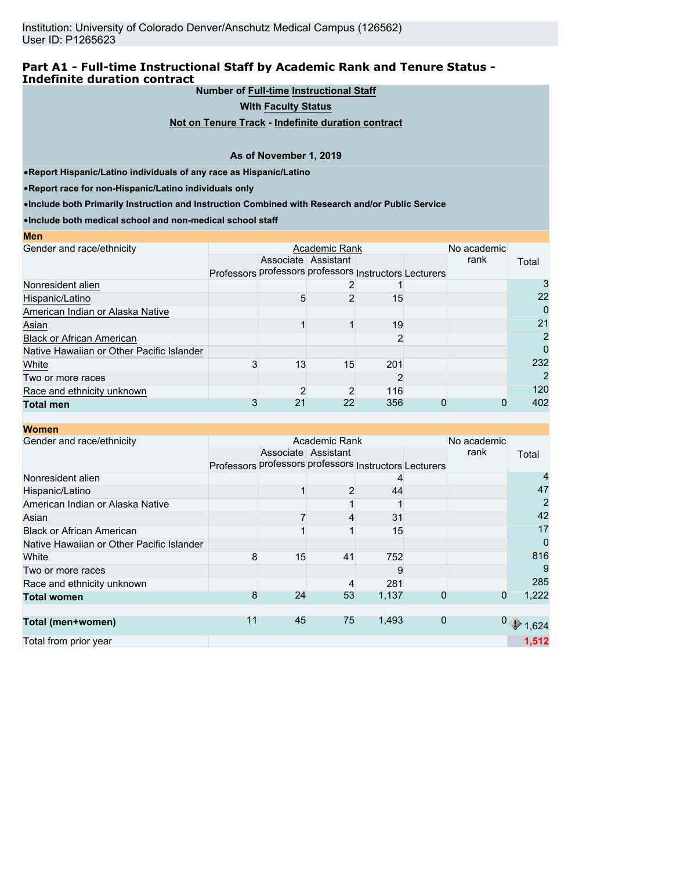### **Part A1 - Full-time Instructional Staff by Academic Rank and Tenure Status - Indefinite duration contract**

## **Number of Full-time Instructional Staff**

**With Faculty Status**

**Not on Tenure Track - Indefinite duration contract**

#### **As of November 1, 2019**

•**Report Hispanic/Latino individuals of any race as Hispanic/Latino**

•**Report race for non-Hispanic/Latino individuals only**

•**Include both Primarily Instruction and Instruction Combined with Research and/or Public Service**

•**Include both medical school and non-medical school staff**

| <b>IVIC II</b>                            |                                                        |                     |               |     |   |             |       |
|-------------------------------------------|--------------------------------------------------------|---------------------|---------------|-----|---|-------------|-------|
| Gender and race/ethnicity                 |                                                        |                     | Academic Rank |     |   | No academic |       |
|                                           |                                                        | Associate Assistant |               |     |   | rank        | Total |
|                                           | Professors professors professors Instructors Lecturers |                     |               |     |   |             |       |
| Nonresident alien                         |                                                        |                     |               |     |   |             |       |
| Hispanic/Latino                           |                                                        | 5                   |               | 15  |   |             | 22    |
| American Indian or Alaska Native          |                                                        |                     |               |     |   |             | 0     |
| Asian                                     |                                                        |                     |               | 19  |   |             | 21    |
| <b>Black or African American</b>          |                                                        |                     |               |     |   |             | 2     |
| Native Hawaiian or Other Pacific Islander |                                                        |                     |               |     |   |             | 0     |
| White                                     |                                                        | 13                  | 15            | 201 |   |             | 232   |
| Two or more races                         |                                                        |                     |               |     |   |             | 2     |
| Race and ethnicity unknown                |                                                        | ◠                   | 2             | 116 |   |             | 120   |
| <b>Total men</b>                          |                                                        | 21                  | 22            | 356 | O | 0           | 402   |
|                                           |                                                        |                     |               |     |   |             |       |

#### **Women**

**Men**

| Gender and race/ethnicity                 |                                                        |    | Academic Rank       |       |          | No academic |                                                  |
|-------------------------------------------|--------------------------------------------------------|----|---------------------|-------|----------|-------------|--------------------------------------------------|
|                                           |                                                        |    | Associate Assistant |       |          | rank        | Total                                            |
|                                           | Professors professors professors Instructors Lecturers |    |                     |       |          |             |                                                  |
| Nonresident alien                         |                                                        |    |                     | 4     |          |             |                                                  |
| Hispanic/Latino                           |                                                        |    | 2                   | 44    |          |             | 47                                               |
| American Indian or Alaska Native          |                                                        |    |                     |       |          |             | $\overline{2}$                                   |
| Asian                                     |                                                        |    |                     | 31    |          |             | 42                                               |
| <b>Black or African American</b>          |                                                        |    |                     | 15    |          |             | 17                                               |
| Native Hawaiian or Other Pacific Islander |                                                        |    |                     |       |          |             | $\overline{0}$                                   |
| White                                     | 8                                                      | 15 | 41                  | 752   |          |             | 816                                              |
| Two or more races                         |                                                        |    |                     | 9     |          |             | 9                                                |
| Race and ethnicity unknown                |                                                        |    | 4                   | 281   |          |             | 285                                              |
| <b>Total women</b>                        | 8                                                      | 24 | 53                  | 1,137 |          | $\mathbf 0$ | 1,222                                            |
|                                           |                                                        |    |                     |       |          |             |                                                  |
| Total (men+women)                         | 11                                                     | 45 | 75                  | 1,493 | $\Omega$ |             | $\begin{smallmatrix}0&\\&1,624\end{smallmatrix}$ |
| Total from prior year                     |                                                        |    |                     |       |          |             | 1,512                                            |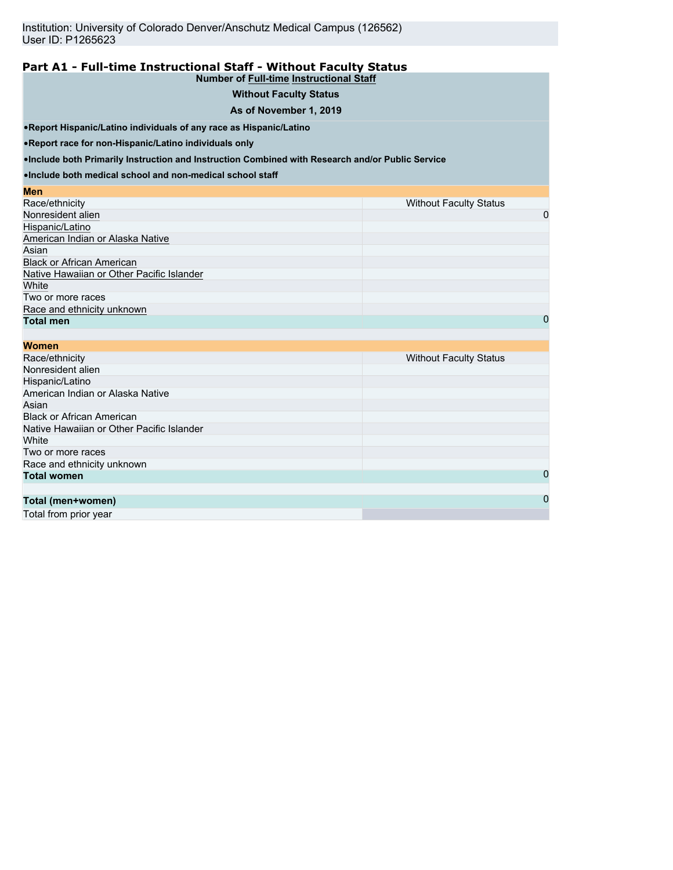#### **Part A1 - Full-time Instructional Staff - Without Faculty Status Number of Full-time Instructional Staff**

| <b>Without Faculty Status</b> |  |
|-------------------------------|--|
|                               |  |

#### **As of November 1, 2019**

•**Report Hispanic/Latino individuals of any race as Hispanic/Latino**

•**Report race for non-Hispanic/Latino individuals only**

•**Include both Primarily Instruction and Instruction Combined with Research and/or Public Service**

•**Include both medical school and non-medical school staff**

| Men                                       |                               |
|-------------------------------------------|-------------------------------|
| Race/ethnicity                            | <b>Without Faculty Status</b> |
| Nonresident alien                         | 0                             |
| Hispanic/Latino                           |                               |
| American Indian or Alaska Native          |                               |
| Asian                                     |                               |
| <b>Black or African American</b>          |                               |
| Native Hawaiian or Other Pacific Islander |                               |
| White                                     |                               |
| Two or more races                         |                               |
| Race and ethnicity unknown                |                               |
| <b>Total men</b>                          | 0                             |

| <b>Women</b>                              |                               |
|-------------------------------------------|-------------------------------|
| Race/ethnicity                            | <b>Without Faculty Status</b> |
| Nonresident alien                         |                               |
| Hispanic/Latino                           |                               |
| American Indian or Alaska Native          |                               |
| Asian                                     |                               |
| <b>Black or African American</b>          |                               |
| Native Hawaiian or Other Pacific Islander |                               |
| White                                     |                               |
| Two or more races                         |                               |
| Race and ethnicity unknown                |                               |
| <b>Total women</b>                        | 0                             |
|                                           |                               |
| Total (men+women)                         | $\mathbf 0$                   |

Total from prior year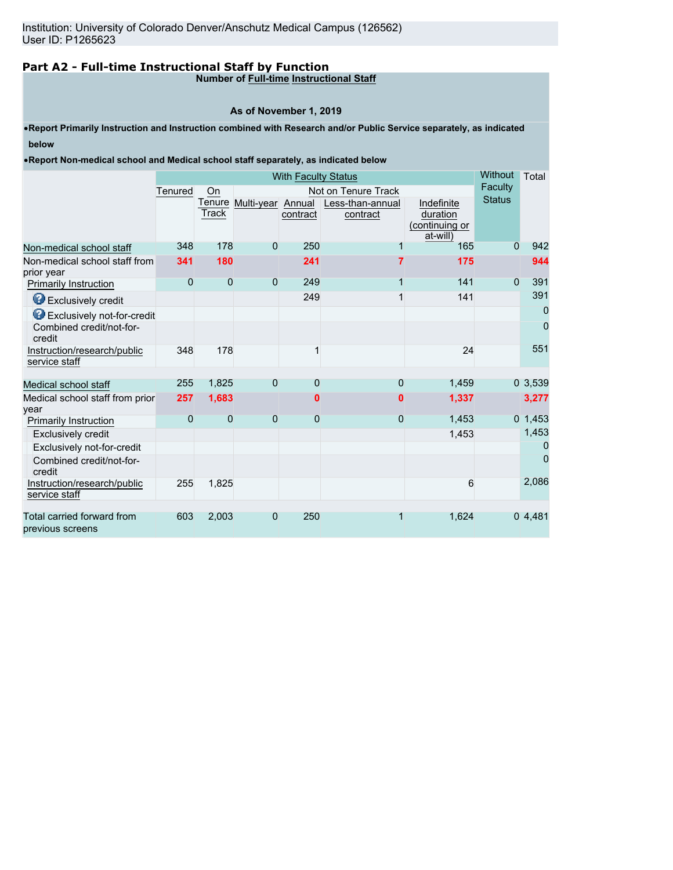# **Part A2 - Full-time Instructional Staff by Function**

**Number of Full-time Instructional Staff**

#### **As of November 1, 2019**

•**Report Primarily Instruction and Instruction combined with Research and/or Public Service separately, as indicated below**

•**Report Non-medical school and Medical school staff separately, as indicated below**

|                                                |         | <b>With Faculty Status</b> |                          |          |                              |                                                      |               |           |
|------------------------------------------------|---------|----------------------------|--------------------------|----------|------------------------------|------------------------------------------------------|---------------|-----------|
|                                                | Tenured | On                         |                          |          | Not on Tenure Track          |                                                      | Faculty       |           |
|                                                |         | Track                      | Tenure Multi-year Annual | contract | Less-than-annual<br>contract | Indefinite<br>duration<br>(continuing or<br>at-will) | <b>Status</b> |           |
| Non-medical school staff                       | 348     | 178                        | $\Omega$                 | 250      |                              | 165                                                  | $\Omega$      | 942       |
| Non-medical school staff from<br>prior year    | 341     | 180                        |                          | 241      |                              | 175                                                  |               | 944       |
| <b>Primarily Instruction</b>                   | 0       | $\overline{0}$             | $\Omega$                 | 249      | 1                            | 141                                                  | $\mathbf{0}$  | 391       |
| Exclusively credit                             |         |                            |                          | 249      | 1                            | 141                                                  |               | 391       |
| <b>B</b> Exclusively not-for-credit            |         |                            |                          |          |                              |                                                      |               | 0         |
| Combined credit/not-for-<br>credit             |         |                            |                          |          |                              |                                                      |               | 0         |
| Instruction/research/public<br>service staff   | 348     | 178                        |                          |          |                              | 24                                                   |               | 551       |
|                                                |         |                            |                          |          |                              |                                                      |               |           |
| Medical school staff                           | 255     | 1,825                      | $\overline{0}$           | $\Omega$ | 0                            | 1,459                                                |               | 03,539    |
| Medical school staff from prior<br>vear        | 257     | 1,683                      |                          | 0        | 0                            | 1,337                                                |               | 3,277     |
| <b>Primarily Instruction</b>                   | 0       | $\overline{0}$             | $\Omega$                 | $\Omega$ | 0                            | 1,453                                                |               | 0, 1, 453 |
| Exclusively credit                             |         |                            |                          |          |                              | 1,453                                                |               | 1,453     |
| Exclusively not-for-credit                     |         |                            |                          |          |                              |                                                      |               | 0         |
| Combined credit/not-for-<br>credit             |         |                            |                          |          |                              |                                                      |               | 0         |
| Instruction/research/public<br>service staff   | 255     | 1,825                      |                          |          |                              | 6                                                    |               | 2,086     |
|                                                |         |                            |                          |          |                              |                                                      |               |           |
| Total carried forward from<br>previous screens | 603     | 2,003                      | $\Omega$                 | 250      | 1                            | 1,624                                                |               | 04,481    |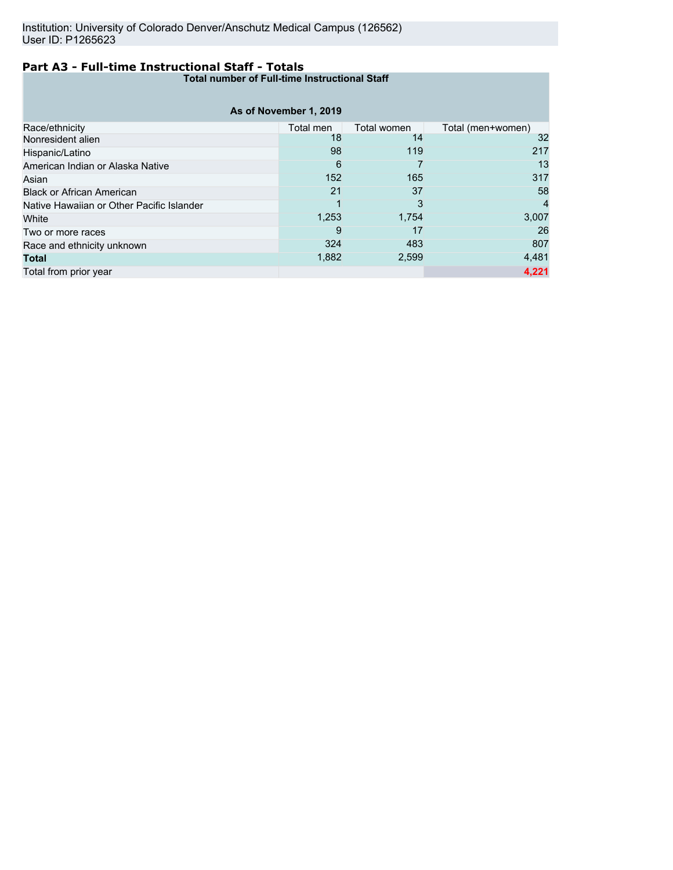# **Part A3 - Full-time Instructional Staff - Totals**

**Total number of Full-time Instructional Staff**

|                                           | As of November 1, 2019 |             |                   |
|-------------------------------------------|------------------------|-------------|-------------------|
| Race/ethnicity                            | Total men              | Total women | Total (men+women) |
| Nonresident alien                         | 18                     | 14          | 32                |
| Hispanic/Latino                           | 98                     | 119         | 217               |
| American Indian or Alaska Native          | 6                      |             | 13                |
| Asian                                     | 152                    | 165         | 317               |
| <b>Black or African American</b>          | 21                     | 37          | 58                |
| Native Hawaiian or Other Pacific Islander |                        | 3           | 4                 |
| White                                     | 1,253                  | 1,754       | 3,007             |
| Two or more races                         | 9                      | 17          | 26                |
| Race and ethnicity unknown                | 324                    | 483         | 807               |
| <b>Total</b>                              | 1,882                  | 2,599       | 4,481             |
| Total from prior year                     |                        |             | 4,221             |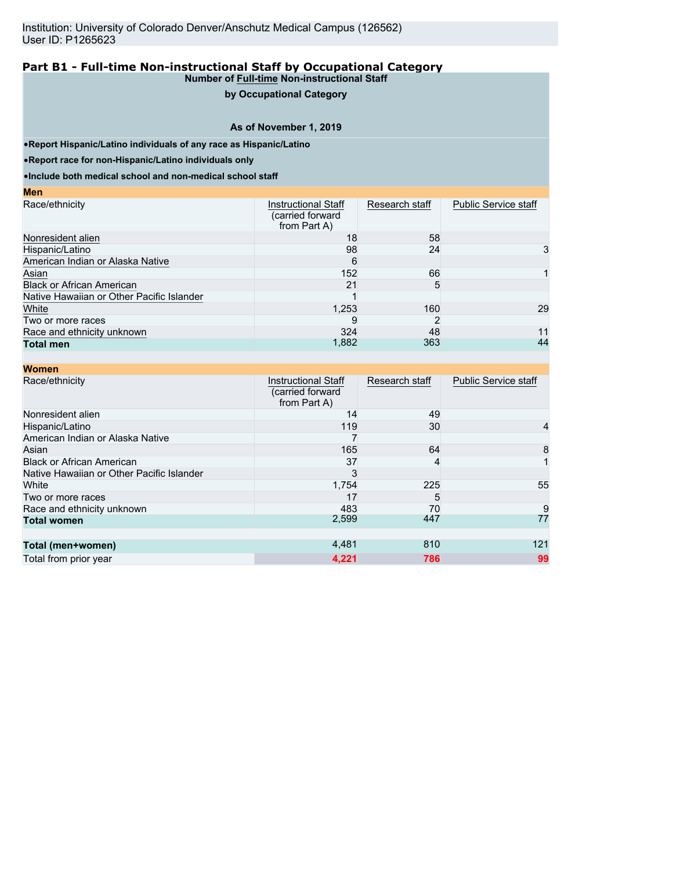## **by Occupational Category**

#### **As of November 1, 2019**

•**Report Hispanic/Latino individuals of any race as Hispanic/Latino**

•**Report race for non-Hispanic/Latino individuals only**

**Men**

•**Include both medical school and non-medical school staff**

| ww                                        |                                                         |                |                             |
|-------------------------------------------|---------------------------------------------------------|----------------|-----------------------------|
| Race/ethnicity                            | Instructional Staff<br>(carried forward<br>from Part A) | Research staff | <b>Public Service staff</b> |
| Nonresident alien                         | 18                                                      | 58             |                             |
| Hispanic/Latino                           | 98                                                      | 24             | 3                           |
| American Indian or Alaska Native          | 6                                                       |                |                             |
| Asian                                     | 152                                                     | 66             |                             |
| <b>Black or African American</b>          | 21                                                      | 5              |                             |
| Native Hawaiian or Other Pacific Islander |                                                         |                |                             |
| White                                     | 1,253                                                   | 160            | 29                          |
| Two or more races                         |                                                         |                |                             |
| Race and ethnicity unknown                | 324                                                     | 48             | 11                          |
| <b>Total men</b>                          | 1,882                                                   | 363            | 44                          |

| <b>Women</b>                              |                                                                |                |                             |
|-------------------------------------------|----------------------------------------------------------------|----------------|-----------------------------|
| Race/ethnicity                            | <b>Instructional Staff</b><br>(carried forward<br>from Part A) | Research staff | <b>Public Service staff</b> |
| Nonresident alien                         | 14                                                             | 49             |                             |
| Hispanic/Latino                           | 119                                                            | 30             | 4                           |
| American Indian or Alaska Native          |                                                                |                |                             |
| Asian                                     | 165                                                            | 64             | 8                           |
| <b>Black or African American</b>          | 37                                                             | 4              |                             |
| Native Hawaiian or Other Pacific Islander | 3                                                              |                |                             |
| White                                     | 1,754                                                          | 225            | 55                          |
| Two or more races                         | 17                                                             | 5              |                             |
| Race and ethnicity unknown                | 483                                                            | 70             | 9                           |
| <b>Total women</b>                        | 2,599                                                          | 447            | 77                          |
|                                           |                                                                |                |                             |
| Total (men+women)                         | 4,481                                                          | 810            | 121                         |
| Total from prior year                     | 4,221                                                          | 786            | 99                          |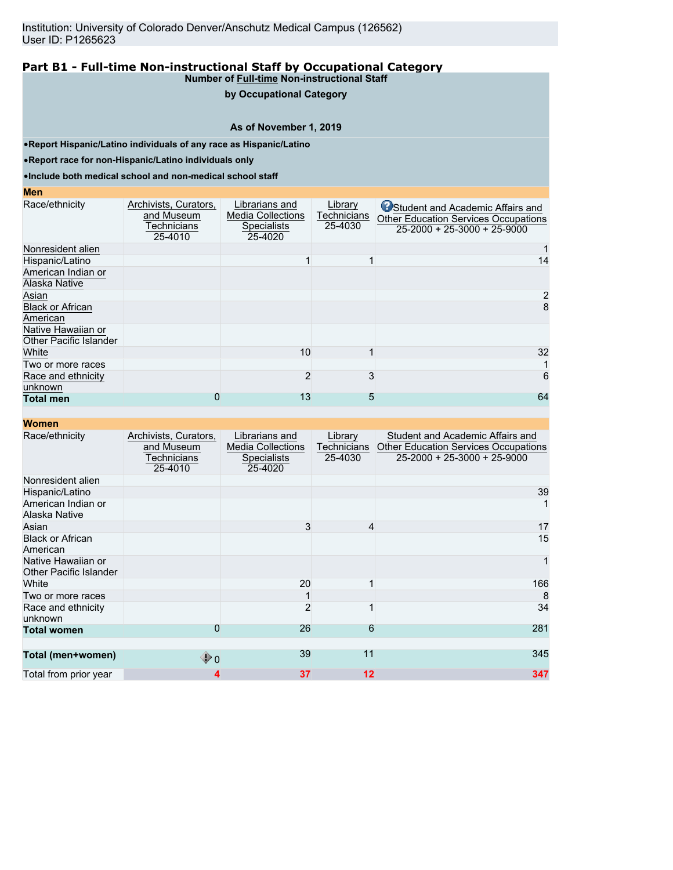#### **by Occupational Category**

## **As of November 1, 2019**

•**Report Hispanic/Latino individuals of any race as Hispanic/Latino**

•**Report race for non-Hispanic/Latino individuals only**

•**Include both medical school and non-medical school staff**

#### **Men**

| Race/ethnicity                                      | Archivists, Curators,<br>and Museum<br>Technicians<br>25-4010 | Librarians and<br><b>Media Collections</b><br><b>Specialists</b><br>25-4020 | Library<br>Technicians<br>25-4030 | Student and Academic Affairs and<br><b>Other Education Services Occupations</b><br>$25-2000 + 25-3000 + 25-9000$ |
|-----------------------------------------------------|---------------------------------------------------------------|-----------------------------------------------------------------------------|-----------------------------------|------------------------------------------------------------------------------------------------------------------|
| Nonresident alien                                   |                                                               |                                                                             |                                   |                                                                                                                  |
| Hispanic/Latino                                     |                                                               |                                                                             |                                   | 14                                                                                                               |
| American Indian or<br>Alaska Native                 |                                                               |                                                                             |                                   |                                                                                                                  |
| Asian                                               |                                                               |                                                                             |                                   | 2                                                                                                                |
| <b>Black or African</b><br>American                 |                                                               |                                                                             |                                   | 8                                                                                                                |
| Native Hawaiian or<br><b>Other Pacific Islander</b> |                                                               |                                                                             |                                   |                                                                                                                  |
| White                                               |                                                               | 10                                                                          |                                   | 32                                                                                                               |
| Two or more races                                   |                                                               |                                                                             |                                   |                                                                                                                  |
| Race and ethnicity<br>unknown                       |                                                               | $\overline{2}$                                                              | 3                                 | 6                                                                                                                |
| <b>Total men</b>                                    |                                                               | 13                                                                          | 5                                 | 64                                                                                                               |

| <b>Women</b>                                 |                                                               |                                                                             |                                   |                                                                                                                        |
|----------------------------------------------|---------------------------------------------------------------|-----------------------------------------------------------------------------|-----------------------------------|------------------------------------------------------------------------------------------------------------------------|
| Race/ethnicity                               | Archivists, Curators,<br>and Museum<br>Technicians<br>25-4010 | Librarians and<br><b>Media Collections</b><br><b>Specialists</b><br>25-4020 | Library<br>Technicians<br>25-4030 | Student and Academic Affairs and<br><b>Other Education Services Occupations</b><br>$25 - 2000 + 25 - 3000 + 25 - 9000$ |
| Nonresident alien                            |                                                               |                                                                             |                                   |                                                                                                                        |
| Hispanic/Latino                              |                                                               |                                                                             |                                   | 39                                                                                                                     |
| American Indian or<br>Alaska Native          |                                                               |                                                                             |                                   |                                                                                                                        |
| Asian                                        |                                                               | 3                                                                           | 4                                 | 17                                                                                                                     |
| <b>Black or African</b><br>American          |                                                               |                                                                             |                                   | 15                                                                                                                     |
| Native Hawaiian or<br>Other Pacific Islander |                                                               |                                                                             |                                   |                                                                                                                        |
| White                                        |                                                               | 20                                                                          |                                   | 166                                                                                                                    |
| Two or more races                            |                                                               |                                                                             |                                   | 8                                                                                                                      |
| Race and ethnicity<br>unknown                |                                                               | $\overline{2}$                                                              |                                   | 34                                                                                                                     |
| <b>Total women</b>                           | 0                                                             | 26                                                                          | 6                                 | 281                                                                                                                    |
| Total (men+women)                            | $\bigcirc$ 0                                                  | 39                                                                          | 11                                | 345                                                                                                                    |
| Total from prior year                        | 4                                                             | 37                                                                          | $12 \overline{ }$                 | 347                                                                                                                    |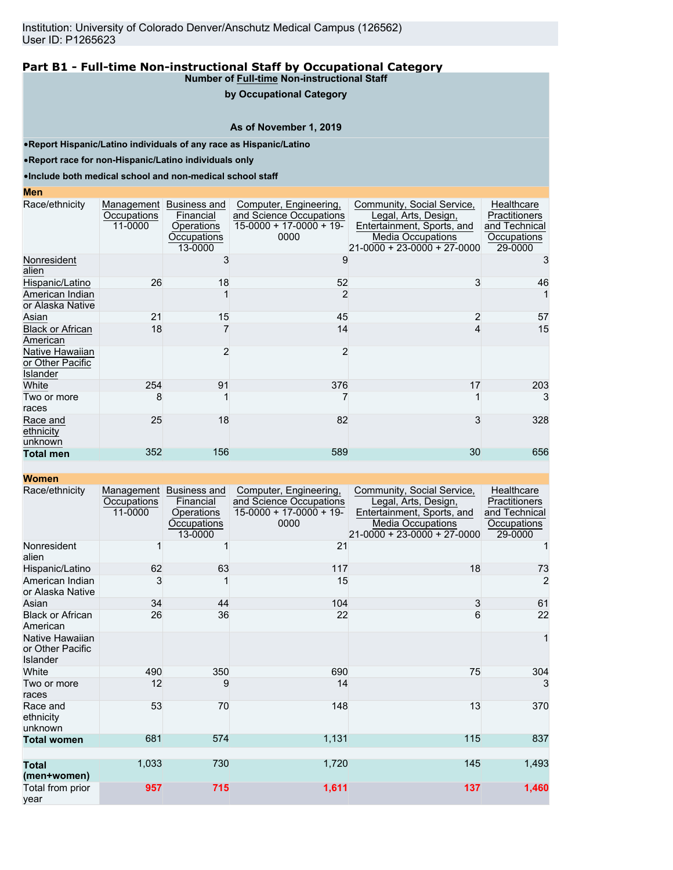# **by Occupational Category**

# **As of November 1, 2019**

•**Report Hispanic/Latino individuals of any race as Hispanic/Latino**

•**Report race for non-Hispanic/Latino individuals only**

•**Include both medical school and non-medical school staff**

#### **Men**

| Race/ethnicity                                  | Occupations<br>11-0000 | Management Business and<br>Financial<br>Operations<br>Occupations<br>13-0000 | Computer, Engineering,<br>and Science Occupations<br>$15-0000 + 17-0000 + 19-$<br>0000 | Community, Social Service,<br>Legal, Arts, Design,<br>Entertainment, Sports, and<br><b>Media Occupations</b><br>21-0000 + 23-0000 + 27-0000 | Healthcare<br>Practitioners<br>and Technical<br>Occupations<br>29-0000 |
|-------------------------------------------------|------------------------|------------------------------------------------------------------------------|----------------------------------------------------------------------------------------|---------------------------------------------------------------------------------------------------------------------------------------------|------------------------------------------------------------------------|
| Nonresident<br>alien                            |                        |                                                                              |                                                                                        |                                                                                                                                             |                                                                        |
| Hispanic/Latino                                 | 26                     | 18                                                                           | 52                                                                                     | 3                                                                                                                                           | 46                                                                     |
| American Indian<br>or Alaska Native             |                        |                                                                              |                                                                                        |                                                                                                                                             |                                                                        |
| Asian                                           | 21                     | 15                                                                           | 45                                                                                     | $\overline{2}$                                                                                                                              | 57                                                                     |
| <b>Black or African</b><br>American             | 18                     |                                                                              | 14                                                                                     | 4                                                                                                                                           | 15                                                                     |
| Native Hawaiian<br>or Other Pacific<br>Islander |                        |                                                                              | 2                                                                                      |                                                                                                                                             |                                                                        |
| White                                           | 254                    | 91                                                                           | 376                                                                                    | 17                                                                                                                                          | 203                                                                    |
| Two or more<br>races                            | 8                      |                                                                              |                                                                                        |                                                                                                                                             | 3                                                                      |
| Race and<br>ethnicity<br>unknown                | 25                     | 18                                                                           | 82                                                                                     | 3                                                                                                                                           | 328                                                                    |
| <b>Total men</b>                                | 352                    | 156                                                                          | 589                                                                                    | 30                                                                                                                                          | 656                                                                    |

**Women**

| Race/ethnicity                                  | Occupations<br>11-0000 | Management Business and<br>Financial<br>Operations<br>Occupations<br>13-0000 | Computer, Engineering,<br>and Science Occupations<br>$15-0000 + 17-0000 + 19$<br>0000 | Community, Social Service,<br>Legal, Arts, Design,<br>Entertainment, Sports, and<br><b>Media Occupations</b><br>21-0000 + 23-0000 + 27-0000 | Healthcare<br><b>Practitioners</b><br>and Technical<br>Occupations<br>29-0000 |
|-------------------------------------------------|------------------------|------------------------------------------------------------------------------|---------------------------------------------------------------------------------------|---------------------------------------------------------------------------------------------------------------------------------------------|-------------------------------------------------------------------------------|
| Nonresident<br>alien                            |                        |                                                                              | 21                                                                                    |                                                                                                                                             |                                                                               |
| Hispanic/Latino                                 | 62                     | 63                                                                           | 117                                                                                   | 18                                                                                                                                          | 73                                                                            |
| American Indian<br>or Alaska Native             | 3                      |                                                                              | 15                                                                                    |                                                                                                                                             | $\overline{c}$                                                                |
| Asian                                           | 34                     | 44                                                                           | 104                                                                                   | 3                                                                                                                                           | 61                                                                            |
| <b>Black or African</b><br>American             | 26                     | 36                                                                           | 22                                                                                    | 6                                                                                                                                           | 22                                                                            |
| Native Hawaiian<br>or Other Pacific<br>Islander |                        |                                                                              |                                                                                       |                                                                                                                                             | $\mathbf{1}$                                                                  |
| White                                           | 490                    | 350                                                                          | 690                                                                                   | 75                                                                                                                                          | 304                                                                           |
| Two or more<br>races                            | 12                     | 9                                                                            | 14                                                                                    |                                                                                                                                             | 3                                                                             |
| Race and<br>ethnicity<br>unknown                | 53                     | 70                                                                           | 148                                                                                   | 13                                                                                                                                          | 370                                                                           |
| <b>Total women</b>                              | 681                    | 574                                                                          | 1,131                                                                                 | 115                                                                                                                                         | 837                                                                           |
| <b>Total</b><br>(men+women)                     | 1,033                  | 730                                                                          | 1,720                                                                                 | 145                                                                                                                                         | 1,493                                                                         |
| Total from prior<br>year                        | 957                    | 715                                                                          | 1,611                                                                                 | 137                                                                                                                                         | 1,460                                                                         |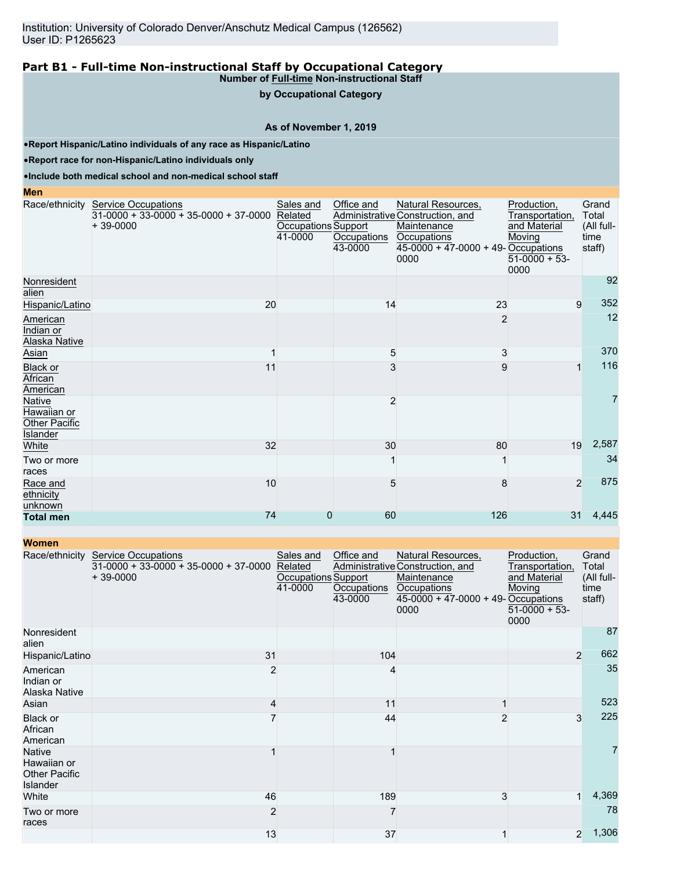**by Occupational Category**

#### **As of November 1, 2019**

•**Report Hispanic/Latino individuals of any race as Hispanic/Latino**

•**Report race for non-Hispanic/Latino individuals only**

•**Include both medical school and non-medical school staff**

#### **Men** Race/ethnicity Service Occupations  $31-0000 + 33-0000 + 35-0000 + 37-0000$ + 39-0000 Sales and Related Occupations Support 41-0000 Office and Administrative Construction, and **Occupations** 43-0000 Natural Resources, **Maintenance Occupations** 45-0000 + 47-0000 + 49- Occupations 0000 Production, Transportation, and Material Moving  $51-0000 + 53$ 0000 Grand Total (All fulltime staff) Nonresident alien 92 Hispanic/Latino 20 20 14 23 9 352 **American** Indian or Alaska Native  $2$  and  $2$  and  $2$  and  $2$  and  $2$  and  $2$  and  $2$  and  $2$  and  $2$  and  $2$  and  $2$  and  $2$  and  $2$  and  $2$  and  $2$  and  $2$  and  $2$  and  $2$  and  $2$  and  $2$  and  $2$  and  $2$  and  $2$  and  $2$  and  $2$  and  $2$  and  $2$  and  $2$  a 12 Asian the contract of  $\sim$  3  $\sim$  3  $\sim$  3  $\sim$  3 370 Black or **African** American 11 3 9 1 116 Native Hawaiian or Other Pacific Islander  $\sim$  2 and 2 7 White 32 30 80 19 2,587 Two or more races 1 1 34 Race and **ethnicity** unknown 10 5 8 2 875 **Total men** 74 0 60 126 31 4,445

| <b>Women</b>                                                     |                                                                                     |                                                        |                                      |                                                                                                                                     |                                                                                    |                                                |
|------------------------------------------------------------------|-------------------------------------------------------------------------------------|--------------------------------------------------------|--------------------------------------|-------------------------------------------------------------------------------------------------------------------------------------|------------------------------------------------------------------------------------|------------------------------------------------|
| Race/ethnicity                                                   | <b>Service Occupations</b><br>$31-0000 + 33-0000 + 35-0000 + 37-0000$<br>$+39-0000$ | Sales and<br>Related<br>Occupations Support<br>41-0000 | Office and<br>Occupations<br>43-0000 | Natural Resources,<br>Administrative Construction, and<br>Maintenance<br>Occupations<br>45-0000 + 47-0000 + 49- Occupations<br>0000 | Production,<br>Transportation,<br>and Material<br>Moving<br>$51-0000 + 53$<br>0000 | Grand<br>Total<br>(All full-<br>time<br>staff) |
| Nonresident<br>alien                                             |                                                                                     |                                                        |                                      |                                                                                                                                     |                                                                                    | 87                                             |
| Hispanic/Latino                                                  | 31                                                                                  |                                                        | 104                                  |                                                                                                                                     |                                                                                    | 662<br>$\overline{2}$                          |
| American<br>Indian or<br>Alaska Native                           | $\overline{2}$                                                                      |                                                        | 4                                    |                                                                                                                                     |                                                                                    | 35                                             |
| Asian                                                            | 4                                                                                   |                                                        | 11                                   |                                                                                                                                     |                                                                                    | 523                                            |
| Black or<br>African<br>American                                  |                                                                                     |                                                        | 44                                   |                                                                                                                                     | 3                                                                                  | 225                                            |
| <b>Native</b><br>Hawaiian or<br><b>Other Pacific</b><br>Islander |                                                                                     |                                                        |                                      |                                                                                                                                     |                                                                                    | 7                                              |
| White                                                            | 46                                                                                  |                                                        | 189                                  | 3                                                                                                                                   | 1                                                                                  | 4,369                                          |
| Two or more<br>races                                             | $\overline{2}$                                                                      |                                                        |                                      |                                                                                                                                     |                                                                                    | 78                                             |
|                                                                  | 13                                                                                  |                                                        | 37                                   |                                                                                                                                     | 2                                                                                  | 1,306                                          |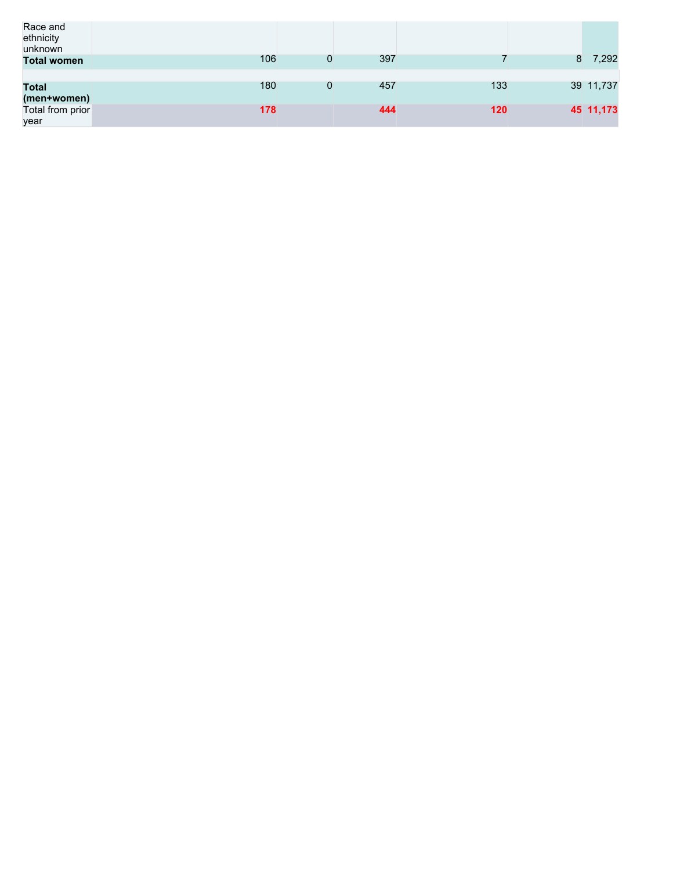| Race and<br>ethnicity<br>unknown |     |   |     |     |   |           |
|----------------------------------|-----|---|-----|-----|---|-----------|
| <b>Total women</b>               | 106 | 0 | 397 |     | 8 | 7,292     |
|                                  |     |   |     |     |   |           |
| <b>Total</b>                     | 180 | 0 | 457 | 133 |   | 39 11,737 |
| (men+women)                      |     |   |     |     |   |           |
| Total from prior                 | 178 |   | 444 | 120 |   | 45 11,173 |
| year                             |     |   |     |     |   |           |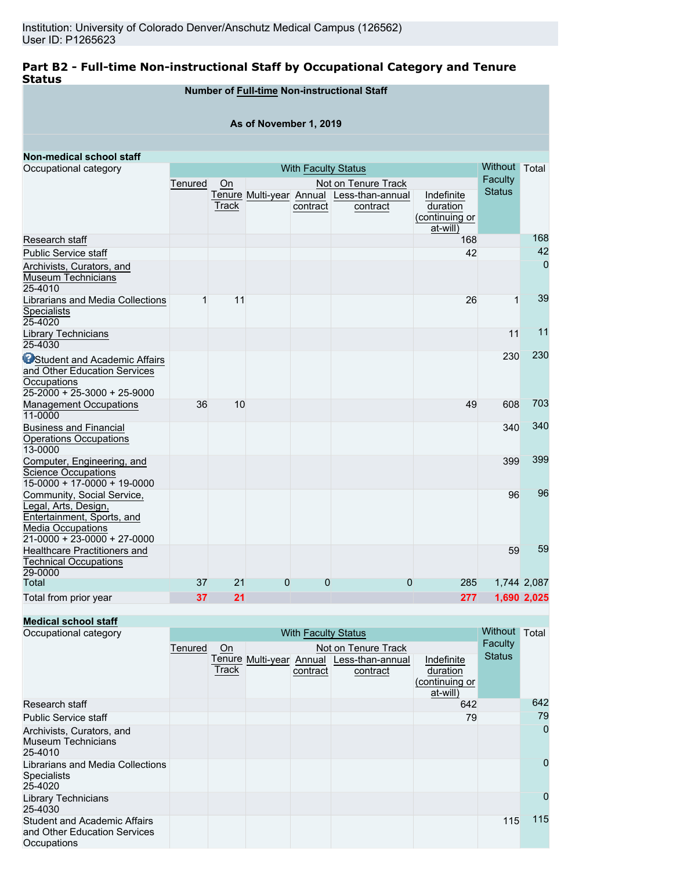# **Part B2 - Full-time Non-instructional Staff by Occupational Category and Tenure Status**

|                                                                                                                                               |         |       |                        |                            | Number of Full-time Non-instructional Staff           |                                                      |               |                |
|-----------------------------------------------------------------------------------------------------------------------------------------------|---------|-------|------------------------|----------------------------|-------------------------------------------------------|------------------------------------------------------|---------------|----------------|
|                                                                                                                                               |         |       | As of November 1, 2019 |                            |                                                       |                                                      |               |                |
|                                                                                                                                               |         |       |                        |                            |                                                       |                                                      |               |                |
| Non-medical school staff                                                                                                                      |         |       |                        |                            |                                                       |                                                      |               |                |
| Occupational category                                                                                                                         |         |       |                        | <b>With Faculty Status</b> |                                                       |                                                      | Without Total |                |
|                                                                                                                                               | Tenured | On    |                        |                            | Not on Tenure Track                                   |                                                      | Faculty       |                |
|                                                                                                                                               |         | Track |                        | contract                   | Tenure Multi-year Annual Less-than-annual<br>contract | Indefinite<br>duration<br>(continuing or<br>at-will) | <b>Status</b> |                |
| Research staff                                                                                                                                |         |       |                        |                            |                                                       | 168                                                  |               | 168            |
| <b>Public Service staff</b>                                                                                                                   |         |       |                        |                            |                                                       | 42                                                   |               | 42             |
| Archivists, Curators, and<br>Museum Technicians<br>25-4010                                                                                    |         |       |                        |                            |                                                       |                                                      |               | $\overline{0}$ |
| Librarians and Media Collections<br><b>Specialists</b><br>25-4020                                                                             | 1       | 11    |                        |                            |                                                       | 26                                                   | $\mathbf{1}$  | 39             |
| Library Technicians<br>25-4030                                                                                                                |         |       |                        |                            |                                                       |                                                      | 11            | $11$           |
| <b>O</b> Student and Academic Affairs<br>and Other Education Services<br>Occupations<br>$25 - 2000 + 25 - 3000 + 25 - 9000$                   |         |       |                        |                            |                                                       |                                                      | 230           | 230            |
| <b>Management Occupations</b><br>11-0000                                                                                                      | 36      | 10    |                        |                            |                                                       | 49                                                   | 608           | 703            |
| <b>Business and Financial</b><br><b>Operations Occupations</b><br>13-0000                                                                     |         |       |                        |                            |                                                       |                                                      | 340           | 340            |
| Computer, Engineering, and<br><b>Science Occupations</b><br>15-0000 + 17-0000 + 19-0000                                                       |         |       |                        |                            |                                                       |                                                      | 399           | 399            |
| Community, Social Service,<br>Legal, Arts, Design,<br>Entertainment, Sports, and<br><b>Media Occupations</b><br>$21-0000 + 23-0000 + 27-0000$ |         |       |                        |                            |                                                       |                                                      | 96            | 96             |
| Healthcare Practitioners and<br><b>Technical Occupations</b><br>29-0000                                                                       |         |       |                        |                            |                                                       |                                                      | 59            | 59             |
| Total                                                                                                                                         | 37      | 21    | $\overline{0}$         | $\mathbf 0$                | $\overline{0}$                                        | 285                                                  |               | 1,744 2,087    |
| Total from prior year                                                                                                                         | 37      | 21    |                        |                            |                                                       | 277                                                  |               | 1,690 2,025    |

# **Medical school staff**

| Occupational category                                                              |         | <b>With Faculty Status</b> |  |          |                                           |                 |               |             |  |
|------------------------------------------------------------------------------------|---------|----------------------------|--|----------|-------------------------------------------|-----------------|---------------|-------------|--|
|                                                                                    | Tenured | On                         |  |          | Not on Tenure Track                       |                 | Faculty       |             |  |
|                                                                                    |         |                            |  |          | Tenure Multi-year Annual Less-than-annual | Indefinite      | <b>Status</b> |             |  |
|                                                                                    |         | Track                      |  | contract | contract                                  | duration        |               |             |  |
|                                                                                    |         |                            |  |          |                                           | (continuing or  |               |             |  |
| Research staff                                                                     |         |                            |  |          |                                           | at-will)<br>642 |               | 642         |  |
| <b>Public Service staff</b>                                                        |         |                            |  |          |                                           | 79              |               | 79          |  |
| Archivists, Curators, and<br><b>Museum Technicians</b><br>25-4010                  |         |                            |  |          |                                           |                 |               | $\mathbf 0$ |  |
| Librarians and Media Collections<br><b>Specialists</b><br>25-4020                  |         |                            |  |          |                                           |                 |               | 0           |  |
| <b>Library Technicians</b><br>25-4030                                              |         |                            |  |          |                                           |                 |               | 0           |  |
| <b>Student and Academic Affairs</b><br>and Other Education Services<br>Occupations |         |                            |  |          |                                           |                 | 115           | 115         |  |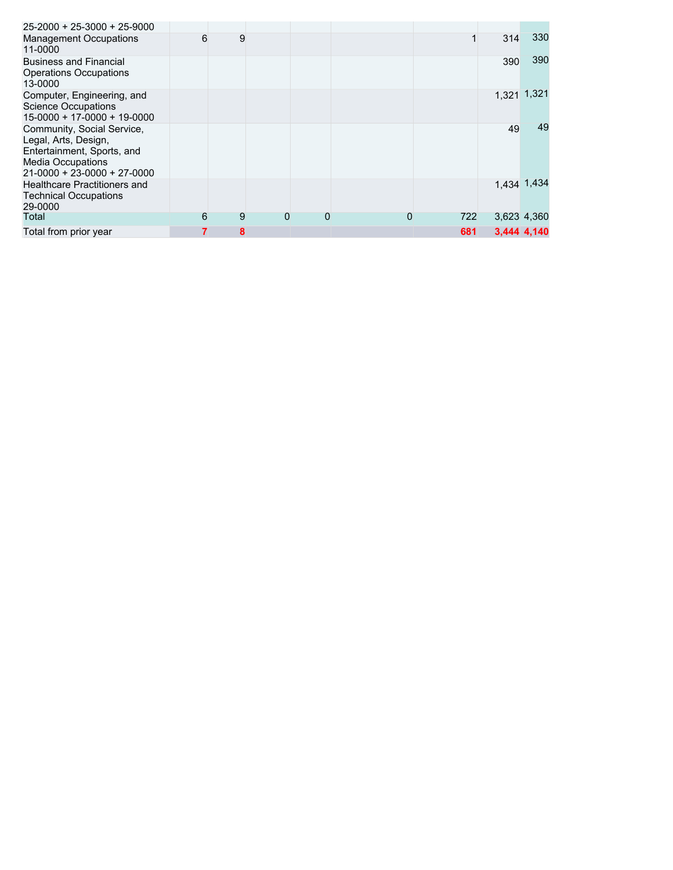| $25 - 2000 + 25 - 3000 + 25 - 9000$                                                                                                                 |   |   |   |   |   |     |     |             |
|-----------------------------------------------------------------------------------------------------------------------------------------------------|---|---|---|---|---|-----|-----|-------------|
| <b>Management Occupations</b><br>11-0000                                                                                                            | 6 | 9 |   |   |   |     | 314 | 330         |
| <b>Business and Financial</b><br><b>Operations Occupations</b><br>13-0000                                                                           |   |   |   |   |   |     | 390 | 390         |
| Computer, Engineering, and<br><b>Science Occupations</b><br>$15-0000 + 17-0000 + 19-0000$                                                           |   |   |   |   |   |     |     | 1,321 1,321 |
| Community, Social Service,<br>Legal, Arts, Design,<br>Entertainment, Sports, and<br><b>Media Occupations</b><br>$21 - 0000 + 23 - 0000 + 27 - 0000$ |   |   |   |   |   |     | 49  | 49          |
| <b>Healthcare Practitioners and</b><br><b>Technical Occupations</b><br>29-0000                                                                      |   |   |   |   |   |     |     | 1,434 1,434 |
| Total                                                                                                                                               | 6 | 9 | 0 | 0 | 0 | 722 |     | 3,623 4,360 |
| Total from prior year                                                                                                                               |   | 8 |   |   |   | 681 |     | 3.444 4.140 |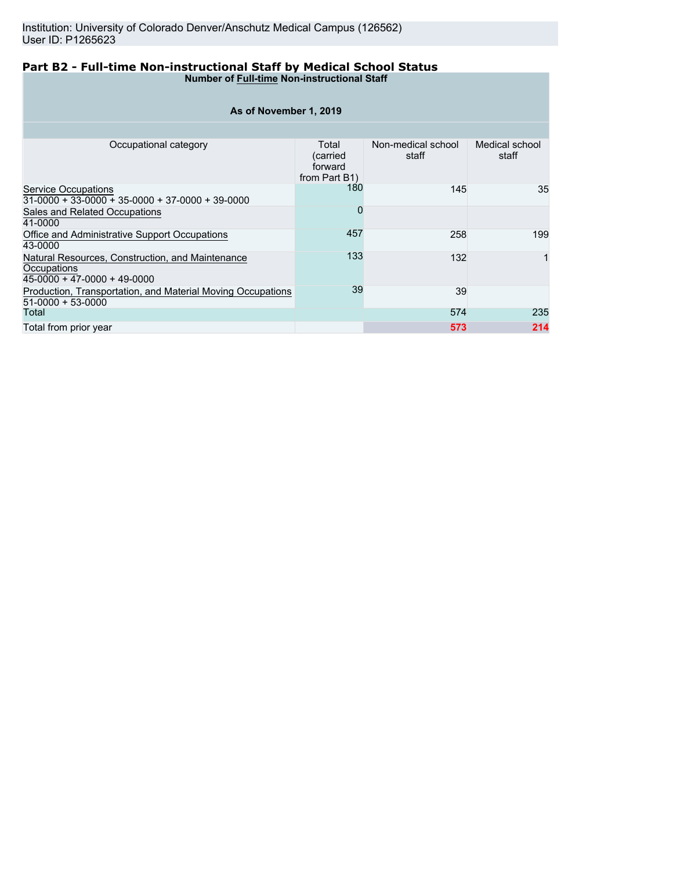#### **Part B2 - Full-time Non-instructional Staff by Medical School Status Number of Full-time Non-instructional Staff**

| As of November 1, 2019                                                                         |                                               |                             |                         |  |  |  |  |  |  |
|------------------------------------------------------------------------------------------------|-----------------------------------------------|-----------------------------|-------------------------|--|--|--|--|--|--|
|                                                                                                |                                               |                             |                         |  |  |  |  |  |  |
| Occupational category                                                                          | Total<br>(carried<br>forward<br>from Part B1) | Non-medical school<br>staff | Medical school<br>staff |  |  |  |  |  |  |
| <b>Service Occupations</b><br>$31-0000 + 33-0000 + 35-0000 + 37-0000 + 39-0000$                | 180                                           | 145                         | 35                      |  |  |  |  |  |  |
| Sales and Related Occupations<br>41-0000                                                       | O                                             |                             |                         |  |  |  |  |  |  |
| Office and Administrative Support Occupations<br>43-0000                                       | 457                                           | 258                         | 199                     |  |  |  |  |  |  |
| Natural Resources, Construction, and Maintenance<br>Occupations<br>45-0000 + 47-0000 + 49-0000 | 133                                           | 132                         |                         |  |  |  |  |  |  |
| Production, Transportation, and Material Moving Occupations<br>$51-0000 + 53-0000$             | 39                                            | 39                          |                         |  |  |  |  |  |  |
| Total                                                                                          |                                               | 574                         | 235                     |  |  |  |  |  |  |
| Total from prior year                                                                          |                                               | 573                         | 214                     |  |  |  |  |  |  |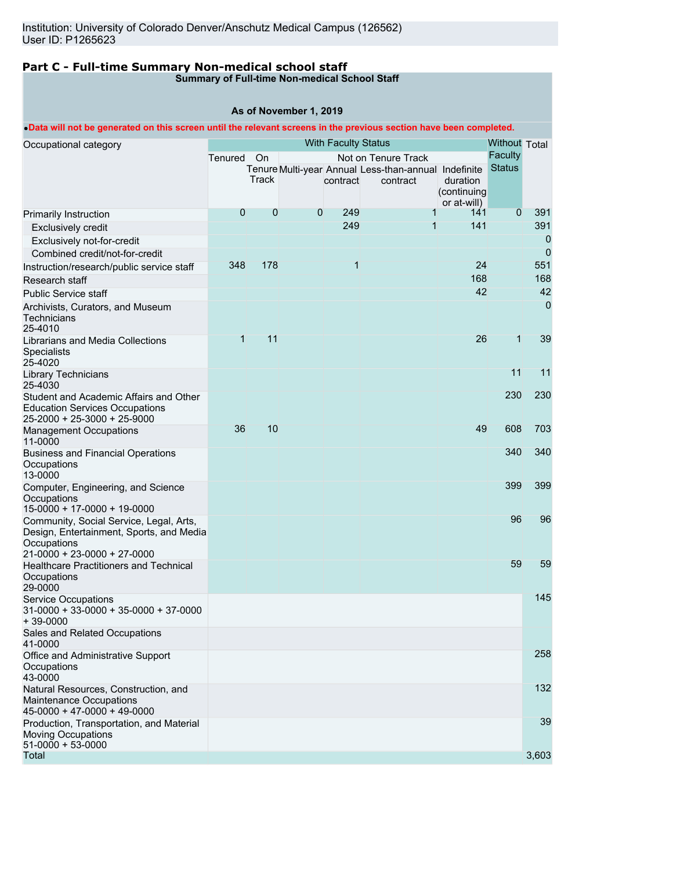# **Part C - Full-time Summary Non-medical school staff**

#### **Summary of Full-time Non-medical School Staff**

#### **As of November 1, 2019**

#### •**Data will not be generated on this screen until the relevant screens in the previous section have been completed.**

| Occupational category                                                                                 |              | Without Total |             |          |                                                      |                            |                |                |
|-------------------------------------------------------------------------------------------------------|--------------|---------------|-------------|----------|------------------------------------------------------|----------------------------|----------------|----------------|
|                                                                                                       | Tenured      | On            |             |          | Not on Tenure Track                                  |                            | Faculty        |                |
|                                                                                                       |              |               |             |          | Tenure Multi-year Annual Less-than-annual Indefinite |                            | <b>Status</b>  |                |
|                                                                                                       |              | Track         |             | contract | contract                                             | duration                   |                |                |
|                                                                                                       |              |               |             |          |                                                      | (continuing<br>or at-will) |                |                |
| Primarily Instruction                                                                                 | 0            | 0             | $\mathbf 0$ | 249      | $\mathbf{1}$                                         | 141                        | $\overline{0}$ | 391            |
| <b>Exclusively credit</b>                                                                             |              |               |             | 249      | $\mathbf{1}$                                         | 141                        |                | 391            |
| Exclusively not-for-credit                                                                            |              |               |             |          |                                                      |                            |                | 0              |
| Combined credit/not-for-credit                                                                        |              |               |             |          |                                                      |                            |                | 0              |
| Instruction/research/public service staff                                                             | 348          | 178           |             | 1        |                                                      | 24                         |                | 551            |
| Research staff                                                                                        |              |               |             |          |                                                      | 168                        |                | 168            |
| <b>Public Service staff</b>                                                                           |              |               |             |          |                                                      | 42                         |                | 42             |
|                                                                                                       |              |               |             |          |                                                      |                            |                | $\overline{0}$ |
| Archivists, Curators, and Museum<br>Technicians<br>25-4010                                            |              |               |             |          |                                                      |                            |                |                |
| Librarians and Media Collections                                                                      | $\mathbf{1}$ | 11            |             |          |                                                      | 26                         | $\mathbf{1}$   | 39             |
| Specialists<br>25-4020                                                                                |              |               |             |          |                                                      |                            |                |                |
| Library Technicians<br>25-4030                                                                        |              |               |             |          |                                                      |                            | 11             | 11             |
| Student and Academic Affairs and Other                                                                |              |               |             |          |                                                      |                            | 230            | 230            |
| <b>Education Services Occupations</b><br>25-2000 + 25-3000 + 25-9000                                  |              |               |             |          |                                                      |                            |                |                |
| <b>Management Occupations</b><br>11-0000                                                              | 36           | 10            |             |          |                                                      | 49                         | 608            | 703            |
| <b>Business and Financial Operations</b><br>Occupations                                               |              |               |             |          |                                                      |                            | 340            | 340            |
| 13-0000                                                                                               |              |               |             |          |                                                      |                            |                |                |
| Computer, Engineering, and Science<br>Occupations                                                     |              |               |             |          |                                                      |                            | 399            | 399            |
| 15-0000 + 17-0000 + 19-0000                                                                           |              |               |             |          |                                                      |                            |                |                |
| Community, Social Service, Legal, Arts,<br>Design, Entertainment, Sports, and Media<br>Occupations    |              |               |             |          |                                                      |                            | 96             | 96             |
| 21-0000 + 23-0000 + 27-0000                                                                           |              |               |             |          |                                                      |                            |                |                |
| <b>Healthcare Practitioners and Technical</b><br>Occupations                                          |              |               |             |          |                                                      |                            | 59             | 59             |
| 29-0000                                                                                               |              |               |             |          |                                                      |                            |                |                |
| <b>Service Occupations</b><br>$31-0000 + 33-0000 + 35-0000 + 37-0000$<br>$+39-0000$                   |              |               |             |          |                                                      |                            |                | 145            |
| Sales and Related Occupations<br>41-0000                                                              |              |               |             |          |                                                      |                            |                |                |
| Office and Administrative Support<br>Occupations<br>43-0000                                           |              |               |             |          |                                                      |                            |                | 258            |
| Natural Resources, Construction, and<br><b>Maintenance Occupations</b><br>45-0000 + 47-0000 + 49-0000 |              |               |             |          |                                                      |                            |                | 132            |
| Production, Transportation, and Material<br><b>Moving Occupations</b><br>$51-0000 + 53-0000$          |              |               |             |          |                                                      |                            |                | 39             |
| Total                                                                                                 |              |               |             |          |                                                      |                            |                | 3,603          |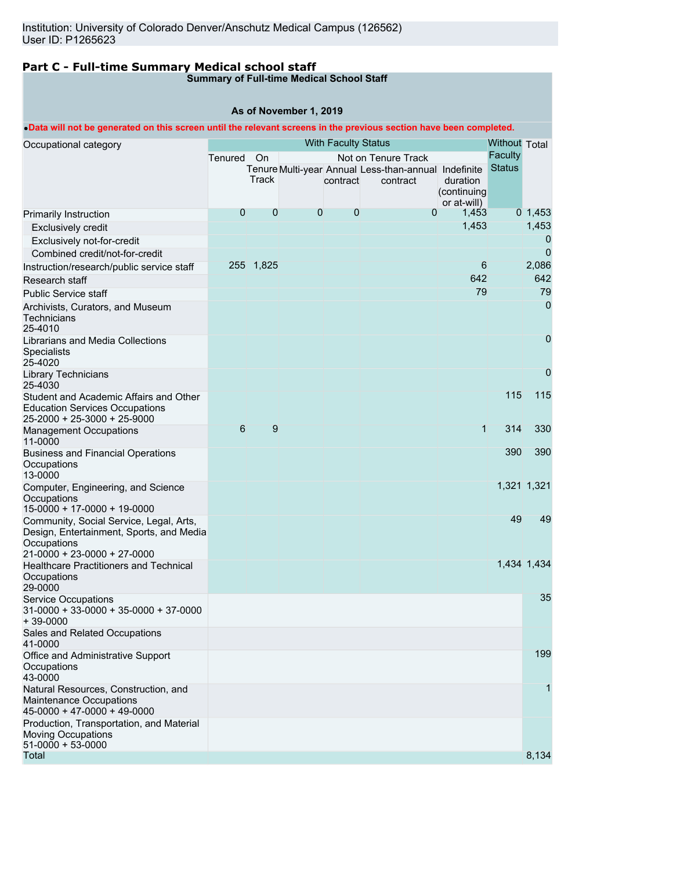# **Part C - Full-time Summary Medical school staff**

### **Summary of Full-time Medical School Staff**

#### **As of November 1, 2019**

#### •**Data will not be generated on this screen until the relevant screens in the previous section have been completed.**

| Occupational category                                                                            |                |           |             | <b>With Faculty Status</b> |                                                      |                         | <b>Without Total</b> |                |
|--------------------------------------------------------------------------------------------------|----------------|-----------|-------------|----------------------------|------------------------------------------------------|-------------------------|----------------------|----------------|
|                                                                                                  | Tenured On     |           |             |                            | Not on Tenure Track                                  |                         | <b>Faculty</b>       |                |
|                                                                                                  |                |           |             |                            | Tenure Multi-year Annual Less-than-annual Indefinite |                         | <b>Status</b>        |                |
|                                                                                                  |                | Track     |             | contract                   | contract                                             | duration<br>(continuing |                      |                |
|                                                                                                  |                |           |             |                            |                                                      | or at-will)             |                      |                |
| <b>Primarily Instruction</b>                                                                     | $\overline{0}$ | 0         | $\mathbf 0$ | $\mathbf{0}$               | 0                                                    | 1,453                   |                      | 0, 1, 453      |
| <b>Exclusively credit</b>                                                                        |                |           |             |                            |                                                      | 1,453                   |                      | 1,453          |
| Exclusively not-for-credit                                                                       |                |           |             |                            |                                                      |                         |                      | 0              |
| Combined credit/not-for-credit                                                                   |                |           |             |                            |                                                      |                         |                      | $\overline{0}$ |
| Instruction/research/public service staff                                                        |                | 255 1,825 |             |                            |                                                      | 6                       |                      | 2,086          |
| Research staff                                                                                   |                |           |             |                            |                                                      | 642                     |                      | 642            |
| <b>Public Service staff</b>                                                                      |                |           |             |                            |                                                      | 79                      |                      | 79             |
| Archivists, Curators, and Museum                                                                 |                |           |             |                            |                                                      |                         |                      | 0              |
| Technicians<br>25-4010                                                                           |                |           |             |                            |                                                      |                         |                      |                |
| Librarians and Media Collections                                                                 |                |           |             |                            |                                                      |                         |                      | 0              |
| <b>Specialists</b><br>25-4020                                                                    |                |           |             |                            |                                                      |                         |                      |                |
| <b>Library Technicians</b>                                                                       |                |           |             |                            |                                                      |                         |                      | 0              |
| 25-4030                                                                                          |                |           |             |                            |                                                      |                         |                      |                |
| Student and Academic Affairs and Other                                                           |                |           |             |                            |                                                      |                         | 115                  | 115            |
| <b>Education Services Occupations</b><br>25-2000 + 25-3000 + 25-9000                             |                |           |             |                            |                                                      |                         |                      |                |
| <b>Management Occupations</b><br>11-0000                                                         | $6\phantom{1}$ | 9         |             |                            |                                                      | $\mathbf{1}$            | 314                  | 330            |
| <b>Business and Financial Operations</b>                                                         |                |           |             |                            |                                                      |                         | 390                  | 390            |
| Occupations<br>13-0000                                                                           |                |           |             |                            |                                                      |                         |                      |                |
| Computer, Engineering, and Science<br>Occupations                                                |                |           |             |                            |                                                      |                         |                      | 1,321 1,321    |
| 15-0000 + 17-0000 + 19-0000                                                                      |                |           |             |                            |                                                      |                         |                      |                |
| Community, Social Service, Legal, Arts,<br>Design, Entertainment, Sports, and Media              |                |           |             |                            |                                                      |                         | 49                   | 49             |
| Occupations                                                                                      |                |           |             |                            |                                                      |                         |                      |                |
| 21-0000 + 23-0000 + 27-0000                                                                      |                |           |             |                            |                                                      |                         |                      | 1,434 1,434    |
| <b>Healthcare Practitioners and Technical</b><br>Occupations<br>29-0000                          |                |           |             |                            |                                                      |                         |                      |                |
| <b>Service Occupations</b>                                                                       |                |           |             |                            |                                                      |                         |                      | 35             |
| $31-0000 + 33-0000 + 35-0000 + 37-0000$<br>$+39-0000$                                            |                |           |             |                            |                                                      |                         |                      |                |
| Sales and Related Occupations<br>41-0000                                                         |                |           |             |                            |                                                      |                         |                      |                |
| Office and Administrative Support                                                                |                |           |             |                            |                                                      |                         |                      | 199            |
| Occupations<br>43-0000                                                                           |                |           |             |                            |                                                      |                         |                      |                |
| Natural Resources, Construction, and<br>Maintenance Occupations<br>$45-0000 + 47-0000 + 49-0000$ |                |           |             |                            |                                                      |                         |                      | 1              |
| Production, Transportation, and Material                                                         |                |           |             |                            |                                                      |                         |                      |                |
| <b>Moving Occupations</b><br>$51-0000 + 53-0000$                                                 |                |           |             |                            |                                                      |                         |                      |                |
| Total                                                                                            |                |           |             |                            |                                                      |                         |                      | 8,134          |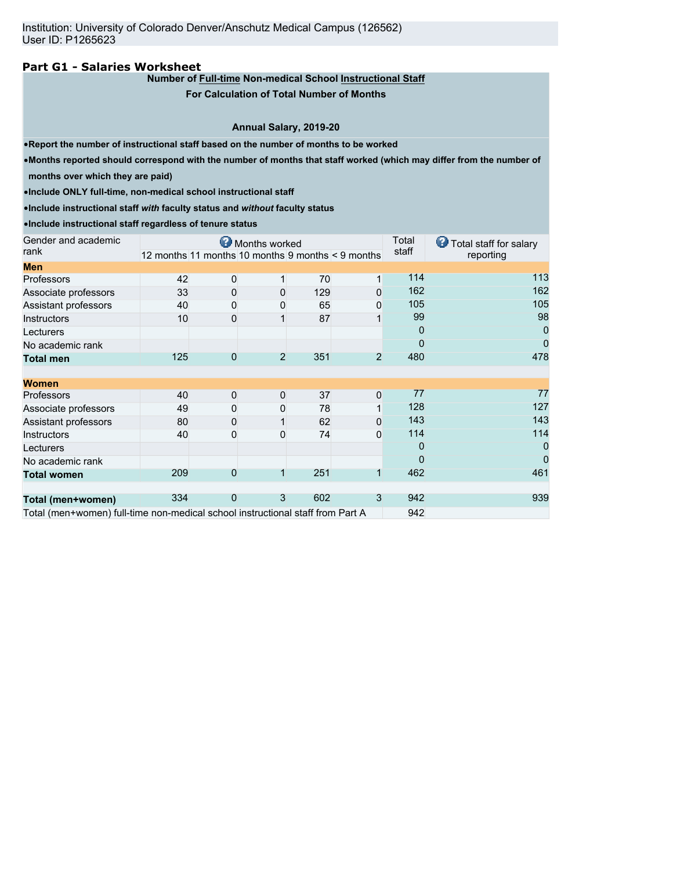## **Part G1 - Salaries Worksheet**

## **Number of Full-time Non-medical School Instructional Staff**

**For Calculation of Total Number of Months**

#### **Annual Salary, 2019-20**

•**Report the number of instructional staff based on the number of months to be worked**

•**Months reported should correspond with the number of months that staff worked (which may differ from the number of**

**months over which they are paid)**

•**Include ONLY full-time, non-medical school instructional staff**

•**Include instructional staff** *with* **faculty status and** *without* **faculty status**

•**Include instructional staff regardless of tenure status**

| Gender and academic                                                            |                                                   |              | Months worked  | Total | Total staff for salary |       |           |
|--------------------------------------------------------------------------------|---------------------------------------------------|--------------|----------------|-------|------------------------|-------|-----------|
| rank                                                                           | 12 months 11 months 10 months 9 months < 9 months |              |                |       |                        | staff | reporting |
| <b>Men</b>                                                                     |                                                   |              |                |       |                        |       |           |
| <b>Professors</b>                                                              | 42                                                | 0            |                | 70    | 1                      | 114   | 113       |
| Associate professors                                                           | 33                                                | 0            | 0              | 129   | 0                      | 162   | 162       |
| Assistant professors                                                           | 40                                                | 0            | 0              | 65    | 0                      | 105   | 105       |
| <b>Instructors</b>                                                             | 10                                                | 0            |                | 87    |                        | 99    | 98        |
| Lecturers                                                                      |                                                   |              |                |       |                        | 0     | 0         |
| No academic rank                                                               |                                                   |              |                |       |                        | 0     | 0         |
| <b>Total men</b>                                                               | 125                                               | 0            | $\overline{2}$ | 351   | $\overline{2}$         | 480   | 478       |
|                                                                                |                                                   |              |                |       |                        |       |           |
| <b>Women</b>                                                                   |                                                   |              |                |       |                        |       |           |
| <b>Professors</b>                                                              | 40                                                | $\mathbf{0}$ | $\mathbf 0$    | 37    | 0                      | 77    | 77        |
| Associate professors                                                           | 49                                                | 0            | 0              | 78    |                        | 128   | 127       |
| Assistant professors                                                           | 80                                                | 0            |                | 62    | 0                      | 143   | 143       |
| Instructors                                                                    | 40                                                | $\Omega$     | $\Omega$       | 74    | 0                      | 114   | 114       |
| Lecturers                                                                      |                                                   |              |                |       |                        | 0     | 0         |
| No academic rank                                                               |                                                   |              |                |       |                        | 0     | 0         |
| <b>Total women</b>                                                             | 209                                               | $\Omega$     |                | 251   | $\mathbf{1}$           | 462   | 461       |
|                                                                                |                                                   |              |                |       |                        |       |           |
| Total (men+women)                                                              | 334                                               | $\Omega$     | 3              | 602   | 3                      | 942   | 939       |
| Total (men+women) full-time non-medical school instructional staff from Part A |                                                   |              |                |       |                        | 942   |           |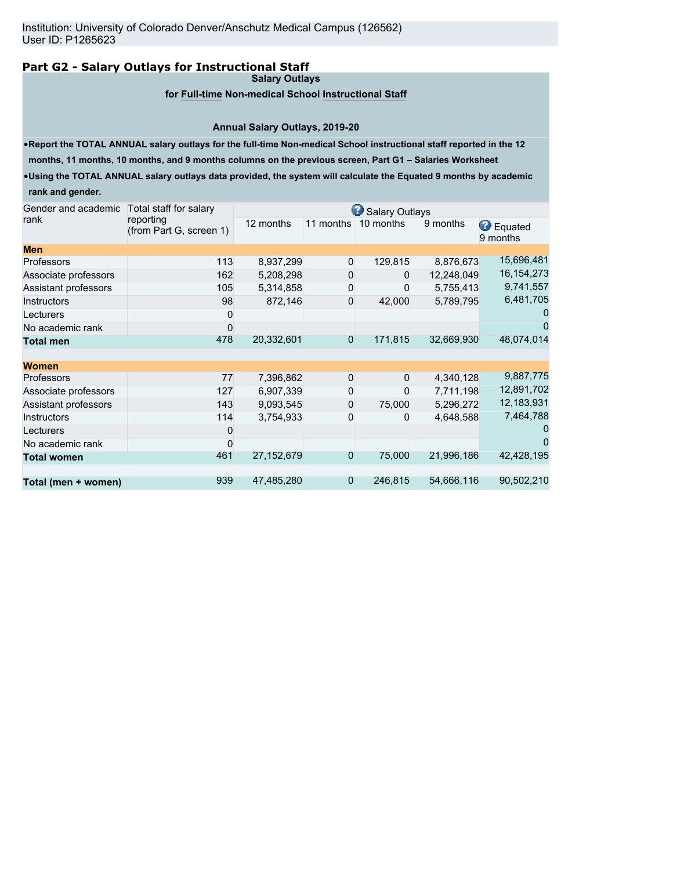# **Part G2 - Salary Outlays for Instructional Staff**

**Salary Outlays**

## **for Full-time Non-medical School Instructional Staff**

#### **Annual Salary Outlays, 2019-20**

•**Report the TOTAL ANNUAL salary outlays for the full-time Non-medical School instructional staff reported in the 12**

**months, 11 months, 10 months, and 9 months columns on the previous screen, Part G1 – Salaries Worksheet**

•**Using the TOTAL ANNUAL salary outlays data provided, the system will calculate the Equated 9 months by academic rank and gender.**

| Gender and academic  | Total staff for salary<br>reporting<br>(from Part G, screen 1) | Salary Outlays |                |              |            |                              |  |  |  |
|----------------------|----------------------------------------------------------------|----------------|----------------|--------------|------------|------------------------------|--|--|--|
| rank                 |                                                                | 12 months      | 11 months      | 10 months    | 9 months   | <b>B</b> Equated<br>9 months |  |  |  |
| <b>Men</b>           |                                                                |                |                |              |            |                              |  |  |  |
| <b>Professors</b>    | 113                                                            | 8,937,299      | 0              | 129,815      | 8,876,673  | 15,696,481                   |  |  |  |
| Associate professors | 162                                                            | 5,208,298      | 0              | 0            | 12,248,049 | 16, 154, 273                 |  |  |  |
| Assistant professors | 105                                                            | 5,314,858      | 0              | O            | 5,755,413  | 9,741,557                    |  |  |  |
| <b>Instructors</b>   | 98                                                             | 872,146        | 0              | 42,000       | 5,789,795  | 6,481,705                    |  |  |  |
| Lecturers            |                                                                |                |                |              |            |                              |  |  |  |
| No academic rank     |                                                                |                |                |              |            |                              |  |  |  |
| <b>Total men</b>     | 478                                                            | 20,332,601     | $\overline{0}$ | 171,815      | 32,669,930 | 48,074,014                   |  |  |  |
| <b>Women</b>         |                                                                |                |                |              |            |                              |  |  |  |
| <b>Professors</b>    | 77                                                             | 7,396,862      | 0              | $\mathbf{0}$ | 4,340,128  | 9,887,775                    |  |  |  |
| Associate professors | 127                                                            | 6,907,339      | 0              | 0            | 7,711,198  | 12,891,702                   |  |  |  |
| Assistant professors | 143                                                            | 9,093,545      | $\Omega$       | 75,000       | 5,296,272  | 12,183,931                   |  |  |  |
| <b>Instructors</b>   | 114                                                            | 3,754,933      | 0              | 0            | 4,648,588  | 7,464,788                    |  |  |  |
| Lecturers            | U                                                              |                |                |              |            |                              |  |  |  |
| No academic rank     |                                                                |                |                |              |            |                              |  |  |  |
| <b>Total women</b>   | 461                                                            | 27,152,679     | $\overline{0}$ | 75,000       | 21,996,186 | 42,428,195                   |  |  |  |
| Total (men + women)  | 939                                                            | 47,485,280     | $\overline{0}$ | 246,815      | 54,666,116 | 90,502,210                   |  |  |  |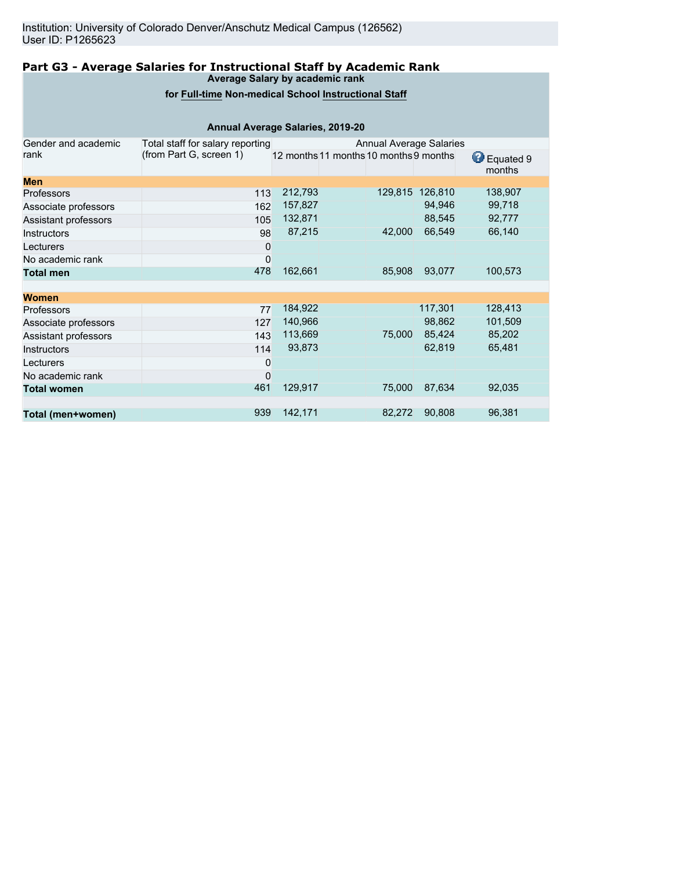#### **Part G3 - Average Salaries for Instructional Staff by Academic Rank Average Salary by academic rank**

## **for Full-time Non-medical School Instructional Staff**

| Annual Average Salaries, 2019-20 |                                  |                                        |  |         |         |                          |  |  |
|----------------------------------|----------------------------------|----------------------------------------|--|---------|---------|--------------------------|--|--|
| Gender and academic              | Total staff for salary reporting | <b>Annual Average Salaries</b>         |  |         |         |                          |  |  |
| rank                             | (from Part G, screen 1)          | 12 months 11 months 10 months 9 months |  |         |         | ⊌<br>Equated 9<br>months |  |  |
| <b>Men</b>                       |                                  |                                        |  |         |         |                          |  |  |
| Professors                       | 113                              | 212,793                                |  | 129,815 | 126,810 | 138,907                  |  |  |
| Associate professors             | 162                              | 157,827                                |  |         | 94,946  | 99,718                   |  |  |
| Assistant professors             | 105                              | 132,871                                |  |         | 88,545  | 92,777                   |  |  |
| <b>Instructors</b>               | 98                               | 87,215                                 |  | 42,000  | 66,549  | 66,140                   |  |  |
| Lecturers                        | 0                                |                                        |  |         |         |                          |  |  |
| No academic rank                 | 0                                |                                        |  |         |         |                          |  |  |
| <b>Total men</b>                 | 478                              | 162,661                                |  | 85,908  | 93,077  | 100,573                  |  |  |
| <b>Women</b>                     |                                  |                                        |  |         |         |                          |  |  |
| Professors                       | 77                               | 184,922                                |  |         | 117,301 | 128,413                  |  |  |
| Associate professors             | 127                              | 140,966                                |  |         | 98,862  | 101,509                  |  |  |
| Assistant professors             | 143                              | 113,669                                |  | 75,000  | 85,424  | 85,202                   |  |  |
| Instructors                      | 114                              | 93,873                                 |  |         | 62,819  | 65,481                   |  |  |
| Lecturers                        | 0                                |                                        |  |         |         |                          |  |  |
| No academic rank                 | $\mathbf 0$                      |                                        |  |         |         |                          |  |  |
| <b>Total women</b>               | 461                              | 129,917                                |  | 75,000  | 87,634  | 92,035                   |  |  |
|                                  |                                  |                                        |  |         |         |                          |  |  |
| Total (men+women)                | 939                              | 142,171                                |  | 82,272  | 90,808  | 96,381                   |  |  |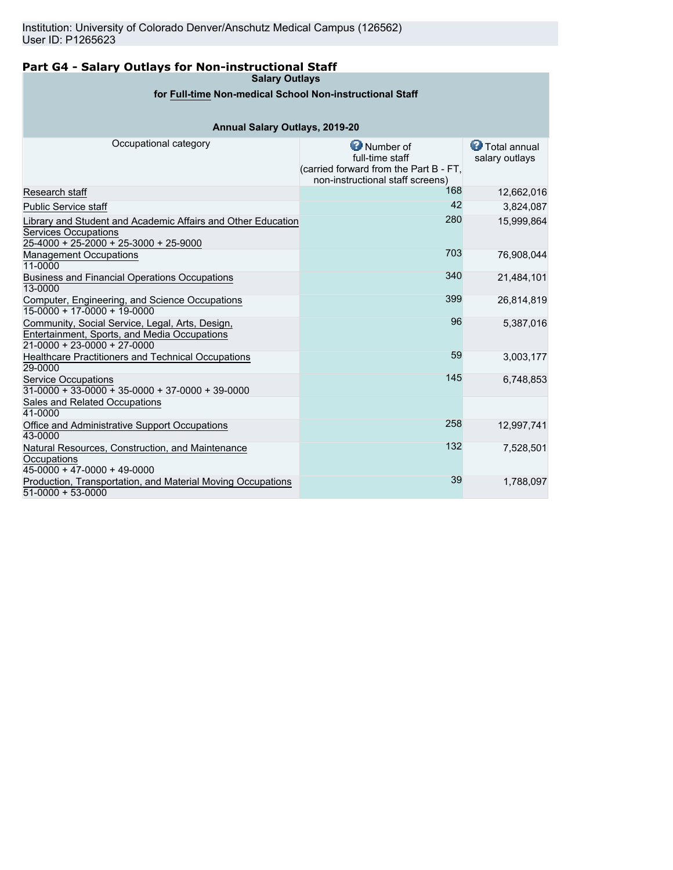# **Part G4 - Salary Outlays for Non-instructional Staff**

**Salary Outlays**

# **for Full-time Non-medical School Non-instructional Staff**

# **Annual Salary Outlays, 2019-20**

| Occupational category                                                                                                                  | <b>O</b> Number of<br>full-time staff<br>(carried forward from the Part B - FT,<br>non-instructional staff screens) | <b>C</b> Total annual<br>salary outlays |
|----------------------------------------------------------------------------------------------------------------------------------------|---------------------------------------------------------------------------------------------------------------------|-----------------------------------------|
| Research staff                                                                                                                         | 168                                                                                                                 | 12,662,016                              |
| <b>Public Service staff</b>                                                                                                            | 42                                                                                                                  | 3,824,087                               |
| Library and Student and Academic Affairs and Other Education<br><b>Services Occupations</b><br>$25-4000 + 25-2000 + 25-3000 + 25-9000$ | 280                                                                                                                 | 15,999,864                              |
| <b>Management Occupations</b><br>11-0000                                                                                               | 703                                                                                                                 | 76,908,044                              |
| <b>Business and Financial Operations Occupations</b><br>13-0000                                                                        | 340                                                                                                                 | 21.484.101                              |
| Computer, Engineering, and Science Occupations<br>$15-0000 + 17-0000 + 19-0000$                                                        | 399                                                                                                                 | 26,814,819                              |
| Community, Social Service, Legal, Arts, Design,<br>Entertainment, Sports, and Media Occupations<br>$21 - 0000 + 23 - 0000 + 27 - 0000$ | 96                                                                                                                  | 5,387,016                               |
| <b>Healthcare Practitioners and Technical Occupations</b><br>29-0000                                                                   | 59                                                                                                                  | 3,003,177                               |
| <b>Service Occupations</b><br>$31-0000 + 33-0000 + 35-0000 + 37-0000 + 39-0000$                                                        | 145                                                                                                                 | 6,748,853                               |
| Sales and Related Occupations<br>41-0000                                                                                               |                                                                                                                     |                                         |
| Office and Administrative Support Occupations<br>43-0000                                                                               | 258                                                                                                                 | 12,997,741                              |
| Natural Resources, Construction, and Maintenance<br>Occupations<br>$45-0000 + 47-0000 + 49-0000$                                       | 132                                                                                                                 | 7,528,501                               |
| Production, Transportation, and Material Moving Occupations<br>$51-0000 + 53-0000$                                                     | 39                                                                                                                  | 1,788,097                               |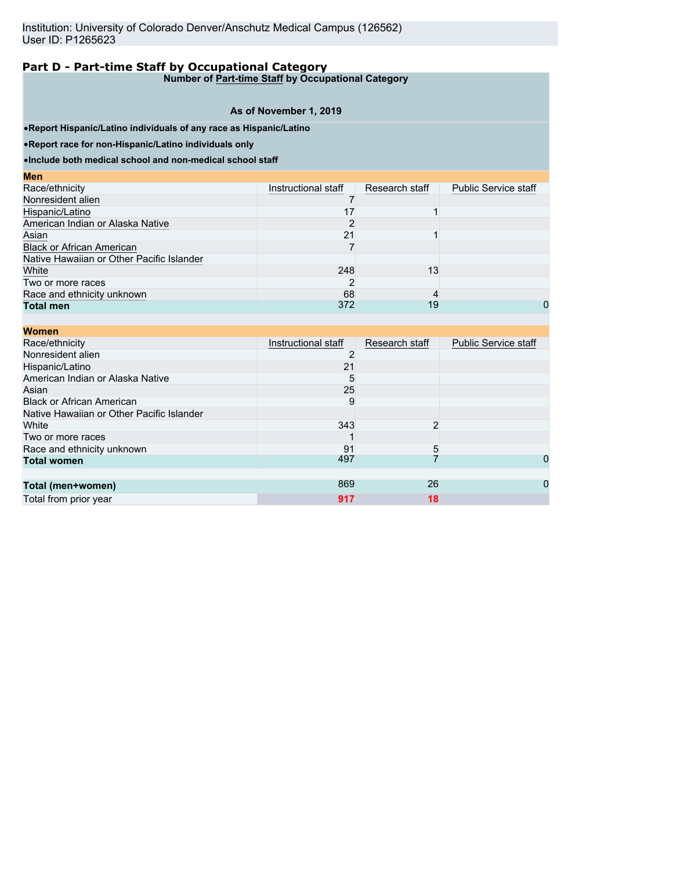# **Part D - Part-time Staff by Occupational Category**

**Number of Part-time Staff by Occupational Category**

#### **As of November 1, 2019**

•**Report Hispanic/Latino individuals of any race as Hispanic/Latino**

•**Report race for non-Hispanic/Latino individuals only**

•**Include both medical school and non-medical school staff**

| <b>Men</b>                                |                     |                |                             |
|-------------------------------------------|---------------------|----------------|-----------------------------|
| Race/ethnicity                            | Instructional staff | Research staff | <b>Public Service staff</b> |
| Nonresident alien                         |                     |                |                             |
| Hispanic/Latino                           | 17                  |                |                             |
| American Indian or Alaska Native          | 2                   |                |                             |
| Asian                                     | 21                  |                |                             |
| <b>Black or African American</b>          |                     |                |                             |
| Native Hawaiian or Other Pacific Islander |                     |                |                             |
| White                                     | 248                 | 13             |                             |
| Two or more races                         |                     |                |                             |
| Race and ethnicity unknown                | 68                  | 4              |                             |
| <b>Total men</b>                          | 372                 | 19             | 0                           |
|                                           |                     |                |                             |

| <b>Women</b>                              |                     |                |                             |
|-------------------------------------------|---------------------|----------------|-----------------------------|
| Race/ethnicity                            | Instructional staff | Research staff | <b>Public Service staff</b> |
| Nonresident alien                         |                     |                |                             |
| Hispanic/Latino                           | 21                  |                |                             |
| American Indian or Alaska Native          | 5                   |                |                             |
| Asian                                     | 25                  |                |                             |
| <b>Black or African American</b>          | 9                   |                |                             |
| Native Hawaiian or Other Pacific Islander |                     |                |                             |
| White                                     | 343                 | 2              |                             |
| Two or more races                         |                     |                |                             |
| Race and ethnicity unknown                | 91                  | 5              |                             |
| <b>Total women</b>                        | 497                 |                | 0                           |
|                                           |                     |                |                             |
| Total (men+women)                         | 869                 | 26             | 0                           |
| Total from prior year                     | 917                 | 18             |                             |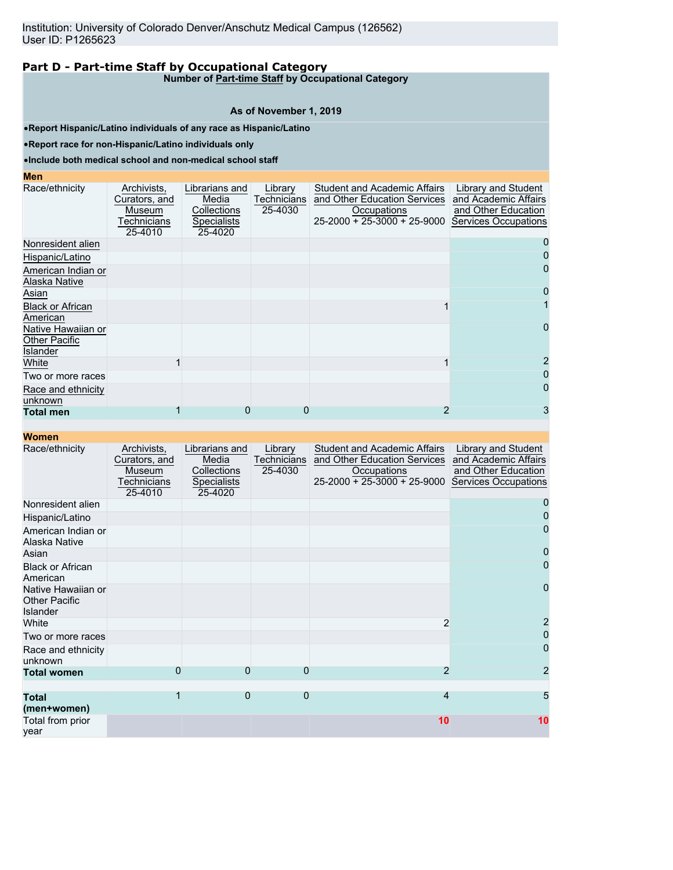#### **Part D - Part-time Staff by Occupational Category Number of Part-time Staff by Occupational Category**

**As of November 1, 2019**

•**Report Hispanic/Latino individuals of any race as Hispanic/Latino**

•**Report race for non-Hispanic/Latino individuals only**

•**Include both medical school and non-medical school staff**

**Men**

| <b>MEIL</b>                                                   |                                                                         |                                                                  |                                   |                                                                                                                           |                                                                                            |
|---------------------------------------------------------------|-------------------------------------------------------------------------|------------------------------------------------------------------|-----------------------------------|---------------------------------------------------------------------------------------------------------------------------|--------------------------------------------------------------------------------------------|
| Race/ethnicity                                                | Archivists,<br>Curators, and<br>Museum<br><b>Fechnicians</b><br>25-4010 | Librarians and<br>Media<br>Collections<br>Specialists<br>25-4020 | Library<br>Technicians<br>25-4030 | <b>Student and Academic Affairs</b><br>and Other Education Services<br>Occupations<br>$25 - 2000 + 25 - 3000 + 25 - 9000$ | Library and Student<br>and Academic Affairs<br>and Other Education<br>Services Occupations |
| Nonresident alien                                             |                                                                         |                                                                  |                                   |                                                                                                                           | 0                                                                                          |
| Hispanic/Latino                                               |                                                                         |                                                                  |                                   |                                                                                                                           |                                                                                            |
| American Indian or<br>Alaska Native                           |                                                                         |                                                                  |                                   |                                                                                                                           | 0                                                                                          |
| Asian                                                         |                                                                         |                                                                  |                                   |                                                                                                                           | 0                                                                                          |
| <b>Black or African</b><br>American                           |                                                                         |                                                                  |                                   |                                                                                                                           |                                                                                            |
| Native Hawaiian or<br><b>Other Pacific</b><br><b>Islander</b> |                                                                         |                                                                  |                                   |                                                                                                                           | 0                                                                                          |
| White                                                         |                                                                         |                                                                  |                                   |                                                                                                                           |                                                                                            |
| Two or more races                                             |                                                                         |                                                                  |                                   |                                                                                                                           | 0                                                                                          |
| Race and ethnicity<br>unknown                                 |                                                                         |                                                                  |                                   |                                                                                                                           | 0                                                                                          |
| <b>Total men</b>                                              |                                                                         |                                                                  |                                   |                                                                                                                           | 3                                                                                          |

| Women |  |
|-------|--|
|-------|--|

| <u>TUUHUH</u>                                                 |                                                                  |                                                                         |                                   |                                                                                                                     |                                                                                                   |
|---------------------------------------------------------------|------------------------------------------------------------------|-------------------------------------------------------------------------|-----------------------------------|---------------------------------------------------------------------------------------------------------------------|---------------------------------------------------------------------------------------------------|
| Race/ethnicity                                                | Archivists,<br>Curators, and<br>Museum<br>Technicians<br>25-4010 | Librarians and<br>Media<br>Collections<br><b>Specialists</b><br>25-4020 | Library<br>Technicians<br>25-4030 | <b>Student and Academic Affairs</b><br>and Other Education Services<br>Occupations<br>$25-2000 + 25-3000 + 25-9000$ | Library and Student<br>and Academic Affairs<br>and Other Education<br><b>Services Occupations</b> |
| Nonresident alien                                             |                                                                  |                                                                         |                                   |                                                                                                                     |                                                                                                   |
| Hispanic/Latino                                               |                                                                  |                                                                         |                                   |                                                                                                                     |                                                                                                   |
| American Indian or<br>Alaska Native                           |                                                                  |                                                                         |                                   |                                                                                                                     |                                                                                                   |
| Asian                                                         |                                                                  |                                                                         |                                   |                                                                                                                     | $\mathbf{I}$                                                                                      |
| <b>Black or African</b><br>American                           |                                                                  |                                                                         |                                   |                                                                                                                     |                                                                                                   |
| Native Hawaiian or<br><b>Other Pacific</b><br><b>Islander</b> |                                                                  |                                                                         |                                   |                                                                                                                     | 0                                                                                                 |
| White                                                         |                                                                  |                                                                         |                                   | 2                                                                                                                   |                                                                                                   |
| Two or more races                                             |                                                                  |                                                                         |                                   |                                                                                                                     | $\mathbf{O}$                                                                                      |
| Race and ethnicity<br>unknown                                 |                                                                  |                                                                         |                                   |                                                                                                                     | 0                                                                                                 |
| <b>Total women</b>                                            | 0                                                                | $\Omega$                                                                | 0                                 | $\overline{2}$                                                                                                      | 2                                                                                                 |
|                                                               |                                                                  |                                                                         |                                   |                                                                                                                     |                                                                                                   |
| <b>Total</b><br>(men+women)                                   |                                                                  | $\mathbf{0}$                                                            | $\overline{0}$                    | 4                                                                                                                   | 5                                                                                                 |
| Total from prior<br>vear                                      |                                                                  |                                                                         |                                   | 10                                                                                                                  | 10                                                                                                |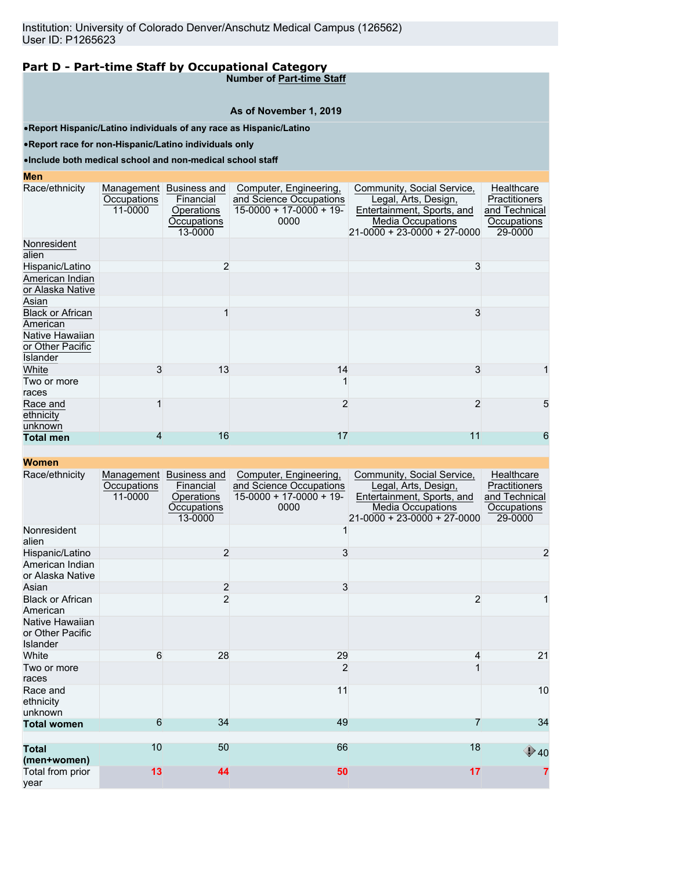# **Part D - Part-time Staff by Occupational Category**

**Number of Part-time Staff**

## **As of November 1, 2019**

•**Report Hispanic/Latino individuals of any race as Hispanic/Latino**

•**Report race for non-Hispanic/Latino individuals only**

## •**Include both medical school and non-medical school staff**

#### **Men**

| men.                                            |                        |                                                                              |                                                                                        |                                                                                                                                             |                                                                               |
|-------------------------------------------------|------------------------|------------------------------------------------------------------------------|----------------------------------------------------------------------------------------|---------------------------------------------------------------------------------------------------------------------------------------------|-------------------------------------------------------------------------------|
| Race/ethnicity                                  | Occupations<br>11-0000 | Management Business and<br>Financial<br>Operations<br>Occupations<br>13-0000 | Computer, Engineering,<br>and Science Occupations<br>$15-0000 + 17-0000 + 19-$<br>0000 | Community, Social Service,<br>Legal, Arts, Design,<br>Entertainment, Sports, and<br><b>Media Occupations</b><br>21-0000 + 23-0000 + 27-0000 | Healthcare<br><b>Practitioners</b><br>and Technical<br>Occupations<br>29-0000 |
| Nonresident<br>alien                            |                        |                                                                              |                                                                                        |                                                                                                                                             |                                                                               |
| Hispanic/Latino                                 |                        | $\overline{2}$                                                               |                                                                                        | 3                                                                                                                                           |                                                                               |
| American Indian<br>or Alaska Native             |                        |                                                                              |                                                                                        |                                                                                                                                             |                                                                               |
| Asian                                           |                        |                                                                              |                                                                                        |                                                                                                                                             |                                                                               |
| <b>Black or African</b><br>American             |                        |                                                                              |                                                                                        | 3                                                                                                                                           |                                                                               |
| Native Hawaiian<br>or Other Pacific<br>Islander |                        |                                                                              |                                                                                        |                                                                                                                                             |                                                                               |
| White                                           | 3                      | 13                                                                           | 14                                                                                     | 3                                                                                                                                           | 1                                                                             |
| Two or more<br>races                            |                        |                                                                              |                                                                                        |                                                                                                                                             |                                                                               |
| Race and<br>ethnicity<br>unknown                |                        |                                                                              | $\overline{2}$                                                                         | $\overline{2}$                                                                                                                              | 5                                                                             |
| <b>Total men</b>                                | 4                      | 16                                                                           | 17                                                                                     | 11                                                                                                                                          | 6                                                                             |
|                                                 |                        |                                                                              |                                                                                        |                                                                                                                                             |                                                                               |

#### **Women**

| Race/ethnicity                                         | Occupations<br>11-0000 | Management Business and<br>Financial<br>Operations<br>Occupations<br>13-0000 | Computer, Engineering,<br>and Science Occupations<br>$15-0000 + 17-0000 + 19$<br>0000 | Community, Social Service,<br>Legal, Arts, Design,<br>Entertainment, Sports, and<br><b>Media Occupations</b><br>21-0000 + 23-0000 + 27-0000 | Healthcare<br>Practitioners<br>and Technical<br>Occupations<br>29-0000 |
|--------------------------------------------------------|------------------------|------------------------------------------------------------------------------|---------------------------------------------------------------------------------------|---------------------------------------------------------------------------------------------------------------------------------------------|------------------------------------------------------------------------|
| Nonresident<br>alien                                   |                        |                                                                              |                                                                                       |                                                                                                                                             |                                                                        |
| Hispanic/Latino                                        |                        | $\overline{2}$                                                               | 3                                                                                     |                                                                                                                                             | $\overline{a}$                                                         |
| American Indian<br>or Alaska Native                    |                        |                                                                              |                                                                                       |                                                                                                                                             |                                                                        |
| Asian                                                  |                        | $\overline{c}$                                                               | $\mathbf{3}$                                                                          |                                                                                                                                             |                                                                        |
| <b>Black or African</b><br>American                    |                        | $\overline{2}$                                                               |                                                                                       | $\overline{2}$                                                                                                                              |                                                                        |
| Native Hawaiian<br>or Other Pacific<br><b>Islander</b> |                        |                                                                              |                                                                                       |                                                                                                                                             |                                                                        |
| White                                                  | 6                      | 28                                                                           | 29                                                                                    | 4                                                                                                                                           | 21                                                                     |
| Two or more<br>races                                   |                        |                                                                              | $\overline{2}$                                                                        |                                                                                                                                             |                                                                        |
| Race and<br>ethnicity<br>unknown                       |                        |                                                                              | 11                                                                                    |                                                                                                                                             | 10                                                                     |
| <b>Total women</b>                                     | 6                      | 34                                                                           | 49                                                                                    |                                                                                                                                             | 34                                                                     |
|                                                        | 10                     | 50                                                                           | 66                                                                                    | 18                                                                                                                                          |                                                                        |
| <b>Total</b><br>(men+women)                            |                        |                                                                              |                                                                                       |                                                                                                                                             | $\bigcirc$ 40                                                          |
| Total from prior<br>vear                               | 13                     | 44                                                                           | 50                                                                                    | 17                                                                                                                                          | 7                                                                      |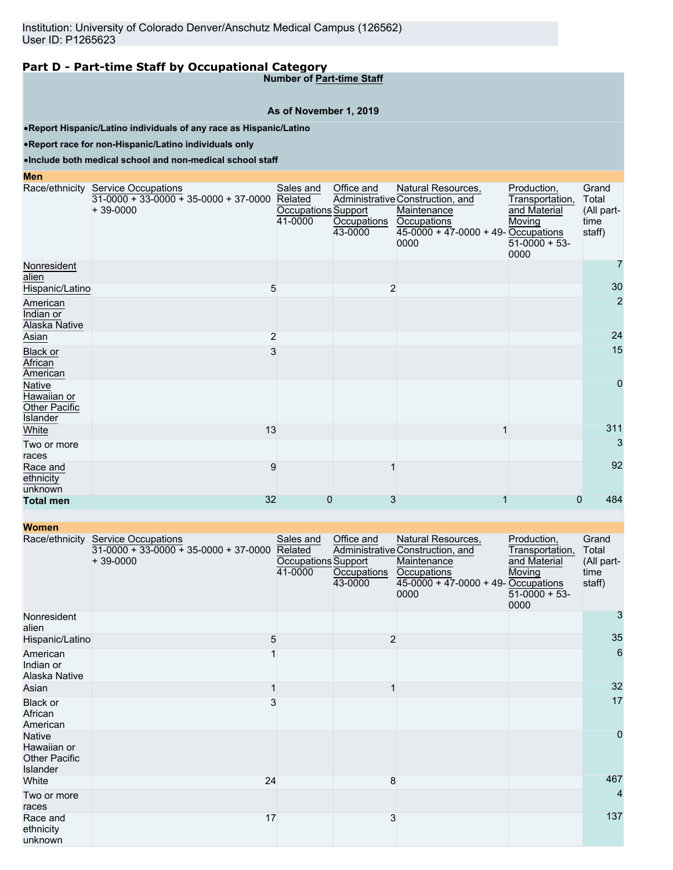# **Part D - Part-time Staff by Occupational Category**

**Number of Part-time Staff**

## **As of November 1, 2019**

•**Report Hispanic/Latino individuals of any race as Hispanic/Latino**

•**Report race for non-Hispanic/Latino individuals only**

## •**Include both medical school and non-medical school staff**

**Men**

|                                                    | Race/ethnicity Service Occupations<br>$31-0000 + 33-0000 + 35-0000 + 37-0000$<br>$+39-0000$ | Sales and<br>Related<br>Occupations Support<br>41-0000 | Office and<br>Occupations<br>43-0000 | Natural Resources,<br>Administrative Construction, and<br>Maintenance<br>Occupations<br>$45 - 0000 + 47 - 0000 + 49 - Occupations$<br>0000 | Production,<br>Transportation,<br>and Material<br>Moving<br>$51-0000 + 53$<br>0000 | Grand<br>Total<br>(All part-<br>time<br>staff) |
|----------------------------------------------------|---------------------------------------------------------------------------------------------|--------------------------------------------------------|--------------------------------------|--------------------------------------------------------------------------------------------------------------------------------------------|------------------------------------------------------------------------------------|------------------------------------------------|
| Nonresident<br>alien                               |                                                                                             |                                                        |                                      |                                                                                                                                            |                                                                                    | 7                                              |
| Hispanic/Latino                                    | 5                                                                                           |                                                        |                                      | $\overline{2}$                                                                                                                             |                                                                                    | 30                                             |
| American<br>Indian or<br>Alaska Native             |                                                                                             |                                                        |                                      |                                                                                                                                            |                                                                                    | $\overline{2}$                                 |
| Asian                                              | 2                                                                                           |                                                        |                                      |                                                                                                                                            |                                                                                    | 24                                             |
| <b>Black or</b><br>African<br>American             | 3                                                                                           |                                                        |                                      |                                                                                                                                            |                                                                                    | 15                                             |
| Native<br>Hawaiian or<br>Other Pacific<br>Islander |                                                                                             |                                                        |                                      |                                                                                                                                            |                                                                                    | $\overline{0}$                                 |
| White                                              | 13                                                                                          |                                                        |                                      |                                                                                                                                            |                                                                                    | 311                                            |
| Two or more<br>races                               |                                                                                             |                                                        |                                      |                                                                                                                                            |                                                                                    | 3                                              |
| Race and<br>ethnicity<br>unknown                   | 9                                                                                           |                                                        |                                      |                                                                                                                                            |                                                                                    | 92                                             |
| <b>Total men</b>                                   | 32                                                                                          | $\mathbf 0$                                            | 3                                    |                                                                                                                                            | $\mathbf 0$                                                                        | 484                                            |

**Women**

|                                                                  | Race/ethnicity Service Occupations<br>$31-0000 + 33-0000 + 35-0000 + 37-0000$<br>$+39-0000$ | Sales and<br>Related<br>Occupations Support<br>41-0000 | Office and<br>Occupations<br>43-0000 | Natural Resources,<br>Administrative Construction, and<br>Maintenance<br>Occupations<br>$45-0000 + 47-0000 + 49$ - Occupations<br>0000 | Production,<br>Transportation,<br>and Material<br>Moving<br>$51-0000 + 53$<br>0000 | Grand<br>Total<br>(All part-<br>time<br>staff) |
|------------------------------------------------------------------|---------------------------------------------------------------------------------------------|--------------------------------------------------------|--------------------------------------|----------------------------------------------------------------------------------------------------------------------------------------|------------------------------------------------------------------------------------|------------------------------------------------|
| Nonresident<br>alien                                             |                                                                                             |                                                        |                                      |                                                                                                                                        |                                                                                    | 3                                              |
| Hispanic/Latino                                                  | 5                                                                                           |                                                        | $\overline{c}$                       |                                                                                                                                        |                                                                                    | 35                                             |
| American<br>Indian or<br>Alaska Native                           |                                                                                             |                                                        |                                      |                                                                                                                                        |                                                                                    | 6                                              |
| Asian                                                            |                                                                                             |                                                        |                                      |                                                                                                                                        |                                                                                    | 32                                             |
| Black or<br>African<br>American                                  | 3                                                                                           |                                                        |                                      |                                                                                                                                        |                                                                                    | 17                                             |
| <b>Native</b><br>Hawaiian or<br><b>Other Pacific</b><br>Islander |                                                                                             |                                                        |                                      |                                                                                                                                        |                                                                                    | $\overline{0}$                                 |
| White                                                            | 24                                                                                          |                                                        | 8                                    |                                                                                                                                        |                                                                                    | 467                                            |
| Two or more<br>races                                             |                                                                                             |                                                        |                                      |                                                                                                                                        |                                                                                    | 4                                              |
| Race and<br>ethnicity<br>unknown                                 | 17                                                                                          |                                                        | 3                                    |                                                                                                                                        |                                                                                    | 137                                            |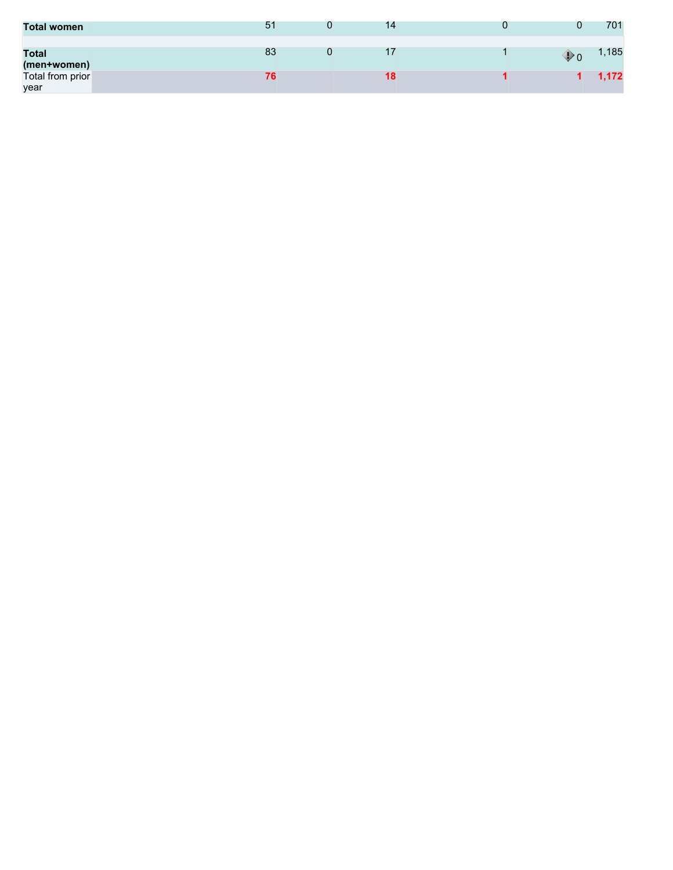| <b>Total women</b>          | 51 | 14 |    | 701   |
|-----------------------------|----|----|----|-------|
| <b>Total</b><br>(men+women) | 83 |    | Ψo | ,185  |
| Total from prior<br>year    |    | ۱ŏ |    | 1,172 |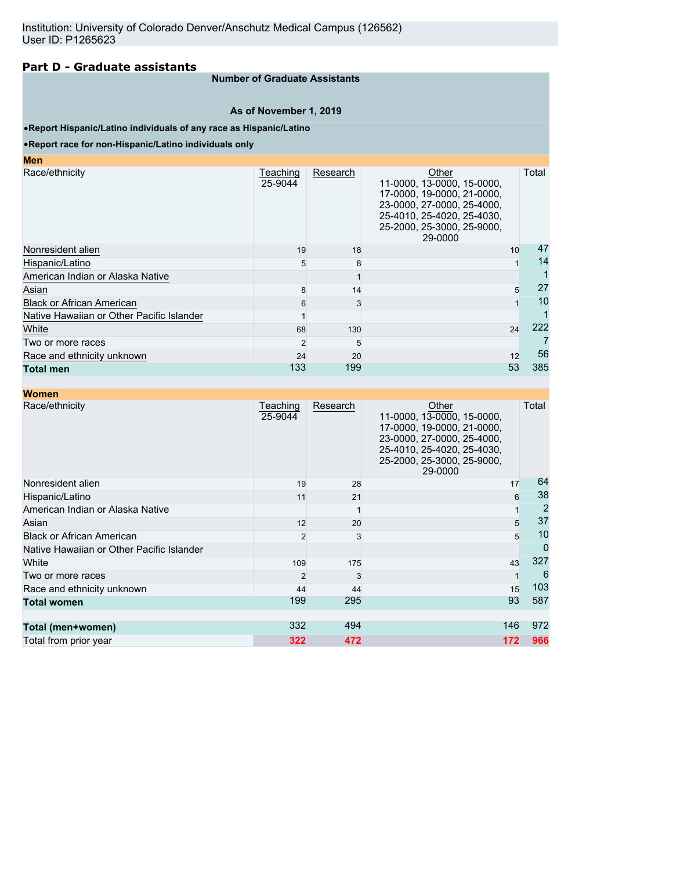## **Part D - Graduate assistants**

#### **Number of Graduate Assistants**

#### **As of November 1, 2019**

#### •**Report Hispanic/Latino individuals of any race as Hispanic/Latino**

#### •**Report race for non-Hispanic/Latino individuals only**

| Teaching<br>25-9044 | Research | Other<br>11-0000, 13-0000, 15-0000,<br>17-0000, 19-0000, 21-0000,<br>23-0000, 27-0000, 25-4000,<br>25-4010, 25-4020, 25-4030,<br>25-2000, 25-3000, 25-9000,<br>29-0000 | Total                |
|---------------------|----------|------------------------------------------------------------------------------------------------------------------------------------------------------------------------|----------------------|
| 19                  | 18       |                                                                                                                                                                        | 47                   |
|                     |          |                                                                                                                                                                        | 14                   |
|                     |          |                                                                                                                                                                        |                      |
|                     | 14       |                                                                                                                                                                        | 27<br>5              |
| 6                   |          |                                                                                                                                                                        | 10                   |
|                     |          |                                                                                                                                                                        |                      |
| 68                  | 130      |                                                                                                                                                                        | 222                  |
| $\overline{2}$      |          |                                                                                                                                                                        |                      |
| 24                  | 20       |                                                                                                                                                                        | 56                   |
|                     | 199      |                                                                                                                                                                        | 385                  |
|                     |          | 5<br>8<br>133                                                                                                                                                          | 10<br>24<br>12<br>53 |

| <b>Women</b>                              |                     |          |                                                                                                                                                                        |                |
|-------------------------------------------|---------------------|----------|------------------------------------------------------------------------------------------------------------------------------------------------------------------------|----------------|
| Race/ethnicity                            | Teaching<br>25-9044 | Research | Other<br>11-0000, 13-0000, 15-0000,<br>17-0000, 19-0000, 21-0000,<br>23-0000, 27-0000, 25-4000,<br>25-4010, 25-4020, 25-4030,<br>25-2000, 25-3000, 25-9000,<br>29-0000 | Total          |
| Nonresident alien                         | 19                  | 28       | 17                                                                                                                                                                     | 64             |
| Hispanic/Latino                           | 11                  | 21       |                                                                                                                                                                        | 38<br>6        |
| American Indian or Alaska Native          |                     |          |                                                                                                                                                                        | $\overline{2}$ |
| Asian                                     | 12                  | 20       |                                                                                                                                                                        | 37<br>5        |
| <b>Black or African American</b>          | $\mathfrak{p}$      | 3        |                                                                                                                                                                        | 10<br>5        |
| Native Hawaiian or Other Pacific Islander |                     |          |                                                                                                                                                                        | 0              |
| White                                     | 109                 | 175      | 43                                                                                                                                                                     | 327            |
| Two or more races                         | $\mathcal{P}$       | 3        |                                                                                                                                                                        | 6              |
| Race and ethnicity unknown                | 44                  | 44       | 15                                                                                                                                                                     | 103            |
| <b>Total women</b>                        | 199                 | 295      | 93                                                                                                                                                                     | 587            |
| Total (men+women)                         | 332                 | 494      | 146                                                                                                                                                                    | 972            |
| Total from prior year                     | 322                 | 472      | 172                                                                                                                                                                    | 966            |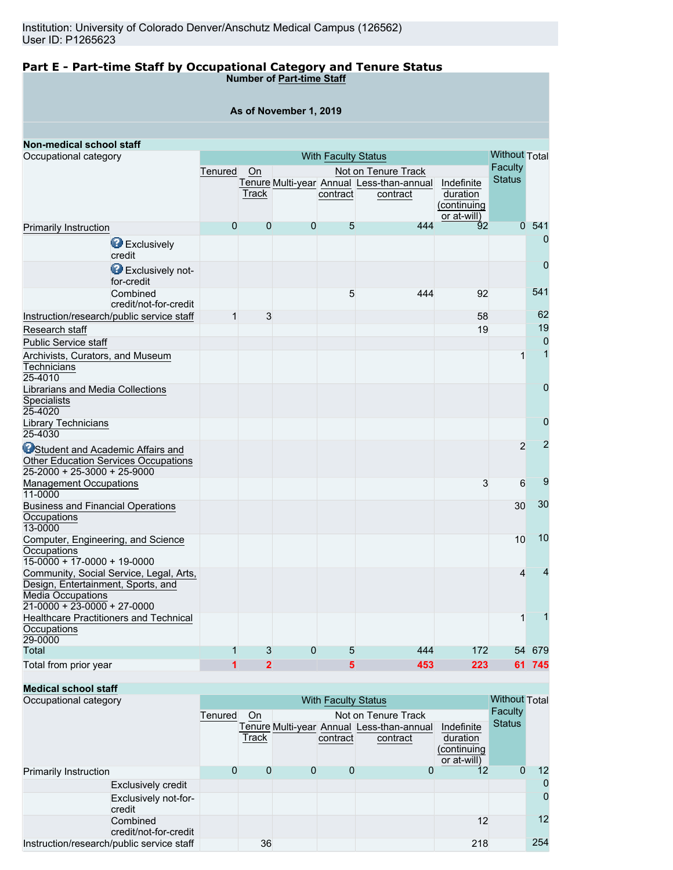#### **Part E - Part-time Staff by Occupational Category and Tenure Status Number of Part-time Staff**

#### **As of November 1, 2019**

| Non-medical school staff                                                                                                                 |                |                |                |                            |                                                       |                                                      |                      |                |
|------------------------------------------------------------------------------------------------------------------------------------------|----------------|----------------|----------------|----------------------------|-------------------------------------------------------|------------------------------------------------------|----------------------|----------------|
| Occupational category                                                                                                                    |                |                |                | <b>With Faculty Status</b> |                                                       |                                                      | <b>Without Total</b> |                |
|                                                                                                                                          | Tenured        | On             |                |                            | Not on Tenure Track                                   |                                                      | <b>Faculty</b>       |                |
|                                                                                                                                          |                | Track          |                | contract                   | Tenure Multi-year Annual Less-than-annual<br>contract | Indefinite<br>duration<br>(continuing<br>or at-will) | <b>Status</b>        |                |
| <b>Primarily Instruction</b>                                                                                                             | $\overline{0}$ | $\overline{0}$ | $\overline{0}$ | 5                          | 444                                                   | 92                                                   | $\overline{0}$       | 541            |
| <b>B</b> Exclusively<br>credit                                                                                                           |                |                |                |                            |                                                       |                                                      |                      | $\mathbf 0$    |
| Exclusively not-<br>for-credit                                                                                                           |                |                |                |                            |                                                       |                                                      |                      | $\overline{0}$ |
| Combined<br>credit/not-for-credit                                                                                                        |                |                |                | 5                          | 444                                                   | 92                                                   |                      | 541            |
| Instruction/research/public service staff                                                                                                | $\mathbf{1}$   | 3              |                |                            |                                                       | 58                                                   |                      | 62             |
| Research staff                                                                                                                           |                |                |                |                            |                                                       | 19                                                   |                      | 19             |
| Public Service staff                                                                                                                     |                |                |                |                            |                                                       |                                                      |                      | $\overline{0}$ |
| Archivists, Curators, and Museum<br>Technicians<br>25-4010                                                                               |                |                |                |                            |                                                       |                                                      | 1                    | 1              |
| Librarians and Media Collections<br>Specialists<br>25-4020                                                                               |                |                |                |                            |                                                       |                                                      |                      | $\mathbf{0}$   |
| Library Technicians<br>25-4030                                                                                                           |                |                |                |                            |                                                       |                                                      |                      | $\mathbf 0$    |
| <b>O</b> Student and Academic Affairs and<br>Other Education Services Occupations<br>$25-2000 + 25-3000 + 25-9000$                       |                |                |                |                            |                                                       |                                                      | $\overline{2}$       | $\overline{2}$ |
| <b>Management Occupations</b><br>11-0000                                                                                                 |                |                |                |                            |                                                       | 3                                                    | 6                    | 9              |
| <b>Business and Financial Operations</b><br>Occupations<br>13-0000                                                                       |                |                |                |                            |                                                       |                                                      | 30                   | 30             |
| Computer, Engineering, and Science<br>Occupations<br>$15-0000 + 17-0000 + 19-0000$                                                       |                |                |                |                            |                                                       |                                                      | 10                   | 10             |
| Community, Social Service, Legal, Arts,<br>Design, Entertainment, Sports, and<br><b>Media Occupations</b><br>21-0000 + 23-0000 + 27-0000 |                |                |                |                            |                                                       |                                                      | 4                    | 4              |
| <b>Healthcare Practitioners and Technical</b><br>Occupations<br>29-0000                                                                  |                |                |                |                            |                                                       |                                                      | 1                    |                |
| Total                                                                                                                                    | 1              | 3              | 0              | 5                          | 444                                                   | 172                                                  | 54                   | 679            |
| Total from prior year                                                                                                                    | 1              | $\overline{2}$ |                | 5                          | 453                                                   | 223                                                  |                      | 61 745         |

# **Medical school staff**

| Occupational category                     |         | <b>With Faculty Status</b> |   |          |                                                       |                                                      |               |     |
|-------------------------------------------|---------|----------------------------|---|----------|-------------------------------------------------------|------------------------------------------------------|---------------|-----|
|                                           | Tenured | On.                        |   |          | Not on Tenure Track                                   |                                                      | Faculty       |     |
|                                           |         | Track                      |   | contract | Tenure Multi-year Annual Less-than-annual<br>contract | Indefinite<br>duration<br>(continuing<br>or at-will) | <b>Status</b> |     |
| <b>Primarily Instruction</b>              | 0       | 0                          | 0 | 0        | 0                                                     | $12 \overline{ }$                                    | O             | 12  |
| <b>Exclusively credit</b>                 |         |                            |   |          |                                                       |                                                      |               | 0   |
| Exclusively not-for-<br>credit            |         |                            |   |          |                                                       |                                                      |               | 0   |
| Combined<br>credit/not-for-credit         |         |                            |   |          |                                                       | 12                                                   |               | 12  |
| Instruction/research/public service staff |         | 36                         |   |          |                                                       | 218                                                  |               | 254 |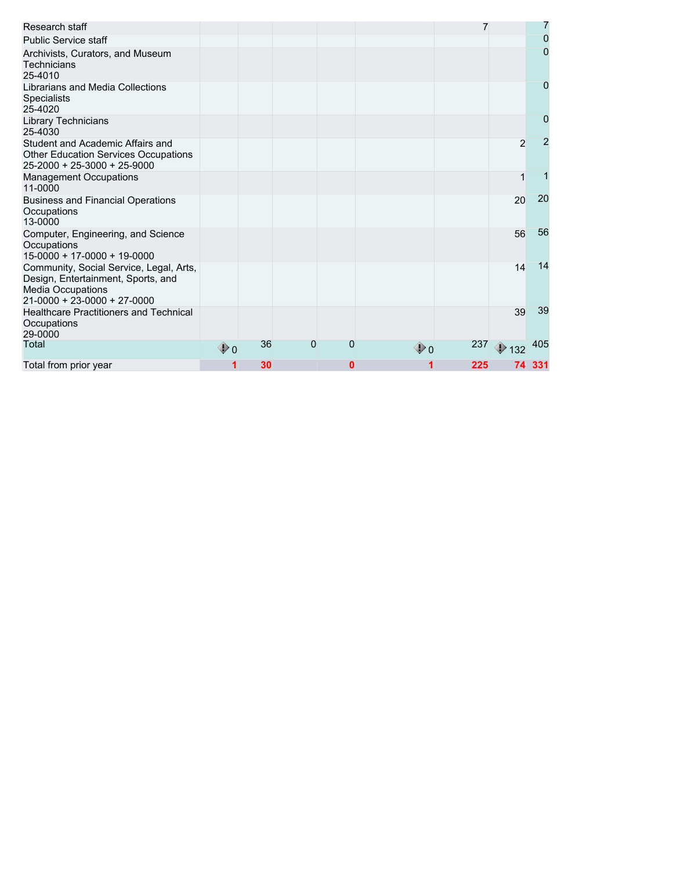| Research staff                                                                                                                           |                   |    |   |   |              | 7   |                | 7              |
|------------------------------------------------------------------------------------------------------------------------------------------|-------------------|----|---|---|--------------|-----|----------------|----------------|
| <b>Public Service staff</b>                                                                                                              |                   |    |   |   |              |     |                | $\overline{0}$ |
| Archivists, Curators, and Museum<br>Technicians<br>25-4010                                                                               |                   |    |   |   |              |     |                | 0              |
| Librarians and Media Collections<br><b>Specialists</b><br>25-4020                                                                        |                   |    |   |   |              |     |                | 0              |
| Library Technicians<br>25-4030                                                                                                           |                   |    |   |   |              |     |                | 0              |
| Student and Academic Affairs and<br><b>Other Education Services Occupations</b><br>$25 - 2000 + 25 - 3000 + 25 - 9000$                   |                   |    |   |   |              |     | $\overline{2}$ | $\overline{2}$ |
| <b>Management Occupations</b><br>11-0000                                                                                                 |                   |    |   |   |              |     |                |                |
| <b>Business and Financial Operations</b><br>Occupations<br>13-0000                                                                       |                   |    |   |   |              |     | 20             | 20             |
| Computer, Engineering, and Science<br>Occupations<br>$15-0000 + 17-0000 + 19-0000$                                                       |                   |    |   |   |              |     | 56             | 56             |
| Community, Social Service, Legal, Arts,<br>Design, Entertainment, Sports, and<br><b>Media Occupations</b><br>21-0000 + 23-0000 + 27-0000 |                   |    |   |   |              |     | 14             | 14             |
| <b>Healthcare Practitioners and Technical</b><br>Occupations<br>29-0000                                                                  |                   |    |   |   |              |     | 39             | 39             |
| Total                                                                                                                                    | $\mathbf{\Phi}$ 0 | 36 | 0 | 0 | $\bigcirc$ 0 | 237 | $\bigcirc$ 132 | 405            |
| Total from prior year                                                                                                                    |                   | 30 |   | 0 |              | 225 |                | 74 331         |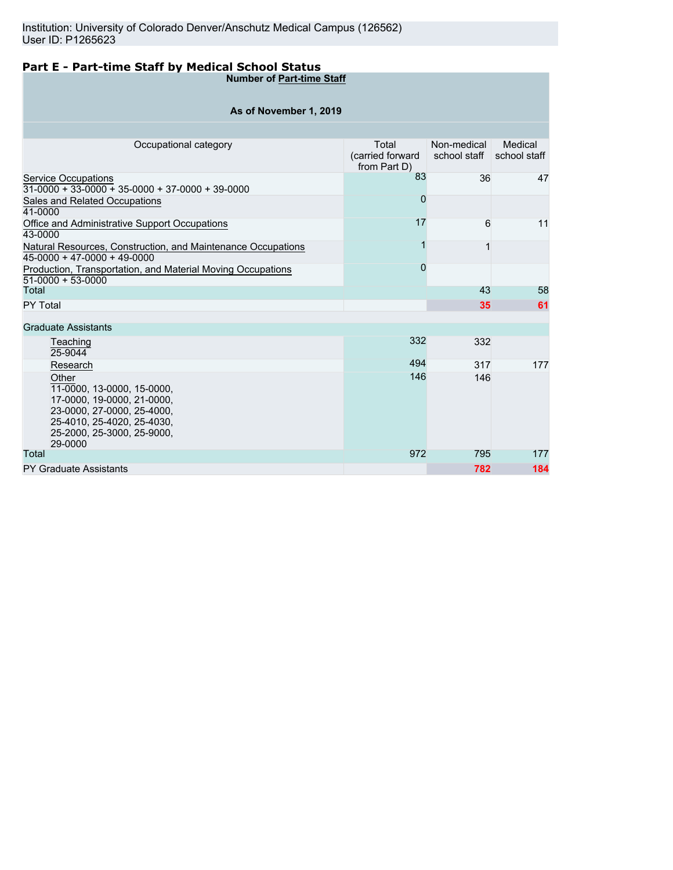# **Part E - Part-time Staff by Medical School Status**

**Number of Part-time Staff**

| As of November 1, 2019                                                                                                                                                 |                                           |                             |                         |  |  |  |  |  |  |  |
|------------------------------------------------------------------------------------------------------------------------------------------------------------------------|-------------------------------------------|-----------------------------|-------------------------|--|--|--|--|--|--|--|
|                                                                                                                                                                        |                                           |                             |                         |  |  |  |  |  |  |  |
| Occupational category                                                                                                                                                  | Total<br>(carried forward<br>from Part D) | Non-medical<br>school staff | Medical<br>school staff |  |  |  |  |  |  |  |
| <b>Service Occupations</b><br>$31-0000 + 33-0000 + 35-0000 + 37-0000 + 39-0000$                                                                                        | 83                                        | 36                          | 47                      |  |  |  |  |  |  |  |
| Sales and Related Occupations<br>41-0000                                                                                                                               | 0                                         |                             |                         |  |  |  |  |  |  |  |
| Office and Administrative Support Occupations<br>43-0000                                                                                                               | 17                                        | 6                           | 11                      |  |  |  |  |  |  |  |
| Natural Resources, Construction, and Maintenance Occupations<br>45-0000 + 47-0000 + 49-0000                                                                            |                                           | 1                           |                         |  |  |  |  |  |  |  |
| Production, Transportation, and Material Moving Occupations<br>51-0000 + 53-0000                                                                                       | $\overline{0}$                            |                             |                         |  |  |  |  |  |  |  |
| Total                                                                                                                                                                  |                                           | 43                          | 58                      |  |  |  |  |  |  |  |
| PY Total                                                                                                                                                               |                                           | 35                          | 61                      |  |  |  |  |  |  |  |
| <b>Graduate Assistants</b>                                                                                                                                             |                                           |                             |                         |  |  |  |  |  |  |  |
| Teaching<br>25-9044                                                                                                                                                    | 332                                       | 332                         |                         |  |  |  |  |  |  |  |
| Research                                                                                                                                                               | 494                                       | 317                         | 177                     |  |  |  |  |  |  |  |
| Other<br>11-0000, 13-0000, 15-0000,<br>17-0000, 19-0000, 21-0000,<br>23-0000, 27-0000, 25-4000,<br>25-4010, 25-4020, 25-4030,<br>25-2000, 25-3000, 25-9000,<br>29-0000 | 146                                       | 146                         |                         |  |  |  |  |  |  |  |
| Total                                                                                                                                                                  | 972                                       | 795                         | 177                     |  |  |  |  |  |  |  |
| <b>PY Graduate Assistants</b>                                                                                                                                          |                                           | 782                         | 184                     |  |  |  |  |  |  |  |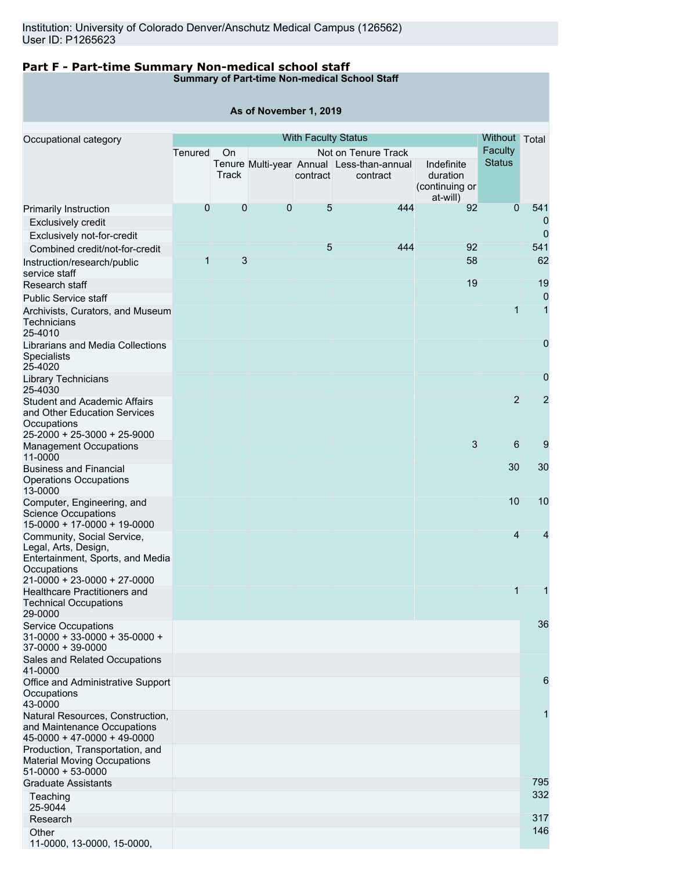# **Part F - Part-time Summary Non-medical school staff**

**Summary of Part-time Non-medical School Staff**

|                                                                                                                   |              |             | As of November 1, 2019 |                            |                                                       |                                                      |                |                |
|-------------------------------------------------------------------------------------------------------------------|--------------|-------------|------------------------|----------------------------|-------------------------------------------------------|------------------------------------------------------|----------------|----------------|
|                                                                                                                   |              |             |                        | <b>With Faculty Status</b> |                                                       |                                                      | Without        | Total          |
| Occupational category                                                                                             | Tenured      | On          |                        |                            | Not on Tenure Track                                   |                                                      | <b>Faculty</b> |                |
|                                                                                                                   |              | Track       |                        | contract                   | Tenure Multi-year Annual Less-than-annual<br>contract | Indefinite<br>duration<br>(continuing or<br>at-will) | <b>Status</b>  |                |
| Primarily Instruction                                                                                             | 0            | $\mathbf 0$ | $\mathbf 0$            | 5                          | 444                                                   | 92                                                   | $\overline{0}$ | 541            |
| <b>Exclusively credit</b>                                                                                         |              |             |                        |                            |                                                       |                                                      |                | 0              |
| Exclusively not-for-credit                                                                                        |              |             |                        |                            |                                                       |                                                      |                | $\mathbf 0$    |
| Combined credit/not-for-credit                                                                                    |              |             |                        | 5                          | 444                                                   | 92                                                   |                | 541            |
| Instruction/research/public<br>service staff<br>Research staff                                                    | $\mathbf{1}$ | 3           |                        |                            |                                                       | 58<br>19                                             |                | 62<br>19       |
| <b>Public Service staff</b>                                                                                       |              |             |                        |                            |                                                       |                                                      |                | $\overline{0}$ |
| Archivists, Curators, and Museum<br>Technicians<br>25-4010                                                        |              |             |                        |                            |                                                       |                                                      | $\mathbf{1}$   | $\mathbf{1}$   |
| Librarians and Media Collections<br><b>Specialists</b><br>25-4020                                                 |              |             |                        |                            |                                                       |                                                      |                | $\mathbf 0$    |
| Library Technicians<br>25-4030                                                                                    |              |             |                        |                            |                                                       |                                                      |                | $\overline{0}$ |
| <b>Student and Academic Affairs</b><br>and Other Education Services<br>Occupations<br>25-2000 + 25-3000 + 25-9000 |              |             |                        |                            |                                                       |                                                      | $\overline{2}$ | $\overline{2}$ |
| <b>Management Occupations</b><br>11-0000                                                                          |              |             |                        |                            |                                                       | 3                                                    | 6              | 9              |
| <b>Business and Financial</b><br>Operations Occupations<br>13-0000                                                |              |             |                        |                            |                                                       |                                                      | 30             | 30             |
| Computer, Engineering, and<br><b>Science Occupations</b><br>15-0000 + 17-0000 + 19-0000                           |              |             |                        |                            |                                                       |                                                      | 10             | 10             |
| Community, Social Service,<br>Legal, Arts, Design,<br>Entertainment, Sports, and Media<br>Occupations             |              |             |                        |                            |                                                       |                                                      | $\overline{4}$ | 4              |
| 21-0000 + 23-0000 + 27-0000<br>Healthcare Practitioners and<br><b>Technical Occupations</b><br>29-0000            |              |             |                        |                            |                                                       |                                                      | $\mathbf{1}$   | 1              |
| <b>Service Occupations</b><br>31-0000 + 33-0000 + 35-0000 +<br>37-0000 + 39-0000                                  |              |             |                        |                            |                                                       |                                                      |                | 36             |
| Sales and Related Occupations<br>41-0000                                                                          |              |             |                        |                            |                                                       |                                                      |                |                |
| Office and Administrative Support<br>Occupations<br>43-0000                                                       |              |             |                        |                            |                                                       |                                                      |                | 6              |
| Natural Resources, Construction,<br>and Maintenance Occupations<br>45-0000 + 47-0000 + 49-0000                    |              |             |                        |                            |                                                       |                                                      |                | 1              |
| Production, Transportation, and<br><b>Material Moving Occupations</b><br>51-0000 + 53-0000                        |              |             |                        |                            |                                                       |                                                      |                |                |
| <b>Graduate Assistants</b><br>Teaching                                                                            |              |             |                        |                            |                                                       |                                                      |                | 795<br>332     |
| 25-9044                                                                                                           |              |             |                        |                            |                                                       |                                                      |                |                |
| Research                                                                                                          |              |             |                        |                            |                                                       |                                                      |                | 317<br>146     |
| Other                                                                                                             |              |             |                        |                            |                                                       |                                                      |                |                |

11-0000, 13-0000, 15-0000,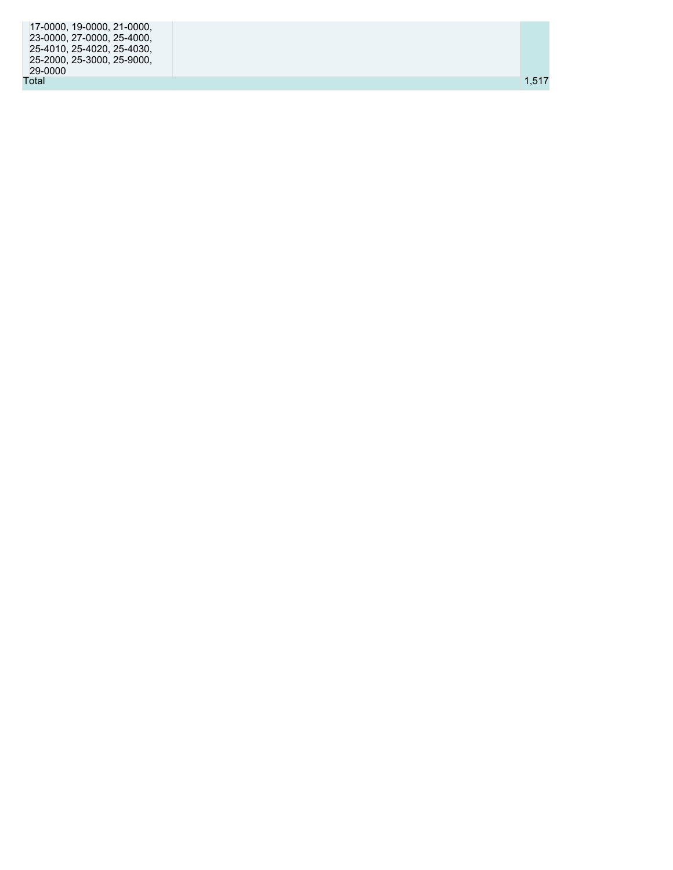| $\vert$ 17-0000, 19-0000, 21-0000, |       |  |
|------------------------------------|-------|--|
| 23-0000, 27-0000, 25-4000,         |       |  |
| 25-4010, 25-4020, 25-4030,         |       |  |
| 25-2000, 25-3000, 25-9000,         |       |  |
| 29-0000                            |       |  |
| Total                              | 1.517 |  |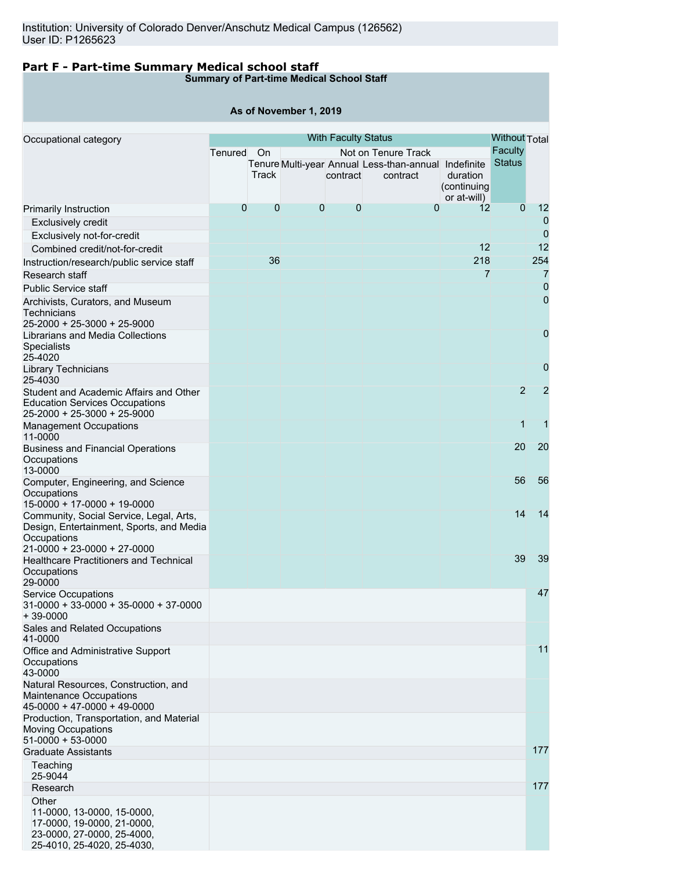## **Part F - Part-time Summary Medical school staff**

**Summary of Part-time Medical School Staff**

#### **As of November 1, 2019**

| Occupational category                                                          | <b>With Faculty Status</b> |             |             |              |                                                      |                         |                | <b>Without Total</b> |
|--------------------------------------------------------------------------------|----------------------------|-------------|-------------|--------------|------------------------------------------------------|-------------------------|----------------|----------------------|
|                                                                                | Tenured                    | On          |             |              | Not on Tenure Track                                  |                         | Faculty        |                      |
|                                                                                |                            |             |             |              | Tenure Multi-year Annual Less-than-annual Indefinite |                         | <b>Status</b>  |                      |
|                                                                                |                            | Track       |             | contract     | contract                                             | duration<br>(continuing |                |                      |
|                                                                                |                            |             |             |              |                                                      | or at-will)             |                |                      |
| Primarily Instruction                                                          | $\overline{0}$             | $\mathbf 0$ | $\mathbf 0$ | $\mathbf{0}$ | $\mathbf 0$                                          | 12                      | $\overline{0}$ | 12                   |
| <b>Exclusively credit</b>                                                      |                            |             |             |              |                                                      |                         |                | $\overline{0}$       |
| Exclusively not-for-credit                                                     |                            |             |             |              |                                                      |                         |                | $\mathbf{0}$         |
| Combined credit/not-for-credit                                                 |                            |             |             |              |                                                      | 12                      |                | 12                   |
| Instruction/research/public service staff                                      |                            | 36          |             |              |                                                      | 218                     |                | 254                  |
| Research staff                                                                 |                            |             |             |              |                                                      | $\overline{7}$          |                | $\overline{7}$       |
| <b>Public Service staff</b>                                                    |                            |             |             |              |                                                      |                         |                | $\overline{0}$       |
| Archivists, Curators, and Museum                                               |                            |             |             |              |                                                      |                         |                | $\mathbf 0$          |
| Technicians                                                                    |                            |             |             |              |                                                      |                         |                |                      |
| 25-2000 + 25-3000 + 25-9000<br>Librarians and Media Collections                |                            |             |             |              |                                                      |                         |                | $\mathbf 0$          |
| Specialists                                                                    |                            |             |             |              |                                                      |                         |                |                      |
| 25-4020                                                                        |                            |             |             |              |                                                      |                         |                |                      |
| Library Technicians                                                            |                            |             |             |              |                                                      |                         |                | 0                    |
| 25-4030                                                                        |                            |             |             |              |                                                      |                         |                |                      |
| Student and Academic Affairs and Other                                         |                            |             |             |              |                                                      |                         | $\overline{2}$ | $\overline{2}$       |
| <b>Education Services Occupations</b><br>25-2000 + 25-3000 + 25-9000           |                            |             |             |              |                                                      |                         |                |                      |
| <b>Management Occupations</b>                                                  |                            |             |             |              |                                                      |                         | $\overline{1}$ | 1                    |
| 11-0000                                                                        |                            |             |             |              |                                                      |                         |                |                      |
| <b>Business and Financial Operations</b>                                       |                            |             |             |              |                                                      |                         | 20             | 20                   |
| Occupations                                                                    |                            |             |             |              |                                                      |                         |                |                      |
| 13-0000                                                                        |                            |             |             |              |                                                      |                         | 56             | 56                   |
| Computer, Engineering, and Science<br>Occupations                              |                            |             |             |              |                                                      |                         |                |                      |
| 15-0000 + 17-0000 + 19-0000                                                    |                            |             |             |              |                                                      |                         |                |                      |
| Community, Social Service, Legal, Arts,                                        |                            |             |             |              |                                                      |                         | 14             | 14                   |
| Design, Entertainment, Sports, and Media                                       |                            |             |             |              |                                                      |                         |                |                      |
| Occupations                                                                    |                            |             |             |              |                                                      |                         |                |                      |
| $21-0000 + 23-0000 + 27-0000$<br><b>Healthcare Practitioners and Technical</b> |                            |             |             |              |                                                      |                         | 39             | 39                   |
| Occupations                                                                    |                            |             |             |              |                                                      |                         |                |                      |
| 29-0000                                                                        |                            |             |             |              |                                                      |                         |                |                      |
| <b>Service Occupations</b>                                                     |                            |             |             |              |                                                      |                         |                | 47                   |
| $31-0000 + 33-0000 + 35-0000 + 37-0000$                                        |                            |             |             |              |                                                      |                         |                |                      |
| $+39-0000$<br>Sales and Related Occupations                                    |                            |             |             |              |                                                      |                         |                |                      |
| 41-0000                                                                        |                            |             |             |              |                                                      |                         |                |                      |
| Office and Administrative Support                                              |                            |             |             |              |                                                      |                         |                | 11                   |
| Occupations                                                                    |                            |             |             |              |                                                      |                         |                |                      |
| 43-0000                                                                        |                            |             |             |              |                                                      |                         |                |                      |
| Natural Resources, Construction, and<br>Maintenance Occupations                |                            |             |             |              |                                                      |                         |                |                      |
| $45-0000 + 47-0000 + 49-0000$                                                  |                            |             |             |              |                                                      |                         |                |                      |
| Production, Transportation, and Material                                       |                            |             |             |              |                                                      |                         |                |                      |
| <b>Moving Occupations</b>                                                      |                            |             |             |              |                                                      |                         |                |                      |
| $51-0000 + 53-0000$                                                            |                            |             |             |              |                                                      |                         |                |                      |
| <b>Graduate Assistants</b>                                                     |                            |             |             |              |                                                      |                         |                | 177                  |
| Teaching<br>25-9044                                                            |                            |             |             |              |                                                      |                         |                |                      |
| Research                                                                       |                            |             |             |              |                                                      |                         |                | 177                  |
| Other                                                                          |                            |             |             |              |                                                      |                         |                |                      |
| 11-0000, 13-0000, 15-0000,                                                     |                            |             |             |              |                                                      |                         |                |                      |
| 17-0000, 19-0000, 21-0000,                                                     |                            |             |             |              |                                                      |                         |                |                      |
| 23-0000, 27-0000, 25-4000,                                                     |                            |             |             |              |                                                      |                         |                |                      |
| 25-4010, 25-4020, 25-4030,                                                     |                            |             |             |              |                                                      |                         |                |                      |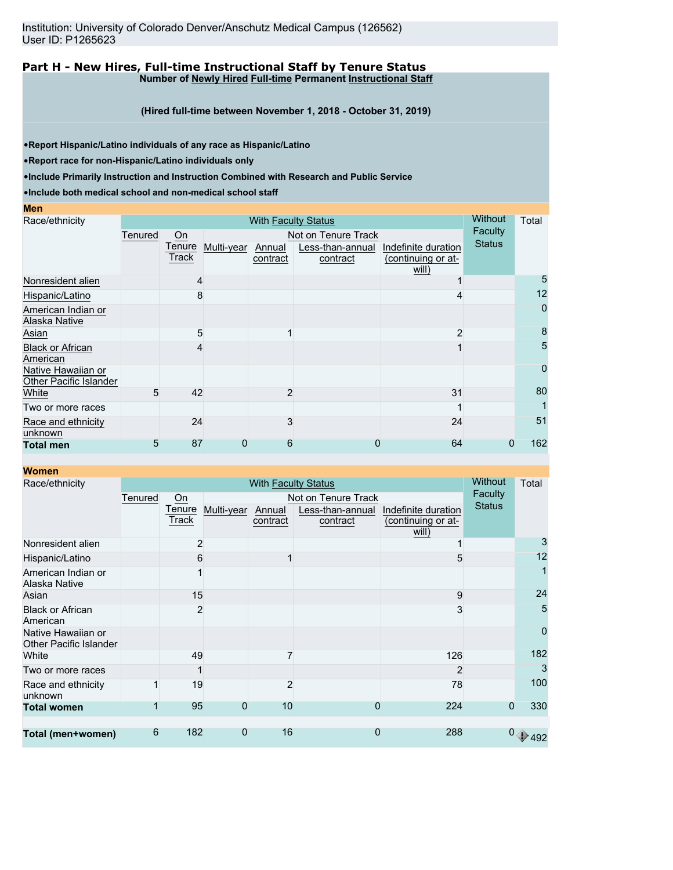#### **Part H - New Hires, Full-time Instructional Staff by Tenure Status Number of Newly Hired Full-time Permanent Instructional Staff**

**(Hired full-time between November 1, 2018 - October 31, 2019)**

•**Report Hispanic/Latino individuals of any race as Hispanic/Latino**

•**Report race for non-Hispanic/Latino individuals only**

•**Include Primarily Instruction and Instruction Combined with Research and Public Service**

•**Include both medical school and non-medical school staff**

| Men                                          |         |                 |            |                     |                              |                                           |               |                |
|----------------------------------------------|---------|-----------------|------------|---------------------|------------------------------|-------------------------------------------|---------------|----------------|
| Race/ethnicity                               |         | <b>Without</b>  | Total      |                     |                              |                                           |               |                |
|                                              | Tenured | On              |            | Not on Tenure Track | Faculty                      |                                           |               |                |
|                                              |         | Tenure<br>Track | Multi-year | Annual<br>contract  | Less-than-annual<br>contract | Indefinite duration<br>(continuing or at- | <b>Status</b> |                |
|                                              |         |                 |            |                     |                              | will)                                     |               |                |
| Nonresident alien                            |         | 4               |            |                     |                              |                                           |               | 5              |
| Hispanic/Latino                              |         | 8               |            |                     |                              |                                           |               | 12             |
| American Indian or<br>Alaska Native          |         |                 |            |                     |                              |                                           |               | $\overline{0}$ |
| Asian                                        |         | 5               |            |                     |                              | 2                                         |               | 8              |
| <b>Black or African</b><br>American          |         |                 |            |                     |                              |                                           |               | 5              |
| Native Hawaiian or<br>Other Pacific Islander |         |                 |            |                     |                              |                                           |               | $\overline{0}$ |
| White                                        | 5       | 42              |            | $\overline{2}$      |                              | 31                                        |               | 80             |
| Two or more races                            |         |                 |            |                     |                              |                                           |               |                |
| Race and ethnicity<br>unknown                |         | 24              |            | 3                   |                              | 24                                        |               | 51             |
| <b>Total men</b>                             | 5       | 87              | 0          | 6                   | 0                            | 64                                        | 0             | 162            |

| <b>Women</b>                                 |         |                            |                |                    |                              |                                           | <b>Without</b> |                     |  |
|----------------------------------------------|---------|----------------------------|----------------|--------------------|------------------------------|-------------------------------------------|----------------|---------------------|--|
| Race/ethnicity                               |         | <b>With Faculty Status</b> |                |                    |                              |                                           |                |                     |  |
|                                              | Tenured | On                         |                |                    | Not on Tenure Track          |                                           | <b>Faculty</b> |                     |  |
|                                              |         | Tenure<br>Track            | Multi-year     | Annual<br>contract | Less-than-annual<br>contract | Indefinite duration<br>(continuing or at- | <b>Status</b>  |                     |  |
|                                              |         |                            |                |                    |                              | will)                                     |                |                     |  |
| Nonresident alien                            |         | $\overline{2}$             |                |                    |                              |                                           |                | 3                   |  |
| Hispanic/Latino                              |         | 6                          |                |                    |                              | 5                                         |                | 12                  |  |
| American Indian or<br>Alaska Native          |         |                            |                |                    |                              |                                           |                | $\overline{1}$      |  |
| Asian                                        |         | 15                         |                |                    |                              | 9                                         |                | 24                  |  |
| <b>Black or African</b><br>American          |         | $\overline{2}$             |                |                    |                              | 3                                         |                | 5                   |  |
| Native Hawaiian or<br>Other Pacific Islander |         |                            |                |                    |                              |                                           |                | 0                   |  |
| White                                        |         | 49                         |                | 7                  |                              | 126                                       |                | 182                 |  |
| Two or more races                            |         |                            |                |                    |                              | 2                                         |                | 3                   |  |
| Race and ethnicity<br>unknown                | 1       | 19                         |                | 2                  |                              | 78                                        |                | 100                 |  |
| <b>Total women</b>                           |         | 95                         | $\overline{0}$ | 10                 | $\Omega$                     | 224                                       | $\Omega$       | 330                 |  |
|                                              |         |                            |                |                    |                              |                                           |                |                     |  |
| Total (men+women)                            | 6       | 182                        | 0              | 16                 | 0                            | 288                                       |                | $0 \rightarrow 492$ |  |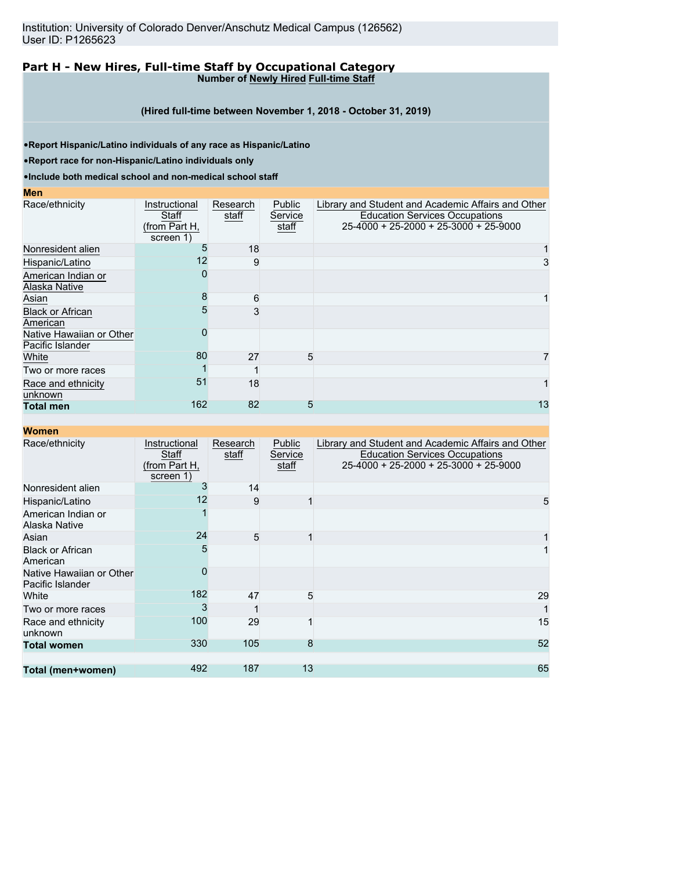#### **Part H - New Hires, Full-time Staff by Occupational Category Number of Newly Hired Full-time Staff**

**(Hired full-time between November 1, 2018 - October 31, 2019)**

•**Report Hispanic/Latino individuals of any race as Hispanic/Latino**

•**Report race for non-Hispanic/Latino individuals only**

•**Include both medical school and non-medical school staff**

#### **Men**

**Women**

| Race/ethnicity                               | Instructional<br>Staff<br>(from Part H,<br>screen 1) | Research<br>staff | Public<br>Service<br>staff | Library and Student and Academic Affairs and Other<br><b>Education Services Occupations</b><br>25-4000 + 25-2000 + 25-3000 + 25-9000 |
|----------------------------------------------|------------------------------------------------------|-------------------|----------------------------|--------------------------------------------------------------------------------------------------------------------------------------|
| Nonresident alien                            | 5                                                    | 18                |                            |                                                                                                                                      |
| Hispanic/Latino                              | 12                                                   | 9                 |                            | 3                                                                                                                                    |
| American Indian or<br>Alaska Native          |                                                      |                   |                            |                                                                                                                                      |
| Asian                                        | 8                                                    | 6                 |                            |                                                                                                                                      |
| <b>Black or African</b><br>American          | 5                                                    |                   |                            |                                                                                                                                      |
| Native Hawaiian or Other<br>Pacific Islander |                                                      |                   |                            |                                                                                                                                      |
| White                                        | 80                                                   | 27                | 5                          | 7                                                                                                                                    |
| Two or more races                            |                                                      |                   |                            |                                                                                                                                      |
| Race and ethnicity<br>unknown                | 51                                                   | 18                |                            |                                                                                                                                      |
| <b>Total men</b>                             | 162                                                  | 82                | 5                          | 13                                                                                                                                   |

| Race/ethnicity                               | Instructional<br>Staff<br>(from Part H,<br>screen 1) | Research<br>staff | Public<br>Service<br>staff | Library and Student and Academic Affairs and Other<br><b>Education Services Occupations</b><br>25-4000 + 25-2000 + 25-3000 + 25-9000 |
|----------------------------------------------|------------------------------------------------------|-------------------|----------------------------|--------------------------------------------------------------------------------------------------------------------------------------|
| Nonresident alien                            | 3                                                    | 14                |                            |                                                                                                                                      |
| Hispanic/Latino                              | 12                                                   | 9                 |                            | 5                                                                                                                                    |
| American Indian or<br>Alaska Native          |                                                      |                   |                            |                                                                                                                                      |
| Asian                                        | 24                                                   | 5                 |                            |                                                                                                                                      |
| <b>Black or African</b><br>American          | 5                                                    |                   |                            |                                                                                                                                      |
| Native Hawaiian or Other<br>Pacific Islander | ი                                                    |                   |                            |                                                                                                                                      |
| White                                        | 182                                                  | 47                | 5                          | 29                                                                                                                                   |
| Two or more races                            | 3                                                    |                   |                            |                                                                                                                                      |
| Race and ethnicity<br>unknown                | 100                                                  | 29                |                            | 15                                                                                                                                   |
| <b>Total women</b>                           | 330                                                  | 105               | 8                          | 52                                                                                                                                   |
|                                              |                                                      |                   |                            |                                                                                                                                      |
| Total (men+women)                            | 492                                                  | 187               | 13                         | 65                                                                                                                                   |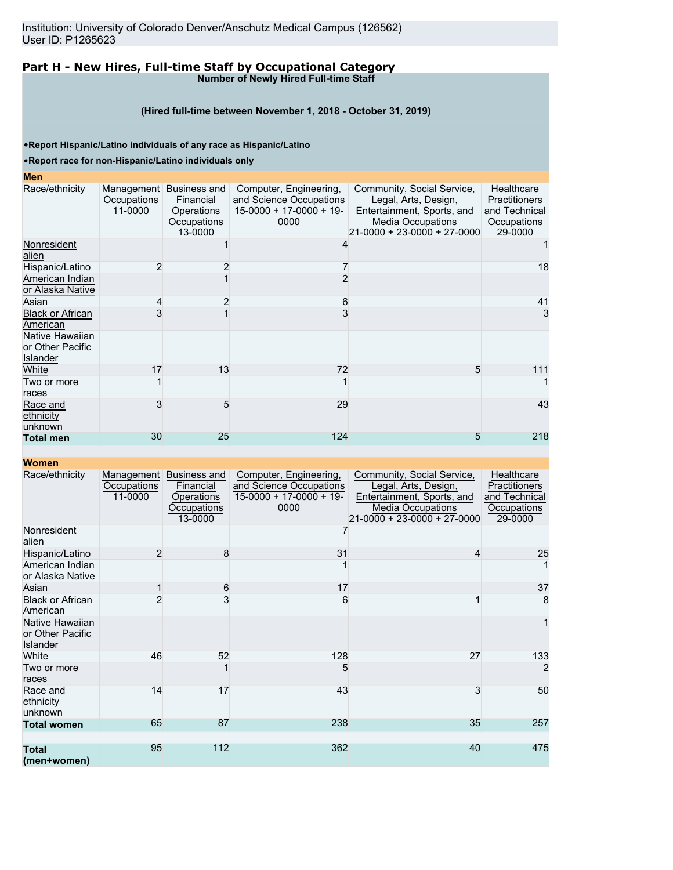#### **Part H - New Hires, Full-time Staff by Occupational Category Number of Newly Hired Full-time Staff**

#### **(Hired full-time between November 1, 2018 - October 31, 2019)**

•**Report Hispanic/Latino individuals of any race as Hispanic/Latino**

#### •**Report race for non-Hispanic/Latino individuals only**

# **Men**

| MGII                                            |                        |                                                                              |                                                                                        |                                                                                                                                      |                                                                        |
|-------------------------------------------------|------------------------|------------------------------------------------------------------------------|----------------------------------------------------------------------------------------|--------------------------------------------------------------------------------------------------------------------------------------|------------------------------------------------------------------------|
| Race/ethnicity                                  | Occupations<br>11-0000 | Management Business and<br>Financial<br>Operations<br>Occupations<br>13-0000 | Computer, Engineering,<br>and Science Occupations<br>$15-0000 + 17-0000 + 19-$<br>0000 | Community, Social Service,<br>Legal, Arts, Design,<br>Entertainment, Sports, and<br>Media Occupations<br>21-0000 + 23-0000 + 27-0000 | Healthcare<br>Practitioners<br>and Technical<br>Occupations<br>29-0000 |
| Nonresident<br>alien                            |                        |                                                                              | 4                                                                                      |                                                                                                                                      |                                                                        |
| Hispanic/Latino                                 | 2                      |                                                                              |                                                                                        |                                                                                                                                      | 18                                                                     |
| American Indian<br>or Alaska Native             |                        |                                                                              |                                                                                        |                                                                                                                                      |                                                                        |
| Asian                                           | 4                      | $\overline{2}$                                                               | 6                                                                                      |                                                                                                                                      | 41                                                                     |
| <b>Black or African</b><br>American             |                        |                                                                              |                                                                                        |                                                                                                                                      | 3                                                                      |
| Native Hawaiian<br>or Other Pacific<br>Islander |                        |                                                                              |                                                                                        |                                                                                                                                      |                                                                        |
| White                                           | 17                     | 13                                                                           | 72                                                                                     | 5                                                                                                                                    | 111                                                                    |
| Two or more<br>races                            |                        |                                                                              |                                                                                        |                                                                                                                                      |                                                                        |
| Race and<br>ethnicity<br>unknown                | 3                      | 5                                                                            | 29                                                                                     |                                                                                                                                      | 43                                                                     |
| <b>Total men</b>                                | 30                     | 25                                                                           | 124                                                                                    | 5                                                                                                                                    | 218                                                                    |
|                                                 |                        |                                                                              |                                                                                        |                                                                                                                                      |                                                                        |

#### **Women**

| Race/ethnicity                                         | Management<br>Occupations<br>11-0000 | Business and<br>Financial<br><b>Operations</b><br>Occupations<br>13-0000 | Computer, Engineering,<br>and Science Occupations<br>$15-0000 + 17-0000 + 19$<br>0000 | Community, Social Service,<br>Legal, Arts, Design,<br>Entertainment, Sports, and<br>Media Occupations<br>$21 - 0000 + 23 - 0000 + 27 - 0000$ | Healthcare<br><b>Practitioners</b><br>and Technical<br>Occupations<br>29-0000 |
|--------------------------------------------------------|--------------------------------------|--------------------------------------------------------------------------|---------------------------------------------------------------------------------------|----------------------------------------------------------------------------------------------------------------------------------------------|-------------------------------------------------------------------------------|
| Nonresident<br>alien                                   |                                      |                                                                          |                                                                                       |                                                                                                                                              |                                                                               |
| Hispanic/Latino                                        | 2                                    | 8                                                                        | 31                                                                                    | 4                                                                                                                                            | 25                                                                            |
| American Indian<br>or Alaska Native                    |                                      |                                                                          |                                                                                       |                                                                                                                                              |                                                                               |
| Asian                                                  |                                      | 6                                                                        | 17                                                                                    |                                                                                                                                              | 37                                                                            |
| <b>Black or African</b><br>American                    |                                      | 3                                                                        | 6                                                                                     |                                                                                                                                              | 8                                                                             |
| Native Hawaiian<br>or Other Pacific<br><b>Islander</b> |                                      |                                                                          |                                                                                       |                                                                                                                                              | 1                                                                             |
| White                                                  | 46                                   | 52                                                                       | 128                                                                                   | 27                                                                                                                                           | 133                                                                           |
| Two or more<br>races                                   |                                      |                                                                          | 5                                                                                     |                                                                                                                                              | $\overline{2}$                                                                |
| Race and<br>ethnicity<br>unknown                       | 14                                   | 17                                                                       | 43                                                                                    | 3                                                                                                                                            | 50                                                                            |
| <b>Total women</b>                                     | 65                                   | 87                                                                       | 238                                                                                   | 35                                                                                                                                           | 257                                                                           |
|                                                        |                                      |                                                                          |                                                                                       |                                                                                                                                              |                                                                               |
| <b>Total</b><br>(men+women)                            | 95                                   | 112                                                                      | 362                                                                                   | 40                                                                                                                                           | 475                                                                           |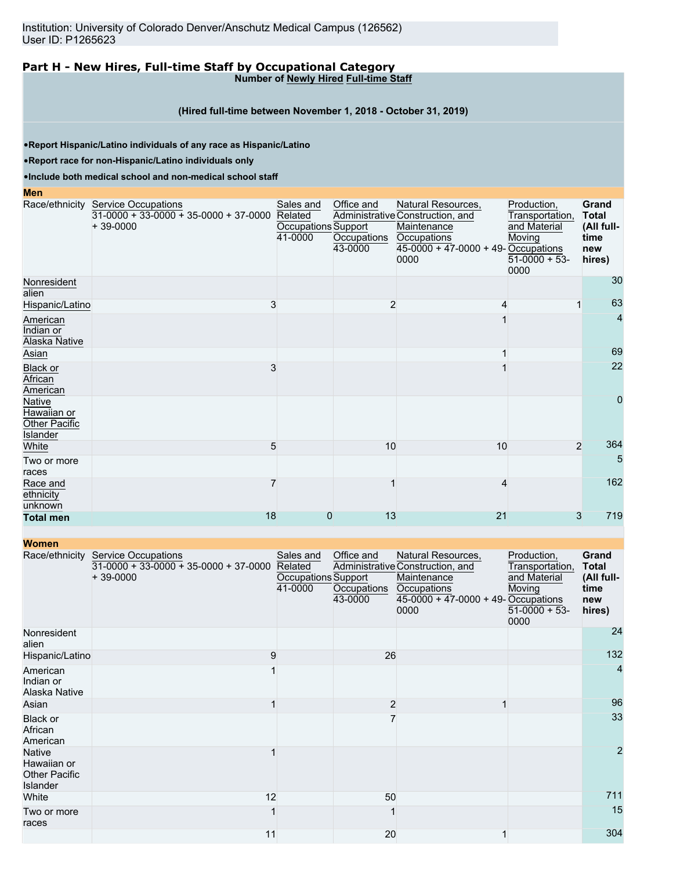#### **Part H - New Hires, Full-time Staff by Occupational Category Number of Newly Hired Full-time Staff**

#### **(Hired full-time between November 1, 2018 - October 31, 2019)**

•**Report Hispanic/Latino individuals of any race as Hispanic/Latino**

•**Report race for non-Hispanic/Latino individuals only**

•**Include both medical school and non-medical school staff**

#### **Men**

|                                                    | Race/ethnicity Service Occupations<br>$31-0000 + 33-0000 + 35-0000 + 37-0000$<br>$+39-0000$ | Sales and<br>Related<br>Occupations Support<br>41-0000 | Office and<br>Occupations<br>43-0000 | Natural Resources,<br>Administrative Construction, and<br>Maintenance<br>Occupations<br>$45-0000 + 47-0000 + 49$ -Occupations<br>0000 | Production,<br>Transportation,<br>and Material<br>Moving<br>$51-0000 + 53$ -<br>0000 | Grand<br><b>Total</b><br>(All full-<br>time<br>new<br>hires) |
|----------------------------------------------------|---------------------------------------------------------------------------------------------|--------------------------------------------------------|--------------------------------------|---------------------------------------------------------------------------------------------------------------------------------------|--------------------------------------------------------------------------------------|--------------------------------------------------------------|
| Nonresident<br>alien                               |                                                                                             |                                                        |                                      |                                                                                                                                       |                                                                                      | 30                                                           |
| Hispanic/Latino                                    | 3                                                                                           |                                                        | 2                                    |                                                                                                                                       |                                                                                      | 63                                                           |
| American<br>Indian or<br><b>Alaska Native</b>      |                                                                                             |                                                        |                                      |                                                                                                                                       |                                                                                      | 4                                                            |
| Asian                                              |                                                                                             |                                                        |                                      |                                                                                                                                       |                                                                                      | 69                                                           |
| <b>Black or</b><br>African<br>American             | 3                                                                                           |                                                        |                                      |                                                                                                                                       |                                                                                      | 22                                                           |
| Native<br>Hawaiian or<br>Other Pacific<br>Islander |                                                                                             |                                                        |                                      |                                                                                                                                       |                                                                                      | 0                                                            |
| White                                              | 5                                                                                           |                                                        | 10                                   | 10                                                                                                                                    | $\overline{2}$                                                                       | 364                                                          |
| Two or more<br>races                               |                                                                                             |                                                        |                                      |                                                                                                                                       |                                                                                      | 5                                                            |
| Race and<br>ethnicity<br>unknown                   |                                                                                             |                                                        |                                      |                                                                                                                                       |                                                                                      | 162                                                          |
| <b>Total men</b>                                   | 18                                                                                          | 0                                                      | 13                                   | 21                                                                                                                                    | 3                                                                                    | 719                                                          |

| <b>Women</b>                                                     |                                                                                             |                                                        |                                      |                                                                                                                                     |                                                                                    |                                                              |
|------------------------------------------------------------------|---------------------------------------------------------------------------------------------|--------------------------------------------------------|--------------------------------------|-------------------------------------------------------------------------------------------------------------------------------------|------------------------------------------------------------------------------------|--------------------------------------------------------------|
|                                                                  | Race/ethnicity Service Occupations<br>$31-0000 + 33-0000 + 35-0000 + 37-0000$<br>$+39-0000$ | Sales and<br>Related<br>Occupations Support<br>41-0000 | Office and<br>Occupations<br>43-0000 | Natural Resources,<br>Administrative Construction, and<br>Maintenance<br>Occupations<br>45-0000 + 47-0000 + 49- Occupations<br>0000 | Production,<br>Transportation,<br>and Material<br>Moving<br>$51-0000 + 53$<br>0000 | Grand<br><b>Total</b><br>(All full-<br>time<br>new<br>hires) |
| Nonresident<br>alien                                             |                                                                                             |                                                        |                                      |                                                                                                                                     |                                                                                    | 24                                                           |
| Hispanic/Latino                                                  | 9                                                                                           |                                                        | 26                                   |                                                                                                                                     |                                                                                    | 132                                                          |
| American<br>Indian or<br>Alaska Native                           |                                                                                             |                                                        |                                      |                                                                                                                                     |                                                                                    | $\overline{4}$                                               |
| Asian                                                            |                                                                                             |                                                        | $\overline{c}$                       |                                                                                                                                     |                                                                                    | 96                                                           |
| Black or<br>African<br>American                                  |                                                                                             |                                                        | 7                                    |                                                                                                                                     |                                                                                    | 33                                                           |
| <b>Native</b><br>Hawaiian or<br><b>Other Pacific</b><br>Islander |                                                                                             |                                                        |                                      |                                                                                                                                     |                                                                                    | $\overline{2}$                                               |
| White                                                            | 12                                                                                          |                                                        | 50                                   |                                                                                                                                     |                                                                                    | 711                                                          |
| Two or more<br>races                                             |                                                                                             |                                                        |                                      |                                                                                                                                     |                                                                                    | 15                                                           |
|                                                                  | 11                                                                                          |                                                        | 20                                   |                                                                                                                                     |                                                                                    | 304                                                          |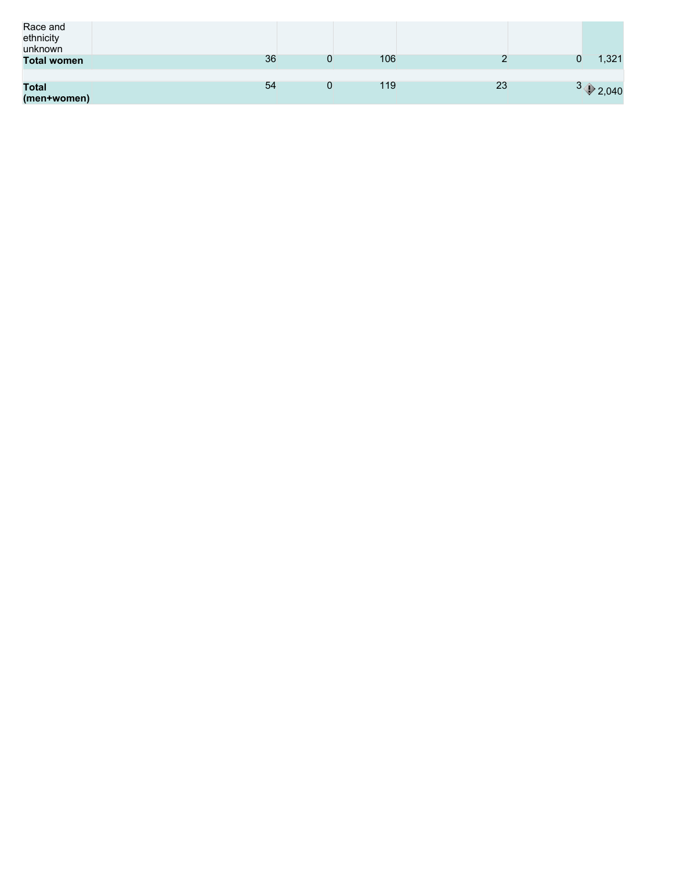| Race and<br>ethnicity<br>unknown |    |   |     |    |                       |
|----------------------------------|----|---|-----|----|-----------------------|
| <b>Total women</b>               | 36 |   | 106 |    | 1,321                 |
|                                  |    |   |     |    |                       |
| <b>Total</b><br>(men+women)      | 54 | U | 119 | 23 | $3 \rightarrow 2,040$ |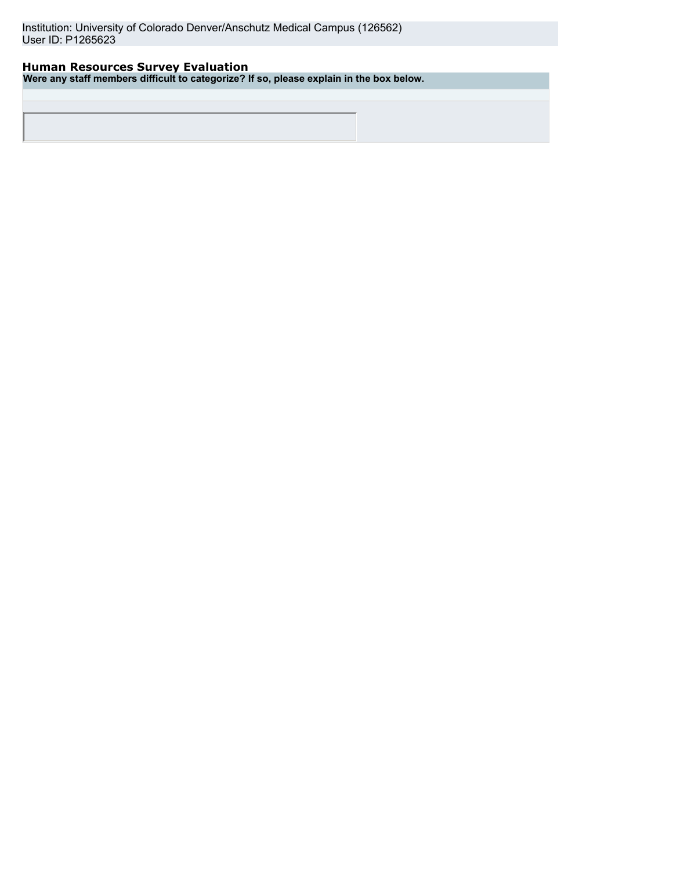Institution: University of Colorado Denver/Anschutz Medical Campus (126562) User ID: P1265623

## **Human Resources Survey Evaluation**

**Were any staff members difficult to categorize? If so, please explain in the box below.**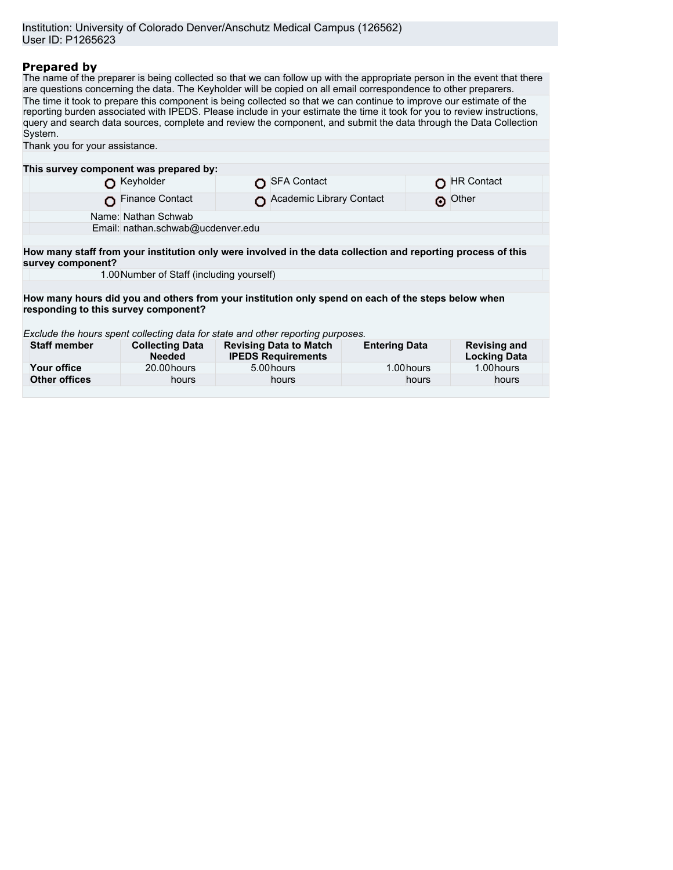## **Prepared by**

The name of the preparer is being collected so that we can follow up with the appropriate person in the event that there are questions concerning the data. The Keyholder will be copied on all email correspondence to other preparers. The time it took to prepare this component is being collected so that we can continue to improve our estimate of the reporting burden associated with IPEDS. Please include in your estimate the time it took for you to review instructions, query and search data sources, complete and review the component, and submit the data through the Data Collection System. Thank you for your assistance.

| This survey component was prepared by:                                                                                                     |                                           |  |                                                            |                      |            |                                            |  |  |
|--------------------------------------------------------------------------------------------------------------------------------------------|-------------------------------------------|--|------------------------------------------------------------|----------------------|------------|--------------------------------------------|--|--|
|                                                                                                                                            | Keyholder                                 |  | <b>SFA Contact</b>                                         |                      |            | <b>HR Contact</b>                          |  |  |
|                                                                                                                                            | <b>Finance Contact</b>                    |  | Academic Library Contact                                   |                      | െ          | Other                                      |  |  |
|                                                                                                                                            | Name: Nathan Schwab                       |  |                                                            |                      |            |                                            |  |  |
|                                                                                                                                            | Email: nathan.schwab@ucdenver.edu         |  |                                                            |                      |            |                                            |  |  |
|                                                                                                                                            |                                           |  |                                                            |                      |            |                                            |  |  |
| How many staff from your institution only were involved in the data collection and reporting process of this<br>survey component?          |                                           |  |                                                            |                      |            |                                            |  |  |
|                                                                                                                                            | 1.00 Number of Staff (including yourself) |  |                                                            |                      |            |                                            |  |  |
|                                                                                                                                            |                                           |  |                                                            |                      |            |                                            |  |  |
| How many hours did you and others from your institution only spend on each of the steps below when<br>responding to this survey component? |                                           |  |                                                            |                      |            |                                            |  |  |
| Exclude the hours spent collecting data for state and other reporting purposes.                                                            |                                           |  |                                                            |                      |            |                                            |  |  |
| <b>Staff member</b>                                                                                                                        | <b>Collecting Data</b><br><b>Needed</b>   |  | <b>Revising Data to Match</b><br><b>IPEDS Requirements</b> | <b>Entering Data</b> |            | <b>Revising and</b><br><b>Locking Data</b> |  |  |
| Your office                                                                                                                                | 20.00 hours                               |  | 5.00 hours                                                 |                      | 1.00 hours | 1.00 hours                                 |  |  |
| <b>Other offices</b>                                                                                                                       | hours                                     |  | hours                                                      |                      | hours      | hours                                      |  |  |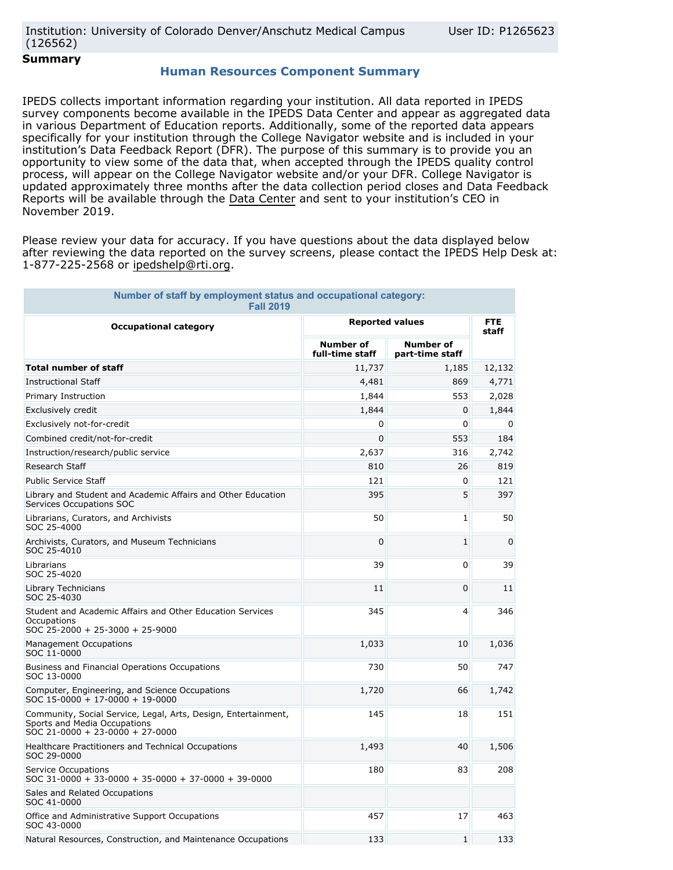**Summary**

## **Human Resources Component Summary**

IPEDS collects important information regarding your institution. All data reported in IPEDS survey components become available in the IPEDS Data Center and appear as aggregated data in various Department of Education reports. Additionally, some of the reported data appears specifically for your institution through the College Navigator website and is included in your institution's Data Feedback Report (DFR). The purpose of this summary is to provide you an opportunity to view some of the data that, when accepted through the IPEDS quality control process, will appear on the College Navigator website and/or your DFR. College Navigator is updated approximately three months after the data collection period closes and Data Feedback Reports will be available through the Data Center and sent to your institution's CEO in November 2019.

Please review your data for accuracy. If you have questions about the data displayed below after reviewing the data reported on the survey screens, please contact the IPEDS Help Desk at: 1-877-225-2568 or ipedshelp@rti.org.

| Number of staff by employment status and occupational category:<br><b>Fall 2019</b>                                                       |                                     |                                     |             |  |
|-------------------------------------------------------------------------------------------------------------------------------------------|-------------------------------------|-------------------------------------|-------------|--|
| <b>Occupational category</b>                                                                                                              | <b>Reported values</b>              | <b>FTE</b><br>staff                 |             |  |
|                                                                                                                                           | <b>Number of</b><br>full-time staff | <b>Number of</b><br>part-time staff |             |  |
| <b>Total number of staff</b>                                                                                                              | 11,737                              | 1,185                               | 12,132      |  |
| <b>Instructional Staff</b>                                                                                                                | 4,481                               | 869                                 | 4,771       |  |
| Primary Instruction                                                                                                                       | 1,844                               | 553                                 | 2,028       |  |
| Exclusively credit                                                                                                                        | 1,844                               | 0                                   | 1,844       |  |
| Exclusively not-for-credit                                                                                                                | 0                                   | 0                                   | 0           |  |
| Combined credit/not-for-credit                                                                                                            | 0                                   | 553                                 | 184         |  |
| Instruction/research/public service                                                                                                       | 2,637                               | 316                                 | 2,742       |  |
| <b>Research Staff</b>                                                                                                                     | 810                                 | 26                                  | 819         |  |
| <b>Public Service Staff</b>                                                                                                               | 121                                 | 0                                   | 121         |  |
| Library and Student and Academic Affairs and Other Education<br>Services Occupations SOC                                                  | 395                                 | 5                                   | 397         |  |
| Librarians, Curators, and Archivists<br>SOC 25-4000                                                                                       | 50                                  | 1                                   | 50          |  |
| Archivists, Curators, and Museum Technicians<br>SOC 25-4010                                                                               | $\mathbf 0$                         | $\mathbf{1}$                        | $\mathbf 0$ |  |
| Librarians<br>SOC 25-4020                                                                                                                 | 39                                  | 0                                   | 39          |  |
| <b>Library Technicians</b><br>SOC 25-4030                                                                                                 | 11                                  | 0                                   | 11          |  |
| Student and Academic Affairs and Other Education Services<br>Occupations<br>$SOC 25 - 2000 + 25 - 3000 + 25 - 9000$                       | 345                                 | 4                                   | 346         |  |
| <b>Management Occupations</b><br>SOC 11-0000                                                                                              | 1,033                               | 10                                  | 1,036       |  |
| Business and Financial Operations Occupations<br>SOC 13-0000                                                                              | 730                                 | 50                                  | 747         |  |
| Computer, Engineering, and Science Occupations<br>$SOC$ 15-0000 + 17-0000 + 19-0000                                                       | 1,720                               | 66                                  | 1,742       |  |
| Community, Social Service, Legal, Arts, Design, Entertainment,<br>Sports and Media Occupations<br>$SOC 21 - 0000 + 23 - 0000 + 27 - 0000$ | 145                                 | 18                                  | 151         |  |
| Healthcare Practitioners and Technical Occupations<br>SOC 29-0000                                                                         | 1,493                               | 40                                  | 1,506       |  |
| Service Occupations<br>$SOC$ 31-0000 + 33-0000 + 35-0000 + 37-0000 + 39-0000                                                              | 180                                 | 83                                  | 208         |  |
| Sales and Related Occupations<br>SOC 41-0000                                                                                              |                                     |                                     |             |  |
| Office and Administrative Support Occupations<br>SOC 43-0000                                                                              | 457                                 | 17                                  | 463         |  |
| Natural Resources, Construction, and Maintenance Occupations                                                                              | 133                                 | $\mathbf{1}$                        | 133         |  |